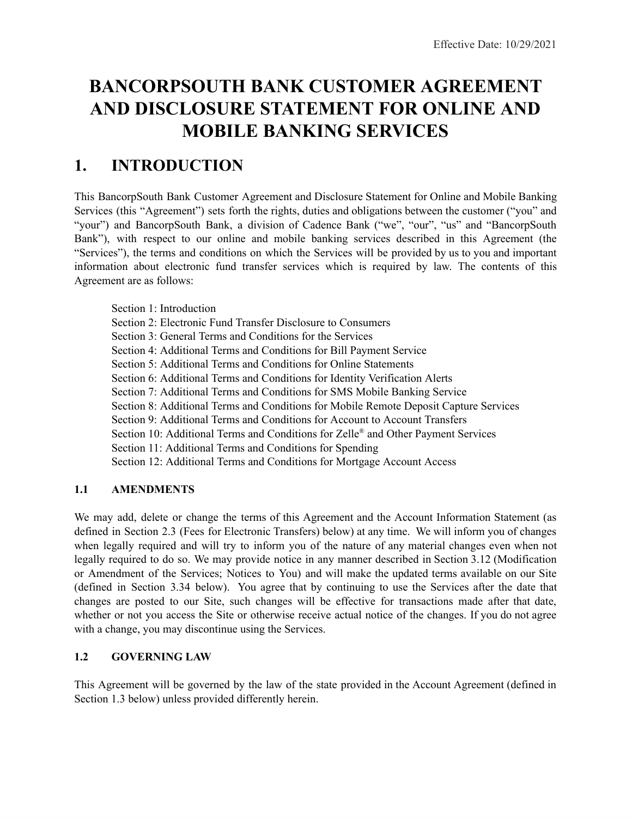# **BANCORPSOUTH BANK CUSTOMER AGREEMENT AND DISCLOSURE STATEMENT FOR ONLINE AND MOBILE BANKING SERVICES**

# **1. INTRODUCTION**

This BancorpSouth Bank Customer Agreement and Disclosure Statement for Online and Mobile Banking Services (this "Agreement") sets forth the rights, duties and obligations between the customer ("you" and "your") and BancorpSouth Bank, a division of Cadence Bank ("we", "our", "us" and "BancorpSouth Bank"), with respect to our online and mobile banking services described in this Agreement (the "Services"), the terms and conditions on which the Services will be provided by us to you and important information about electronic fund transfer services which is required by law. The contents of this Agreement are as follows:

Section 1: Introduction Section 2: Electronic Fund Transfer Disclosure to Consumers Section 3: General Terms and Conditions for the Services Section 4: Additional Terms and Conditions for Bill Payment Service Section 5: Additional Terms and Conditions for Online Statements Section 6: Additional Terms and Conditions for Identity Verification Alerts Section 7: Additional Terms and Conditions for SMS Mobile Banking Service Section 8: Additional Terms and Conditions for Mobile Remote Deposit Capture Services Section 9: Additional Terms and Conditions for Account to Account Transfers Section 10: Additional Terms and Conditions for Zelle® and Other Payment Services Section 11: Additional Terms and Conditions for Spending Section 12: Additional Terms and Conditions for Mortgage Account Access

# **1.1 AMENDMENTS**

We may add, delete or change the terms of this Agreement and the Account Information Statement (as defined in Section 2.3 (Fees for Electronic Transfers) below) at any time. We will inform you of changes when legally required and will try to inform you of the nature of any material changes even when not legally required to do so. We may provide notice in any manner described in Section 3.12 (Modification or Amendment of the Services; Notices to You) and will make the updated terms available on our Site (defined in Section 3.34 below). You agree that by continuing to use the Services after the date that changes are posted to our Site, such changes will be effective for transactions made after that date, whether or not you access the Site or otherwise receive actual notice of the changes. If you do not agree with a change, you may discontinue using the Services.

# **1.2 GOVERNING LAW**

This Agreement will be governed by the law of the state provided in the Account Agreement (defined in Section 1.3 below) unless provided differently herein.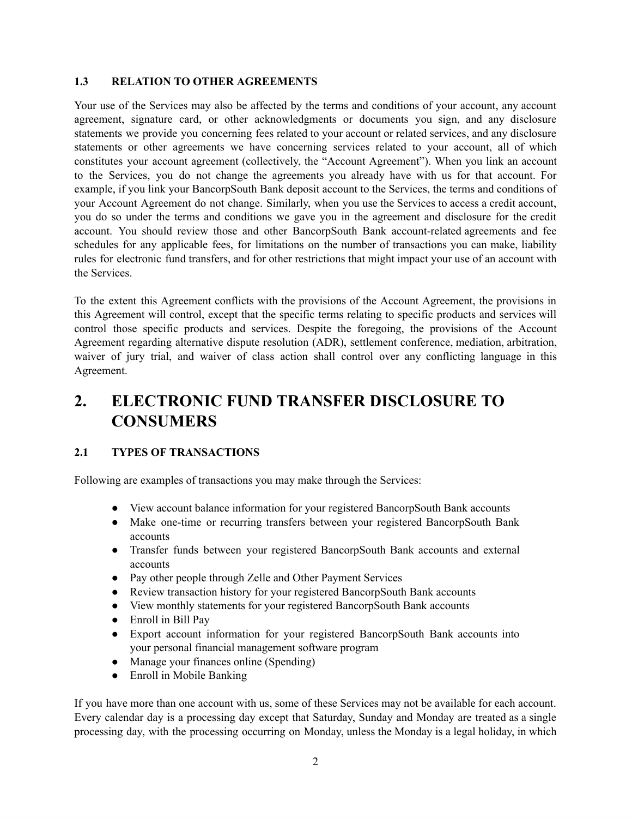#### **1.3 RELATION TO OTHER AGREEMENTS**

Your use of the Services may also be affected by the terms and conditions of your account, any account agreement, signature card, or other acknowledgments or documents you sign, and any disclosure statements we provide you concerning fees related to your account or related services, and any disclosure statements or other agreements we have concerning services related to your account, all of which constitutes your account agreement (collectively, the "Account Agreement"). When you link an account to the Services, you do not change the agreements you already have with us for that account. For example, if you link your BancorpSouth Bank deposit account to the Services, the terms and conditions of your Account Agreement do not change. Similarly, when you use the Services to access a credit account, you do so under the terms and conditions we gave you in the agreement and disclosure for the credit account. You should review those and other BancorpSouth Bank account-related agreements and fee schedules for any applicable fees, for limitations on the number of transactions you can make, liability rules for electronic fund transfers, and for other restrictions that might impact your use of an account with the Services.

To the extent this Agreement conflicts with the provisions of the Account Agreement, the provisions in this Agreement will control, except that the specific terms relating to specific products and services will control those specific products and services. Despite the foregoing, the provisions of the Account Agreement regarding alternative dispute resolution (ADR), settlement conference, mediation, arbitration, waiver of jury trial, and waiver of class action shall control over any conflicting language in this Agreement.

# **2. ELECTRONIC FUND TRANSFER DISCLOSURE TO CONSUMERS**

#### **2.1 TYPES OF TRANSACTIONS**

Following are examples of transactions you may make through the Services:

- View account balance information for your registered BancorpSouth Bank accounts
- Make one-time or recurring transfers between your registered BancorpSouth Bank accounts
- Transfer funds between your registered BancorpSouth Bank accounts and external accounts
- Pay other people through Zelle and Other Payment Services
- Review transaction history for your registered BancorpSouth Bank accounts
- View monthly statements for your registered BancorpSouth Bank accounts
- Enroll in Bill Pay
- Export account information for your registered BancorpSouth Bank accounts into your personal financial management software program
- Manage your finances online (Spending)
- Enroll in Mobile Banking

If you have more than one account with us, some of these Services may not be available for each account. Every calendar day is a processing day except that Saturday, Sunday and Monday are treated as a single processing day, with the processing occurring on Monday, unless the Monday is a legal holiday, in which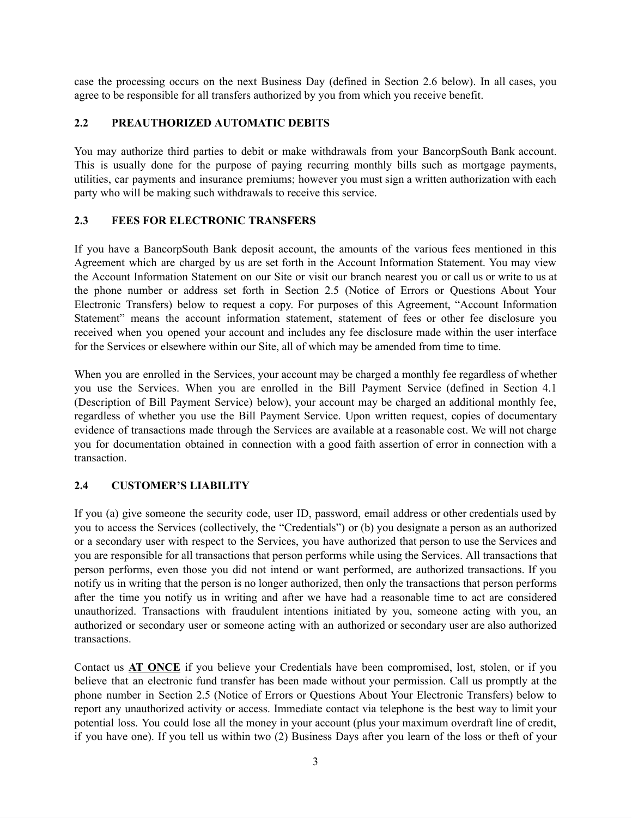case the processing occurs on the next Business Day (defined in Section 2.6 below). In all cases, you agree to be responsible for all transfers authorized by you from which you receive benefit.

#### **2.2 PREAUTHORIZED AUTOMATIC DEBITS**

You may authorize third parties to debit or make withdrawals from your BancorpSouth Bank account. This is usually done for the purpose of paying recurring monthly bills such as mortgage payments, utilities, car payments and insurance premiums; however you must sign a written authorization with each party who will be making such withdrawals to receive this service.

### **2.3 FEES FOR ELECTRONIC TRANSFERS**

If you have a BancorpSouth Bank deposit account, the amounts of the various fees mentioned in this Agreement which are charged by us are set forth in the Account Information Statement. You may view the Account Information Statement on our Site or visit our branch nearest you or call us or write to us at the phone number or address set forth in Section 2.5 (Notice of Errors or Questions About Your Electronic Transfers) below to request a copy. For purposes of this Agreement, "Account Information Statement" means the account information statement, statement of fees or other fee disclosure you received when you opened your account and includes any fee disclosure made within the user interface for the Services or elsewhere within our Site, all of which may be amended from time to time.

When you are enrolled in the Services, your account may be charged a monthly fee regardless of whether you use the Services. When you are enrolled in the Bill Payment Service (defined in Section 4.1 (Description of Bill Payment Service) below), your account may be charged an additional monthly fee, regardless of whether you use the Bill Payment Service. Upon written request, copies of documentary evidence of transactions made through the Services are available at a reasonable cost. We will not charge you for documentation obtained in connection with a good faith assertion of error in connection with a transaction.

## **2.4 CUSTOMER'S LIABILITY**

If you (a) give someone the security code, user ID, password, email address or other credentials used by you to access the Services (collectively, the "Credentials") or (b) you designate a person as an authorized or a secondary user with respect to the Services, you have authorized that person to use the Services and you are responsible for all transactions that person performs while using the Services. All transactions that person performs, even those you did not intend or want performed, are authorized transactions. If you notify us in writing that the person is no longer authorized, then only the transactions that person performs after the time you notify us in writing and after we have had a reasonable time to act are considered unauthorized. Transactions with fraudulent intentions initiated by you, someone acting with you, an authorized or secondary user or someone acting with an authorized or secondary user are also authorized transactions.

Contact us **AT ONCE** if you believe your Credentials have been compromised, lost, stolen, or if you believe that an electronic fund transfer has been made without your permission. Call us promptly at the phone number in Section 2.5 (Notice of Errors or Questions About Your Electronic Transfers) below to report any unauthorized activity or access. Immediate contact via telephone is the best way to limit your potential loss. You could lose all the money in your account (plus your maximum overdraft line of credit, if you have one). If you tell us within two (2) Business Days after you learn of the loss or theft of your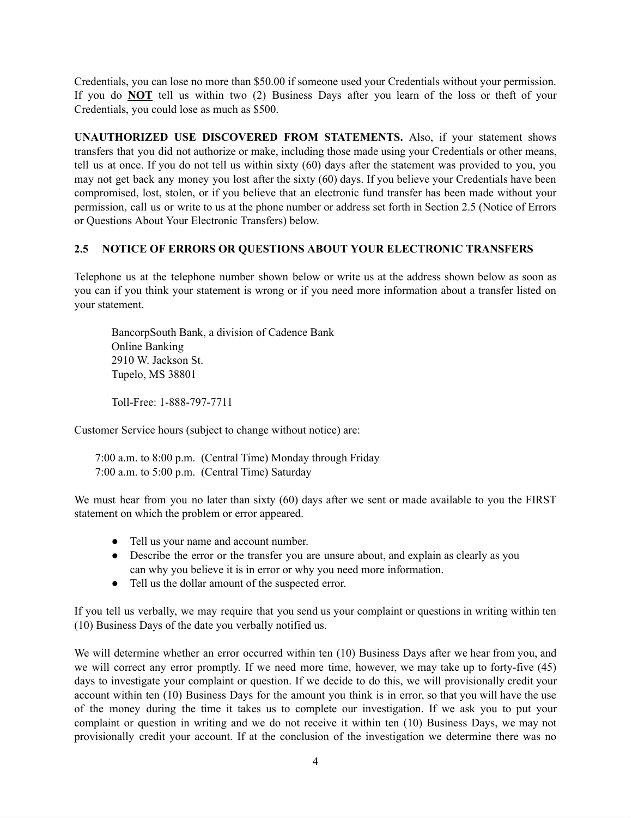Credentials, you can lose no more than \$50.00 if someone used your Credentials without your permission. If you do **NOT** tell us within two (2) Business Days after you learn of the loss or theft of your Credentials, you could lose as much as \$500.

**UNAUTHORIZED USE DISCOVERED FROM STATEMENTS.** Also, if your statement shows transfers that you did not authorize or make, including those made using your Credentials or other means, tell us at once. If you do not tell us within sixty (60) days after the statement was provided to you, you may not get back any money you lost after the sixty (60) days. If you believe your Credentials have been compromised, lost, stolen, or if you believe that an electronic fund transfer has been made without your permission, call us or write to us at the phone number or address set forth in Section 2.5 (Notice of Errors or Questions About Your Electronic Transfers) below.

### **2.5 NOTICE OF ERRORS OR QUESTIONS ABOUT YOUR ELECTRONIC TRANSFERS**

Telephone us at the telephone number shown below or write us at the address shown below as soon as you can if you think your statement is wrong or if you need more information about a transfer listed on your statement.

BancorpSouth Bank, a division of Cadence Bank Online Banking 2910 W. Jackson St. Tupelo, MS 38801

Toll-Free: 1-888-797-7711

Customer Service hours (subject to change without notice) are:

7:00 a.m. to 8:00 p.m. (Central Time) Monday through Friday 7:00 a.m. to 5:00 p.m. (Central Time) Saturday

We must hear from you no later than sixty (60) days after we sent or made available to you the FIRST statement on which the problem or error appeared.

- Tell us your name and account number.
- Describe the error or the transfer you are unsure about, and explain as clearly as you can why you believe it is in error or why you need more information.
- Tell us the dollar amount of the suspected error.

If you tell us verbally, we may require that you send us your complaint or questions in writing within ten (10) Business Days of the date you verbally notified us.

We will determine whether an error occurred within ten (10) Business Days after we hear from you, and we will correct any error promptly. If we need more time, however, we may take up to forty-five (45) days to investigate your complaint or question. If we decide to do this, we will provisionally credit your account within ten (10) Business Days for the amount you think is in error, so that you will have the use of the money during the time it takes us to complete our investigation. If we ask you to put your complaint or question in writing and we do not receive it within ten (10) Business Days, we may not provisionally credit your account. If at the conclusion of the investigation we determine there was no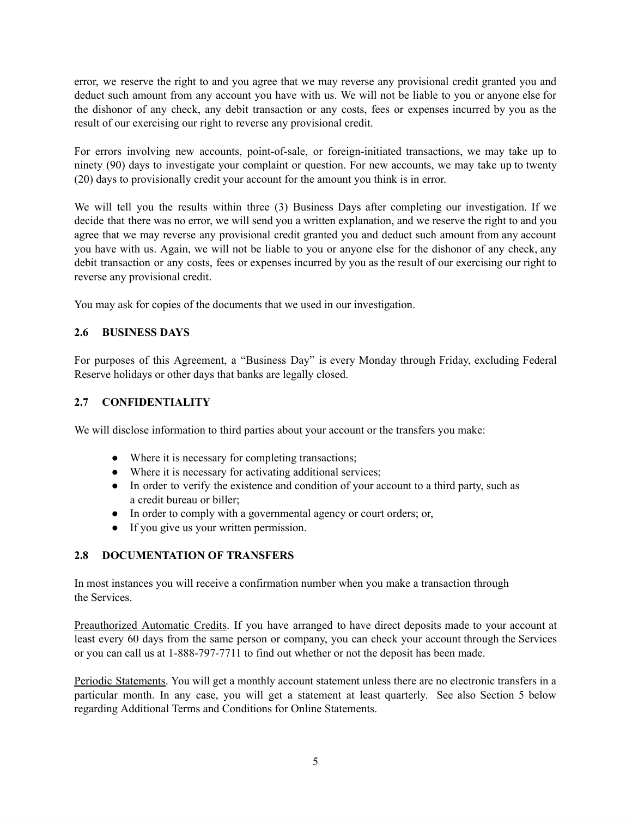error, we reserve the right to and you agree that we may reverse any provisional credit granted you and deduct such amount from any account you have with us. We will not be liable to you or anyone else for the dishonor of any check, any debit transaction or any costs, fees or expenses incurred by you as the result of our exercising our right to reverse any provisional credit.

For errors involving new accounts, point-of-sale, or foreign-initiated transactions, we may take up to ninety (90) days to investigate your complaint or question. For new accounts, we may take up to twenty (20) days to provisionally credit your account for the amount you think is in error.

We will tell you the results within three (3) Business Days after completing our investigation. If we decide that there was no error, we will send you a written explanation, and we reserve the right to and you agree that we may reverse any provisional credit granted you and deduct such amount from any account you have with us. Again, we will not be liable to you or anyone else for the dishonor of any check, any debit transaction or any costs, fees or expenses incurred by you as the result of our exercising our right to reverse any provisional credit.

You may ask for copies of the documents that we used in our investigation.

## **2.6 BUSINESS DAYS**

For purposes of this Agreement, a "Business Day" is every Monday through Friday, excluding Federal Reserve holidays or other days that banks are legally closed.

## **2.7 CONFIDENTIALITY**

We will disclose information to third parties about your account or the transfers you make:

- Where it is necessary for completing transactions;
- Where it is necessary for activating additional services;
- In order to verify the existence and condition of your account to a third party, such as a credit bureau or biller;
- In order to comply with a governmental agency or court orders; or,
- If you give us your written permission.

## **2.8 DOCUMENTATION OF TRANSFERS**

In most instances you will receive a confirmation number when you make a transaction through the Services.

Preauthorized Automatic Credits. If you have arranged to have direct deposits made to your account at least every 60 days from the same person or company, you can check your account through the Services or you can call us at 1-888-797-7711 to find out whether or not the deposit has been made.

Periodic Statements. You will get a monthly account statement unless there are no electronic transfers in a particular month. In any case, you will get a statement at least quarterly. See also Section 5 below regarding Additional Terms and Conditions for Online Statements.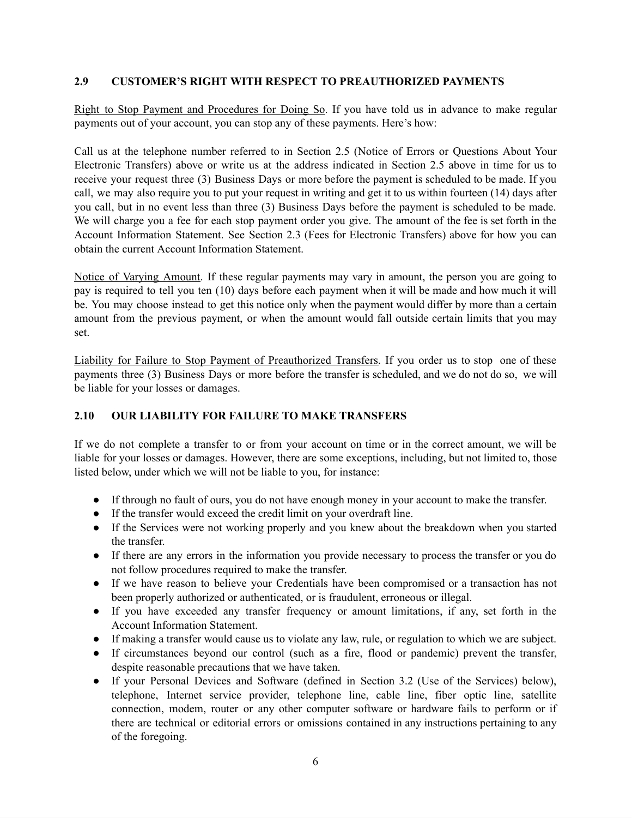### **2.9 CUSTOMER'S RIGHT WITH RESPECT TO PREAUTHORIZED PAYMENTS**

Right to Stop Payment and Procedures for Doing So. If you have told us in advance to make regular payments out of your account, you can stop any of these payments. Here's how:

Call us at the telephone number referred to in Section 2.5 (Notice of Errors or Questions About Your Electronic Transfers) above or write us at the address indicated in Section 2.5 above in time for us to receive your request three (3) Business Days or more before the payment is scheduled to be made. If you call, we may also require you to put your request in writing and get it to us within fourteen (14) days after you call, but in no event less than three (3) Business Days before the payment is scheduled to be made. We will charge you a fee for each stop payment order you give. The amount of the fee is set forth in the Account Information Statement. See Section 2.3 (Fees for Electronic Transfers) above for how you can obtain the current Account Information Statement.

Notice of Varying Amount. If these regular payments may vary in amount, the person you are going to pay is required to tell you ten (10) days before each payment when it will be made and how much it will be. You may choose instead to get this notice only when the payment would differ by more than a certain amount from the previous payment, or when the amount would fall outside certain limits that you may set.

Liability for Failure to Stop Payment of Preauthorized Transfers. If you order us to stop one of these payments three (3) Business Days or more before the transfer is scheduled, and we do not do so, we will be liable for your losses or damages.

## **2.10 OUR LIABILITY FOR FAILURE TO MAKE TRANSFERS**

If we do not complete a transfer to or from your account on time or in the correct amount, we will be liable for your losses or damages. However, there are some exceptions, including, but not limited to, those listed below, under which we will not be liable to you, for instance:

- If through no fault of ours, you do not have enough money in your account to make the transfer.
- If the transfer would exceed the credit limit on your overdraft line.
- If the Services were not working properly and you knew about the breakdown when you started the transfer.
- If there are any errors in the information you provide necessary to process the transfer or you do not follow procedures required to make the transfer.
- If we have reason to believe your Credentials have been compromised or a transaction has not been properly authorized or authenticated, or is fraudulent, erroneous or illegal.
- If you have exceeded any transfer frequency or amount limitations, if any, set forth in the Account Information Statement.
- If making a transfer would cause us to violate any law, rule, or regulation to which we are subject.
- If circumstances beyond our control (such as a fire, flood or pandemic) prevent the transfer, despite reasonable precautions that we have taken.
- If your Personal Devices and Software (defined in Section 3.2 (Use of the Services) below), telephone, Internet service provider, telephone line, cable line, fiber optic line, satellite connection, modem, router or any other computer software or hardware fails to perform or if there are technical or editorial errors or omissions contained in any instructions pertaining to any of the foregoing.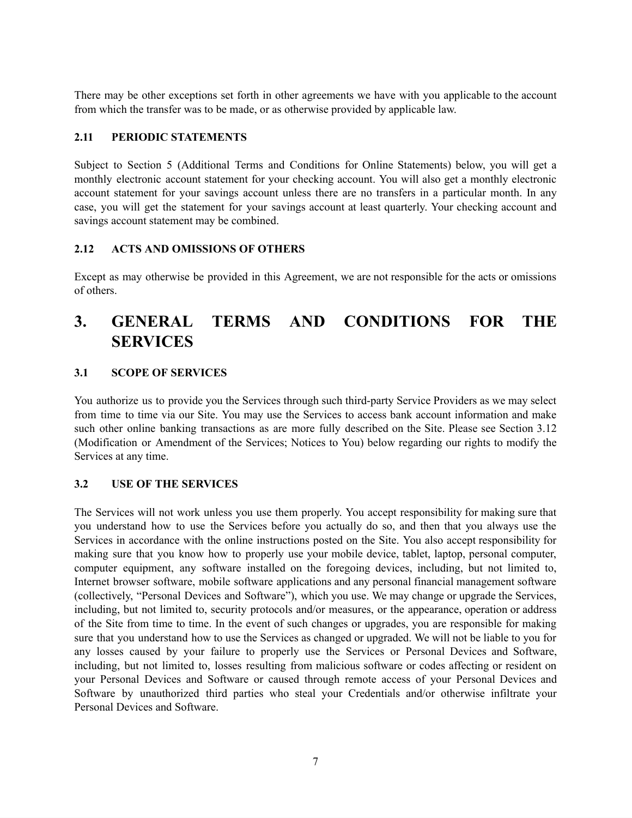There may be other exceptions set forth in other agreements we have with you applicable to the account from which the transfer was to be made, or as otherwise provided by applicable law.

### **2.11 PERIODIC STATEMENTS**

Subject to Section 5 (Additional Terms and Conditions for Online Statements) below, you will get a monthly electronic account statement for your checking account. You will also get a monthly electronic account statement for your savings account unless there are no transfers in a particular month. In any case, you will get the statement for your savings account at least quarterly. Your checking account and savings account statement may be combined.

### **2.12 ACTS AND OMISSIONS OF OTHERS**

Except as may otherwise be provided in this Agreement, we are not responsible for the acts or omissions of others.

# **3. GENERAL TERMS AND CONDITIONS FOR THE SERVICES**

## **3.1 SCOPE OF SERVICES**

You authorize us to provide you the Services through such third-party Service Providers as we may select from time to time via our Site. You may use the Services to access bank account information and make such other online banking transactions as are more fully described on the Site. Please see Section 3.12 (Modification or Amendment of the Services; Notices to You) below regarding our rights to modify the Services at any time.

#### **3.2 USE OF THE SERVICES**

The Services will not work unless you use them properly. You accept responsibility for making sure that you understand how to use the Services before you actually do so, and then that you always use the Services in accordance with the online instructions posted on the Site. You also accept responsibility for making sure that you know how to properly use your mobile device, tablet, laptop, personal computer, computer equipment, any software installed on the foregoing devices, including, but not limited to, Internet browser software, mobile software applications and any personal financial management software (collectively, "Personal Devices and Software"), which you use. We may change or upgrade the Services, including, but not limited to, security protocols and/or measures, or the appearance, operation or address of the Site from time to time. In the event of such changes or upgrades, you are responsible for making sure that you understand how to use the Services as changed or upgraded. We will not be liable to you for any losses caused by your failure to properly use the Services or Personal Devices and Software, including, but not limited to, losses resulting from malicious software or codes affecting or resident on your Personal Devices and Software or caused through remote access of your Personal Devices and Software by unauthorized third parties who steal your Credentials and/or otherwise infiltrate your Personal Devices and Software.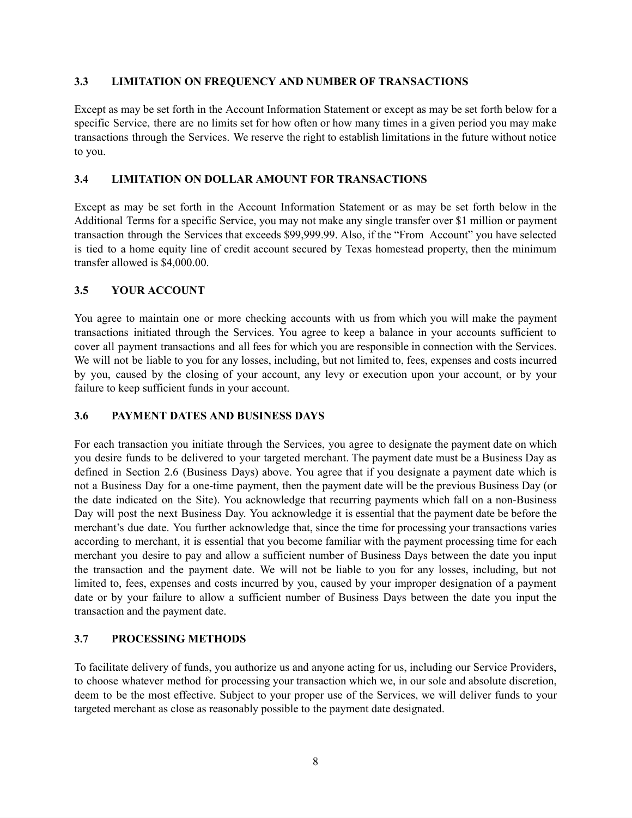#### **3.3 LIMITATION ON FREQUENCY AND NUMBER OF TRANSACTIONS**

Except as may be set forth in the Account Information Statement or except as may be set forth below for a specific Service, there are no limits set for how often or how many times in a given period you may make transactions through the Services. We reserve the right to establish limitations in the future without notice to you.

## **3.4 LIMITATION ON DOLLAR AMOUNT FOR TRANSACTIONS**

Except as may be set forth in the Account Information Statement or as may be set forth below in the Additional Terms for a specific Service, you may not make any single transfer over \$1 million or payment transaction through the Services that exceeds \$99,999.99. Also, if the "From Account" you have selected is tied to a home equity line of credit account secured by Texas homestead property, then the minimum transfer allowed is \$4,000.00.

## **3.5 YOUR ACCOUNT**

You agree to maintain one or more checking accounts with us from which you will make the payment transactions initiated through the Services. You agree to keep a balance in your accounts sufficient to cover all payment transactions and all fees for which you are responsible in connection with the Services. We will not be liable to you for any losses, including, but not limited to, fees, expenses and costs incurred by you, caused by the closing of your account, any levy or execution upon your account, or by your failure to keep sufficient funds in your account.

#### **3.6 PAYMENT DATES AND BUSINESS DAYS**

For each transaction you initiate through the Services, you agree to designate the payment date on which you desire funds to be delivered to your targeted merchant. The payment date must be a Business Day as defined in Section 2.6 (Business Days) above. You agree that if you designate a payment date which is not a Business Day for a one-time payment, then the payment date will be the previous Business Day (or the date indicated on the Site). You acknowledge that recurring payments which fall on a non-Business Day will post the next Business Day. You acknowledge it is essential that the payment date be before the merchant's due date. You further acknowledge that, since the time for processing your transactions varies according to merchant, it is essential that you become familiar with the payment processing time for each merchant you desire to pay and allow a sufficient number of Business Days between the date you input the transaction and the payment date. We will not be liable to you for any losses, including, but not limited to, fees, expenses and costs incurred by you, caused by your improper designation of a payment date or by your failure to allow a sufficient number of Business Days between the date you input the transaction and the payment date.

## **3.7 PROCESSING METHODS**

To facilitate delivery of funds, you authorize us and anyone acting for us, including our Service Providers, to choose whatever method for processing your transaction which we, in our sole and absolute discretion, deem to be the most effective. Subject to your proper use of the Services, we will deliver funds to your targeted merchant as close as reasonably possible to the payment date designated.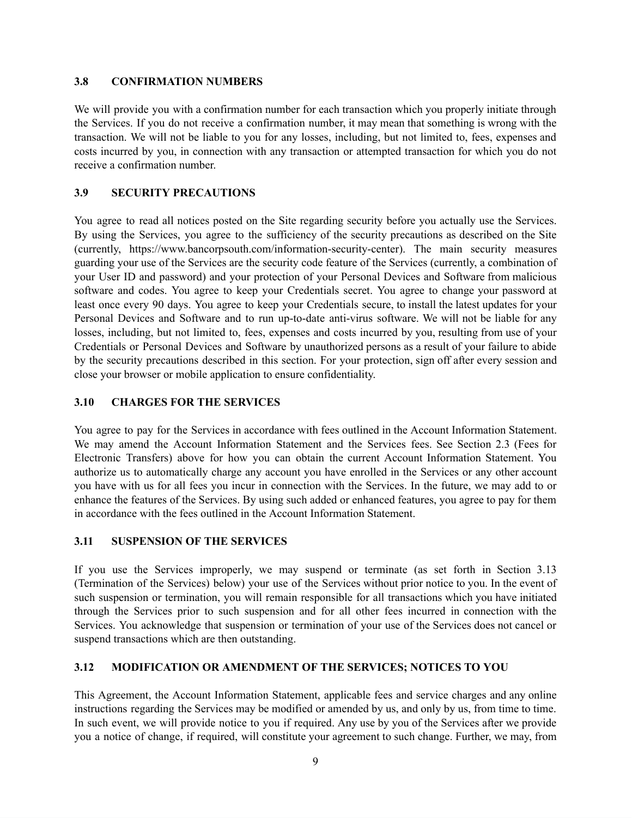#### **3.8 CONFIRMATION NUMBERS**

We will provide you with a confirmation number for each transaction which you properly initiate through the Services. If you do not receive a confirmation number, it may mean that something is wrong with the transaction. We will not be liable to you for any losses, including, but not limited to, fees, expenses and costs incurred by you, in connection with any transaction or attempted transaction for which you do not receive a confirmation number.

### **3.9 SECURITY PRECAUTIONS**

You agree to read all notices posted on the Site regarding security before you actually use the Services. By using the Services, you agree to the sufficiency of the security precautions as described on the Site (currently, [https://www.bancorpsouth.com/information-security-center\)](https://www.bancorpsouth.com/information-security-center). The main security measures guarding your use of the Services are the security code feature of the Services (currently, a combination of your User ID and password) and your protection of your Personal Devices and Software from malicious software and codes. You agree to keep your Credentials secret. You agree to change your password at least once every 90 days. You agree to keep your Credentials secure, to install the latest updates for your Personal Devices and Software and to run up-to-date anti-virus software. We will not be liable for any losses, including, but not limited to, fees, expenses and costs incurred by you, resulting from use of your Credentials or Personal Devices and Software by unauthorized persons as a result of your failure to abide by the security precautions described in this section. For your protection, sign off after every session and close your browser or mobile application to ensure confidentiality.

#### **3.10 CHARGES FOR THE SERVICES**

You agree to pay for the Services in accordance with fees outlined in the Account Information Statement. We may amend the Account Information Statement and the Services fees. See Section 2.3 (Fees for Electronic Transfers) above for how you can obtain the current Account Information Statement. You authorize us to automatically charge any account you have enrolled in the Services or any other account you have with us for all fees you incur in connection with the Services. In the future, we may add to or enhance the features of the Services. By using such added or enhanced features, you agree to pay for them in accordance with the fees outlined in the Account Information Statement.

#### **3.11 SUSPENSION OF THE SERVICES**

If you use the Services improperly, we may suspend or terminate (as set forth in Section 3.13 (Termination of the Services) below) your use of the Services without prior notice to you. In the event of such suspension or termination, you will remain responsible for all transactions which you have initiated through the Services prior to such suspension and for all other fees incurred in connection with the Services. You acknowledge that suspension or termination of your use of the Services does not cancel or suspend transactions which are then outstanding.

## **3.12 MODIFICATION OR AMENDMENT OF THE SERVICES; NOTICES TO YOU**

This Agreement, the Account Information Statement, applicable fees and service charges and any online instructions regarding the Services may be modified or amended by us, and only by us, from time to time. In such event, we will provide notice to you if required. Any use by you of the Services after we provide you a notice of change, if required, will constitute your agreement to such change. Further, we may, from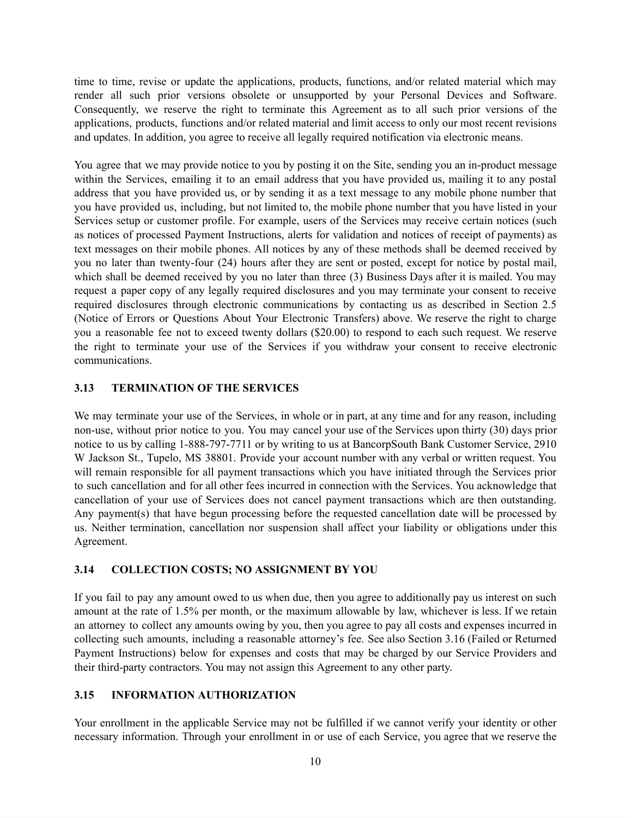time to time, revise or update the applications, products, functions, and/or related material which may render all such prior versions obsolete or unsupported by your Personal Devices and Software. Consequently, we reserve the right to terminate this Agreement as to all such prior versions of the applications, products, functions and/or related material and limit access to only our most recent revisions and updates. In addition, you agree to receive all legally required notification via electronic means.

You agree that we may provide notice to you by posting it on the Site, sending you an in-product message within the Services, emailing it to an email address that you have provided us, mailing it to any postal address that you have provided us, or by sending it as a text message to any mobile phone number that you have provided us, including, but not limited to, the mobile phone number that you have listed in your Services setup or customer profile. For example, users of the Services may receive certain notices (such as notices of processed Payment Instructions, alerts for validation and notices of receipt of payments) as text messages on their mobile phones. All notices by any of these methods shall be deemed received by you no later than twenty-four (24) hours after they are sent or posted, except for notice by postal mail, which shall be deemed received by you no later than three (3) Business Days after it is mailed. You may request a paper copy of any legally required disclosures and you may terminate your consent to receive required disclosures through electronic communications by contacting us as described in Section 2.5 (Notice of Errors or Questions About Your Electronic Transfers) above. We reserve the right to charge you a reasonable fee not to exceed twenty dollars (\$20.00) to respond to each such request. We reserve the right to terminate your use of the Services if you withdraw your consent to receive electronic communications.

#### **3.13 TERMINATION OF THE SERVICES**

We may terminate your use of the Services, in whole or in part, at any time and for any reason, including non-use, without prior notice to you. You may cancel your use of the Services upon thirty (30) days prior notice to us by calling 1-888-797-7711 or by writing to us at BancorpSouth Bank Customer Service, 2910 W Jackson St., Tupelo, MS 38801. Provide your account number with any verbal or written request. You will remain responsible for all payment transactions which you have initiated through the Services prior to such cancellation and for all other fees incurred in connection with the Services. You acknowledge that cancellation of your use of Services does not cancel payment transactions which are then outstanding. Any payment(s) that have begun processing before the requested cancellation date will be processed by us. Neither termination, cancellation nor suspension shall affect your liability or obligations under this Agreement.

#### **3.14 COLLECTION COSTS; NO ASSIGNMENT BY YOU**

If you fail to pay any amount owed to us when due, then you agree to additionally pay us interest on such amount at the rate of 1.5% per month, or the maximum allowable by law, whichever is less. If we retain an attorney to collect any amounts owing by you, then you agree to pay all costs and expenses incurred in collecting such amounts, including a reasonable attorney's fee. See also Section 3.16 (Failed or Returned Payment Instructions) below for expenses and costs that may be charged by our Service Providers and their third-party contractors. You may not assign this Agreement to any other party.

## **3.15 INFORMATION AUTHORIZATION**

Your enrollment in the applicable Service may not be fulfilled if we cannot verify your identity or other necessary information. Through your enrollment in or use of each Service, you agree that we reserve the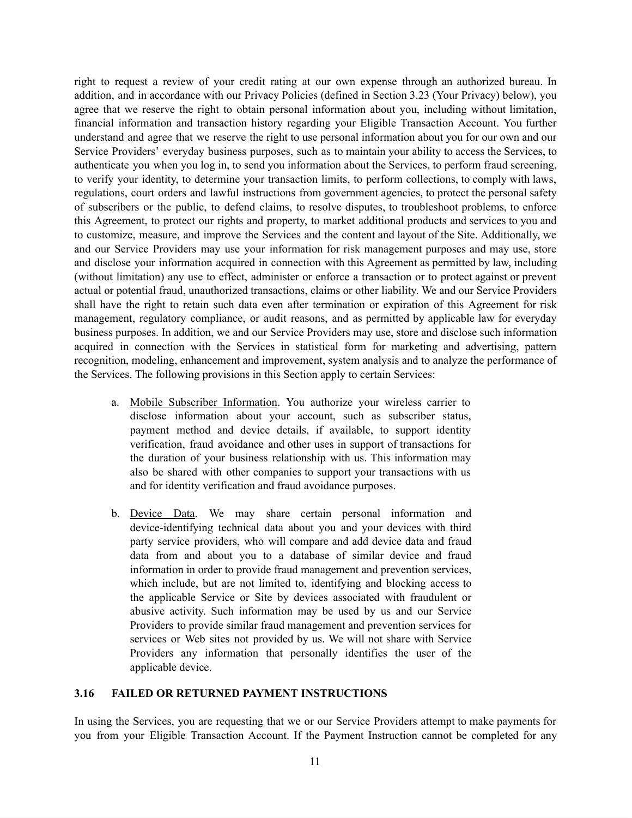right to request a review of your credit rating at our own expense through an authorized bureau. In addition, and in accordance with our Privacy Policies (defined in Section 3.23 (Your Privacy) below), you agree that we reserve the right to obtain personal information about you, including without limitation, financial information and transaction history regarding your Eligible Transaction Account. You further understand and agree that we reserve the right to use personal information about you for our own and our Service Providers' everyday business purposes, such as to maintain your ability to access the Services, to authenticate you when you log in, to send you information about the Services, to perform fraud screening, to verify your identity, to determine your transaction limits, to perform collections, to comply with laws, regulations, court orders and lawful instructions from government agencies, to protect the personal safety of subscribers or the public, to defend claims, to resolve disputes, to troubleshoot problems, to enforce this Agreement, to protect our rights and property, to market additional products and services to you and to customize, measure, and improve the Services and the content and layout of the Site. Additionally, we and our Service Providers may use your information for risk management purposes and may use, store and disclose your information acquired in connection with this Agreement as permitted by law, including (without limitation) any use to effect, administer or enforce a transaction or to protect against or prevent actual or potential fraud, unauthorized transactions, claims or other liability. We and our Service Providers shall have the right to retain such data even after termination or expiration of this Agreement for risk management, regulatory compliance, or audit reasons, and as permitted by applicable law for everyday business purposes. In addition, we and our Service Providers may use, store and disclose such information acquired in connection with the Services in statistical form for marketing and advertising, pattern recognition, modeling, enhancement and improvement, system analysis and to analyze the performance of the Services. The following provisions in this Section apply to certain Services:

- a. Mobile Subscriber Information. You authorize your wireless carrier to disclose information about your account, such as subscriber status, payment method and device details, if available, to support identity verification, fraud avoidance and other uses in support of transactions for the duration of your business relationship with us. This information may also be shared with other companies to support your transactions with us and for identity verification and fraud avoidance purposes.
- b. Device Data. We may share certain personal information and device-identifying technical data about you and your devices with third party service providers, who will compare and add device data and fraud data from and about you to a database of similar device and fraud information in order to provide fraud management and prevention services, which include, but are not limited to, identifying and blocking access to the applicable Service or Site by devices associated with fraudulent or abusive activity. Such information may be used by us and our Service Providers to provide similar fraud management and prevention services for services or Web sites not provided by us. We will not share with Service Providers any information that personally identifies the user of the applicable device.

#### **3.16 FAILED OR RETURNED PAYMENT INSTRUCTIONS**

In using the Services, you are requesting that we or our Service Providers attempt to make payments for you from your Eligible Transaction Account. If the Payment Instruction cannot be completed for any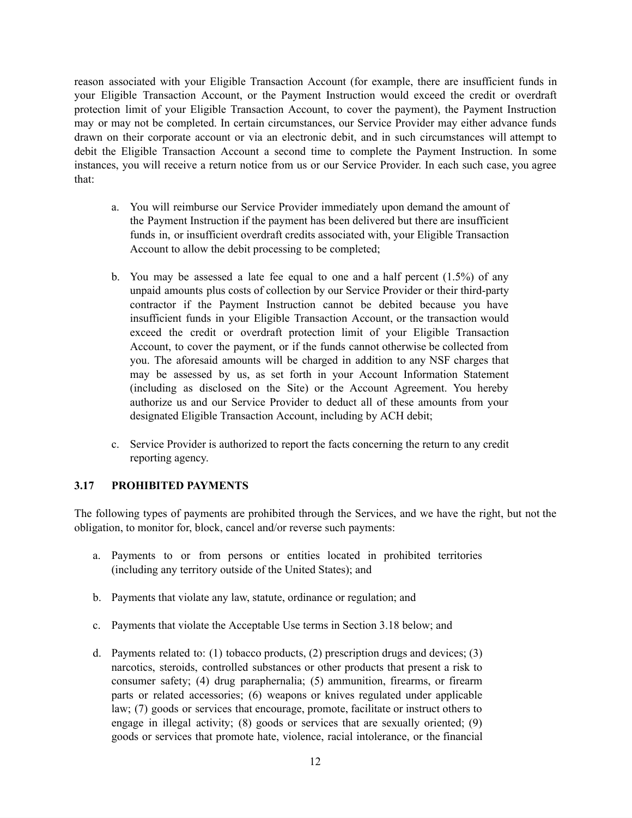reason associated with your Eligible Transaction Account (for example, there are insufficient funds in your Eligible Transaction Account, or the Payment Instruction would exceed the credit or overdraft protection limit of your Eligible Transaction Account, to cover the payment), the Payment Instruction may or may not be completed. In certain circumstances, our Service Provider may either advance funds drawn on their corporate account or via an electronic debit, and in such circumstances will attempt to debit the Eligible Transaction Account a second time to complete the Payment Instruction. In some instances, you will receive a return notice from us or our Service Provider. In each such case, you agree that:

- a. You will reimburse our Service Provider immediately upon demand the amount of the Payment Instruction if the payment has been delivered but there are insufficient funds in, or insufficient overdraft credits associated with, your Eligible Transaction Account to allow the debit processing to be completed;
- b. You may be assessed a late fee equal to one and a half percent  $(1.5%)$  of any unpaid amounts plus costs of collection by our Service Provider or their third-party contractor if the Payment Instruction cannot be debited because you have insufficient funds in your Eligible Transaction Account, or the transaction would exceed the credit or overdraft protection limit of your Eligible Transaction Account, to cover the payment, or if the funds cannot otherwise be collected from you. The aforesaid amounts will be charged in addition to any NSF charges that may be assessed by us, as set forth in your Account Information Statement (including as disclosed on the Site) or the Account Agreement. You hereby authorize us and our Service Provider to deduct all of these amounts from your designated Eligible Transaction Account, including by ACH debit;
- c. Service Provider is authorized to report the facts concerning the return to any credit reporting agency.

## **3.17 PROHIBITED PAYMENTS**

The following types of payments are prohibited through the Services, and we have the right, but not the obligation, to monitor for, block, cancel and/or reverse such payments:

- a. Payments to or from persons or entities located in prohibited territories (including any territory outside of the United States); and
- b. Payments that violate any law, statute, ordinance or regulation; and
- c. Payments that violate the Acceptable Use terms in Section 3.18 below; and
- d. Payments related to: (1) tobacco products, (2) prescription drugs and devices; (3) narcotics, steroids, controlled substances or other products that present a risk to consumer safety; (4) drug paraphernalia; (5) ammunition, firearms, or firearm parts or related accessories; (6) weapons or knives regulated under applicable law; (7) goods or services that encourage, promote, facilitate or instruct others to engage in illegal activity; (8) goods or services that are sexually oriented; (9) goods or services that promote hate, violence, racial intolerance, or the financial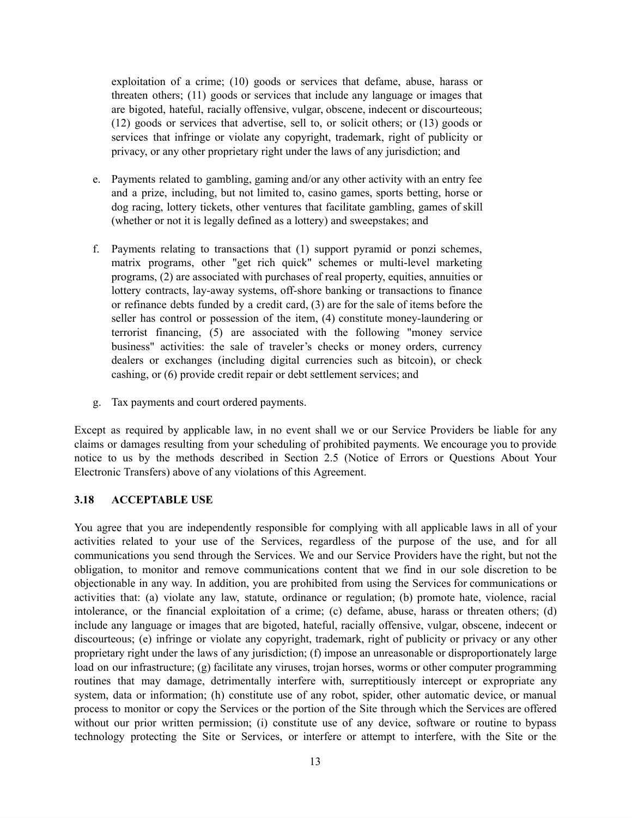exploitation of a crime; (10) goods or services that defame, abuse, harass or threaten others; (11) goods or services that include any language or images that are bigoted, hateful, racially offensive, vulgar, obscene, indecent or discourteous; (12) goods or services that advertise, sell to, or solicit others; or (13) goods or services that infringe or violate any copyright, trademark, right of publicity or privacy, or any other proprietary right under the laws of any jurisdiction; and

- e. Payments related to gambling, gaming and/or any other activity with an entry fee and a prize, including, but not limited to, casino games, sports betting, horse or dog racing, lottery tickets, other ventures that facilitate gambling, games of skill (whether or not it is legally defined as a lottery) and sweepstakes; and
- f. Payments relating to transactions that (1) support pyramid or ponzi schemes, matrix programs, other "get rich quick" schemes or multi-level marketing programs, (2) are associated with purchases of real property, equities, annuities or lottery contracts, lay-away systems, off-shore banking or transactions to finance or refinance debts funded by a credit card, (3) are for the sale of items before the seller has control or possession of the item, (4) constitute money-laundering or terrorist financing, (5) are associated with the following "money service business" activities: the sale of traveler's checks or money orders, currency dealers or exchanges (including digital currencies such as bitcoin), or check cashing, or (6) provide credit repair or debt settlement services; and
- g. Tax payments and court ordered payments.

Except as required by applicable law, in no event shall we or our Service Providers be liable for any claims or damages resulting from your scheduling of prohibited payments. We encourage you to provide notice to us by the methods described in Section 2.5 (Notice of Errors or Questions About Your Electronic Transfers) above of any violations of this Agreement.

#### **3.18 ACCEPTABLE USE**

You agree that you are independently responsible for complying with all applicable laws in all of your activities related to your use of the Services, regardless of the purpose of the use, and for all communications you send through the Services. We and our Service Providers have the right, but not the obligation, to monitor and remove communications content that we find in our sole discretion to be objectionable in any way. In addition, you are prohibited from using the Services for communications or activities that: (a) violate any law, statute, ordinance or regulation; (b) promote hate, violence, racial intolerance, or the financial exploitation of a crime; (c) defame, abuse, harass or threaten others; (d) include any language or images that are bigoted, hateful, racially offensive, vulgar, obscene, indecent or discourteous; (e) infringe or violate any copyright, trademark, right of publicity or privacy or any other proprietary right under the laws of any jurisdiction; (f) impose an unreasonable or disproportionately large load on our infrastructure; (g) facilitate any viruses, trojan horses, worms or other computer programming routines that may damage, detrimentally interfere with, surreptitiously intercept or expropriate any system, data or information; (h) constitute use of any robot, spider, other automatic device, or manual process to monitor or copy the Services or the portion of the Site through which the Services are offered without our prior written permission; (i) constitute use of any device, software or routine to bypass technology protecting the Site or Services, or interfere or attempt to interfere, with the Site or the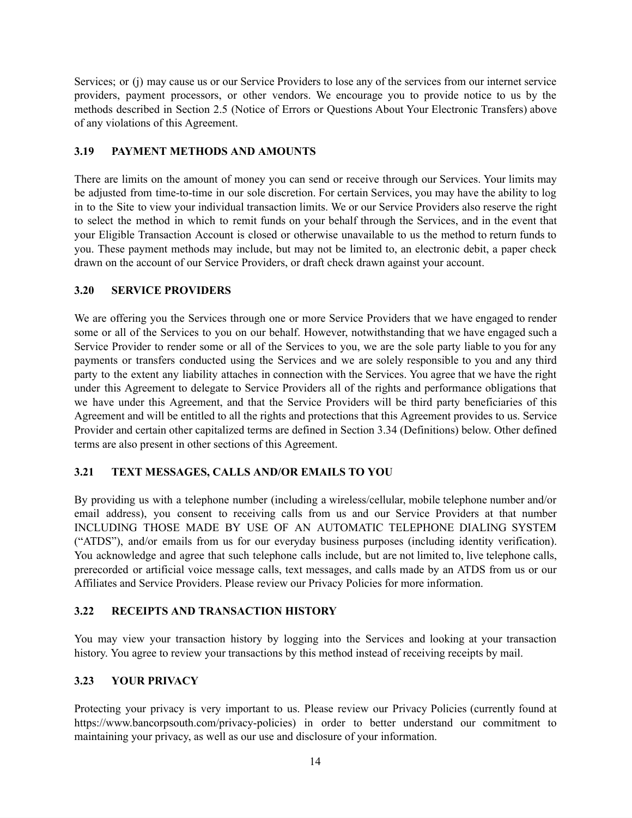Services; or (j) may cause us or our Service Providers to lose any of the services from our internet service providers, payment processors, or other vendors. We encourage you to provide notice to us by the methods described in Section 2.5 (Notice of Errors or Questions About Your Electronic Transfers) above of any violations of this Agreement.

#### **3.19 PAYMENT METHODS AND AMOUNTS**

There are limits on the amount of money you can send or receive through our Services. Your limits may be adjusted from time-to-time in our sole discretion. For certain Services, you may have the ability to log in to the Site to view your individual transaction limits. We or our Service Providers also reserve the right to select the method in which to remit funds on your behalf through the Services, and in the event that your Eligible Transaction Account is closed or otherwise unavailable to us the method to return funds to you. These payment methods may include, but may not be limited to, an electronic debit, a paper check drawn on the account of our Service Providers, or draft check drawn against your account.

### **3.20 SERVICE PROVIDERS**

We are offering you the Services through one or more Service Providers that we have engaged to render some or all of the Services to you on our behalf. However, notwithstanding that we have engaged such a Service Provider to render some or all of the Services to you, we are the sole party liable to you for any payments or transfers conducted using the Services and we are solely responsible to you and any third party to the extent any liability attaches in connection with the Services. You agree that we have the right under this Agreement to delegate to Service Providers all of the rights and performance obligations that we have under this Agreement, and that the Service Providers will be third party beneficiaries of this Agreement and will be entitled to all the rights and protections that this Agreement provides to us. Service Provider and certain other capitalized terms are defined in Section 3.34 (Definitions) below. Other defined terms are also present in other sections of this Agreement.

## **3.21 TEXT MESSAGES, CALLS AND/OR EMAILS TO YOU**

By providing us with a telephone number (including a wireless/cellular, mobile telephone number and/or email address), you consent to receiving calls from us and our Service Providers at that number INCLUDING THOSE MADE BY USE OF AN AUTOMATIC TELEPHONE DIALING SYSTEM ("ATDS"), and/or emails from us for our everyday business purposes (including identity verification). You acknowledge and agree that such telephone calls include, but are not limited to, live telephone calls, prerecorded or artificial voice message calls, text messages, and calls made by an ATDS from us or our Affiliates and Service Providers. Please review our Privacy Policies for more information.

## **3.22 RECEIPTS AND TRANSACTION HISTORY**

You may view your transaction history by logging into the Services and looking at your transaction history. You agree to review your transactions by this method instead of receiving receipts by mail.

## **3.23 YOUR PRIVACY**

Protecting your privacy is very important to us. Please review our Privacy Policies (currently found at https://www.bancorpsouth.com/privacy-policies) in order to better understand our commitment to maintaining your privacy, as well as our use and disclosure of your information.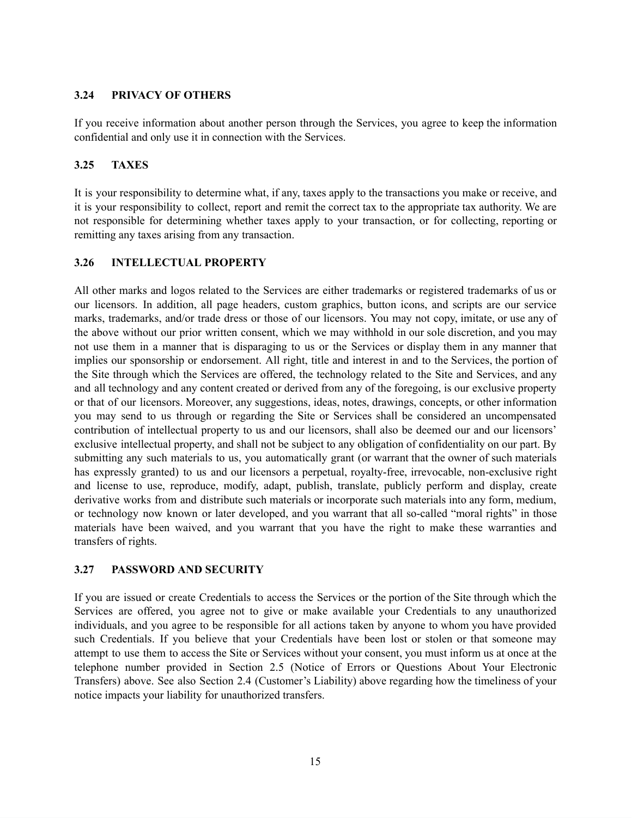#### **3.24 PRIVACY OF OTHERS**

If you receive information about another person through the Services, you agree to keep the information confidential and only use it in connection with the Services.

## **3.25 TAXES**

It is your responsibility to determine what, if any, taxes apply to the transactions you make or receive, and it is your responsibility to collect, report and remit the correct tax to the appropriate tax authority. We are not responsible for determining whether taxes apply to your transaction, or for collecting, reporting or remitting any taxes arising from any transaction.

## **3.26 INTELLECTUAL PROPERTY**

All other marks and logos related to the Services are either trademarks or registered trademarks of us or our licensors. In addition, all page headers, custom graphics, button icons, and scripts are our service marks, trademarks, and/or trade dress or those of our licensors. You may not copy, imitate, or use any of the above without our prior written consent, which we may withhold in our sole discretion, and you may not use them in a manner that is disparaging to us or the Services or display them in any manner that implies our sponsorship or endorsement. All right, title and interest in and to the Services, the portion of the Site through which the Services are offered, the technology related to the Site and Services, and any and all technology and any content created or derived from any of the foregoing, is our exclusive property or that of our licensors. Moreover, any suggestions, ideas, notes, drawings, concepts, or other information you may send to us through or regarding the Site or Services shall be considered an uncompensated contribution of intellectual property to us and our licensors, shall also be deemed our and our licensors' exclusive intellectual property, and shall not be subject to any obligation of confidentiality on our part. By submitting any such materials to us, you automatically grant (or warrant that the owner of such materials has expressly granted) to us and our licensors a perpetual, royalty-free, irrevocable, non-exclusive right and license to use, reproduce, modify, adapt, publish, translate, publicly perform and display, create derivative works from and distribute such materials or incorporate such materials into any form, medium, or technology now known or later developed, and you warrant that all so-called "moral rights" in those materials have been waived, and you warrant that you have the right to make these warranties and transfers of rights.

#### **3.27 PASSWORD AND SECURITY**

If you are issued or create Credentials to access the Services or the portion of the Site through which the Services are offered, you agree not to give or make available your Credentials to any unauthorized individuals, and you agree to be responsible for all actions taken by anyone to whom you have provided such Credentials. If you believe that your Credentials have been lost or stolen or that someone may attempt to use them to access the Site or Services without your consent, you must inform us at once at the telephone number provided in Section 2.5 (Notice of Errors or Questions About Your Electronic Transfers) above. See also Section 2.4 (Customer's Liability) above regarding how the timeliness of your notice impacts your liability for unauthorized transfers.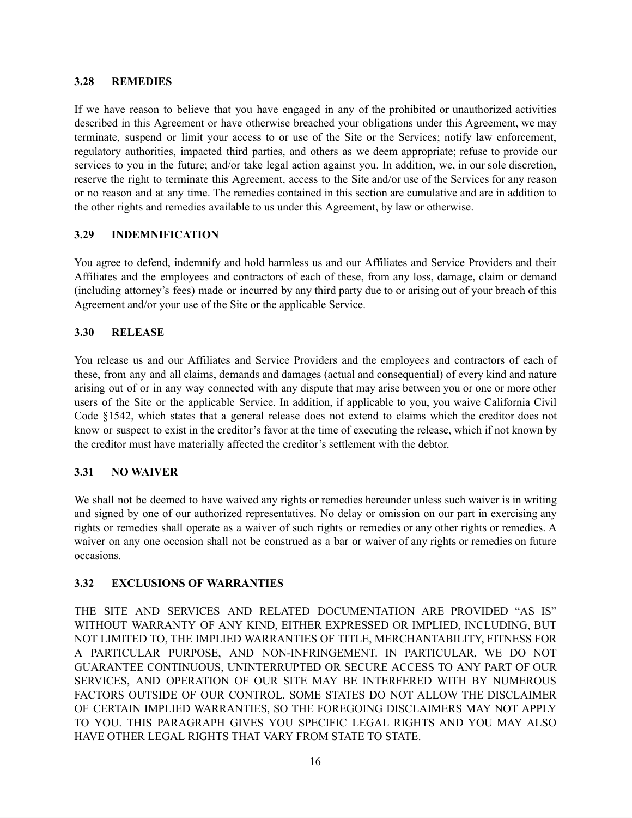#### **3.28 REMEDIES**

If we have reason to believe that you have engaged in any of the prohibited or unauthorized activities described in this Agreement or have otherwise breached your obligations under this Agreement, we may terminate, suspend or limit your access to or use of the Site or the Services; notify law enforcement, regulatory authorities, impacted third parties, and others as we deem appropriate; refuse to provide our services to you in the future; and/or take legal action against you. In addition, we, in our sole discretion, reserve the right to terminate this Agreement, access to the Site and/or use of the Services for any reason or no reason and at any time. The remedies contained in this section are cumulative and are in addition to the other rights and remedies available to us under this Agreement, by law or otherwise.

### **3.29 INDEMNIFICATION**

You agree to defend, indemnify and hold harmless us and our Affiliates and Service Providers and their Affiliates and the employees and contractors of each of these, from any loss, damage, claim or demand (including attorney's fees) made or incurred by any third party due to or arising out of your breach of this Agreement and/or your use of the Site or the applicable Service.

### **3.30 RELEASE**

You release us and our Affiliates and Service Providers and the employees and contractors of each of these, from any and all claims, demands and damages (actual and consequential) of every kind and nature arising out of or in any way connected with any dispute that may arise between you or one or more other users of the Site or the applicable Service. In addition, if applicable to you, you waive California Civil Code §1542, which states that a general release does not extend to claims which the creditor does not know or suspect to exist in the creditor's favor at the time of executing the release, which if not known by the creditor must have materially affected the creditor's settlement with the debtor.

## **3.31 NO WAIVER**

We shall not be deemed to have waived any rights or remedies hereunder unless such waiver is in writing and signed by one of our authorized representatives. No delay or omission on our part in exercising any rights or remedies shall operate as a waiver of such rights or remedies or any other rights or remedies. A waiver on any one occasion shall not be construed as a bar or waiver of any rights or remedies on future occasions.

#### **3.32 EXCLUSIONS OF WARRANTIES**

THE SITE AND SERVICES AND RELATED DOCUMENTATION ARE PROVIDED "AS IS" WITHOUT WARRANTY OF ANY KIND, EITHER EXPRESSED OR IMPLIED, INCLUDING, BUT NOT LIMITED TO, THE IMPLIED WARRANTIES OF TITLE, MERCHANTABILITY, FITNESS FOR A PARTICULAR PURPOSE, AND NON-INFRINGEMENT. IN PARTICULAR, WE DO NOT GUARANTEE CONTINUOUS, UNINTERRUPTED OR SECURE ACCESS TO ANY PART OF OUR SERVICES, AND OPERATION OF OUR SITE MAY BE INTERFERED WITH BY NUMEROUS FACTORS OUTSIDE OF OUR CONTROL. SOME STATES DO NOT ALLOW THE DISCLAIMER OF CERTAIN IMPLIED WARRANTIES, SO THE FOREGOING DISCLAIMERS MAY NOT APPLY TO YOU. THIS PARAGRAPH GIVES YOU SPECIFIC LEGAL RIGHTS AND YOU MAY ALSO HAVE OTHER LEGAL RIGHTS THAT VARY FROM STATE TO STATE.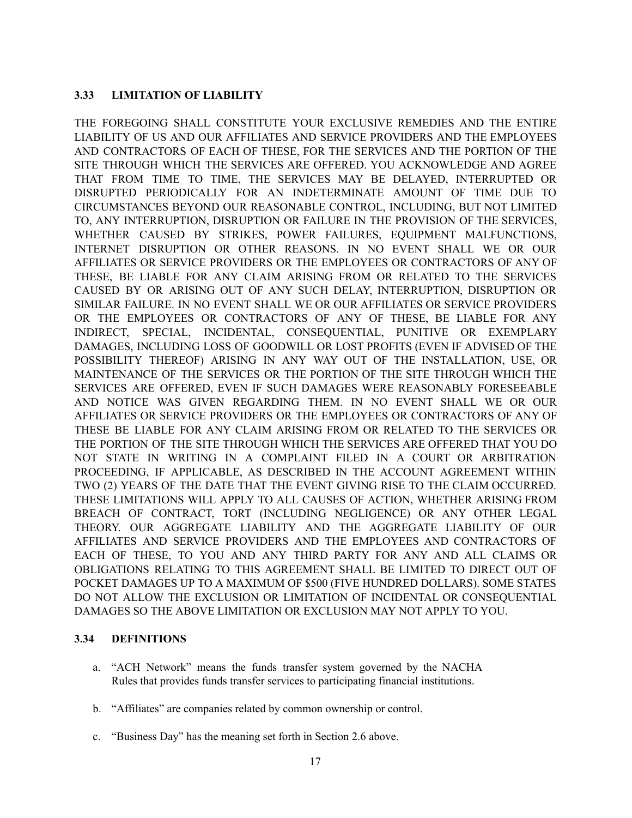### **3.33 LIMITATION OF LIABILITY**

THE FOREGOING SHALL CONSTITUTE YOUR EXCLUSIVE REMEDIES AND THE ENTIRE LIABILITY OF US AND OUR AFFILIATES AND SERVICE PROVIDERS AND THE EMPLOYEES AND CONTRACTORS OF EACH OF THESE, FOR THE SERVICES AND THE PORTION OF THE SITE THROUGH WHICH THE SERVICES ARE OFFERED. YOU ACKNOWLEDGE AND AGREE THAT FROM TIME TO TIME, THE SERVICES MAY BE DELAYED, INTERRUPTED OR DISRUPTED PERIODICALLY FOR AN INDETERMINATE AMOUNT OF TIME DUE TO CIRCUMSTANCES BEYOND OUR REASONABLE CONTROL, INCLUDING, BUT NOT LIMITED TO, ANY INTERRUPTION, DISRUPTION OR FAILURE IN THE PROVISION OF THE SERVICES, WHETHER CAUSED BY STRIKES, POWER FAILURES, EQUIPMENT MALFUNCTIONS, INTERNET DISRUPTION OR OTHER REASONS. IN NO EVENT SHALL WE OR OUR AFFILIATES OR SERVICE PROVIDERS OR THE EMPLOYEES OR CONTRACTORS OF ANY OF THESE, BE LIABLE FOR ANY CLAIM ARISING FROM OR RELATED TO THE SERVICES CAUSED BY OR ARISING OUT OF ANY SUCH DELAY, INTERRUPTION, DISRUPTION OR SIMILAR FAILURE. IN NO EVENT SHALL WE OR OUR AFFILIATES OR SERVICE PROVIDERS OR THE EMPLOYEES OR CONTRACTORS OF ANY OF THESE, BE LIABLE FOR ANY INDIRECT, SPECIAL, INCIDENTAL, CONSEQUENTIAL, PUNITIVE OR EXEMPLARY DAMAGES, INCLUDING LOSS OF GOODWILL OR LOST PROFITS (EVEN IF ADVISED OF THE POSSIBILITY THEREOF) ARISING IN ANY WAY OUT OF THE INSTALLATION, USE, OR MAINTENANCE OF THE SERVICES OR THE PORTION OF THE SITE THROUGH WHICH THE SERVICES ARE OFFERED, EVEN IF SUCH DAMAGES WERE REASONABLY FORESEEABLE AND NOTICE WAS GIVEN REGARDING THEM. IN NO EVENT SHALL WE OR OUR AFFILIATES OR SERVICE PROVIDERS OR THE EMPLOYEES OR CONTRACTORS OF ANY OF THESE BE LIABLE FOR ANY CLAIM ARISING FROM OR RELATED TO THE SERVICES OR THE PORTION OF THE SITE THROUGH WHICH THE SERVICES ARE OFFERED THAT YOU DO NOT STATE IN WRITING IN A COMPLAINT FILED IN A COURT OR ARBITRATION PROCEEDING, IF APPLICABLE, AS DESCRIBED IN THE ACCOUNT AGREEMENT WITHIN TWO (2) YEARS OF THE DATE THAT THE EVENT GIVING RISE TO THE CLAIM OCCURRED. THESE LIMITATIONS WILL APPLY TO ALL CAUSES OF ACTION, WHETHER ARISING FROM BREACH OF CONTRACT, TORT (INCLUDING NEGLIGENCE) OR ANY OTHER LEGAL THEORY. OUR AGGREGATE LIABILITY AND THE AGGREGATE LIABILITY OF OUR AFFILIATES AND SERVICE PROVIDERS AND THE EMPLOYEES AND CONTRACTORS OF EACH OF THESE, TO YOU AND ANY THIRD PARTY FOR ANY AND ALL CLAIMS OR OBLIGATIONS RELATING TO THIS AGREEMENT SHALL BE LIMITED TO DIRECT OUT OF POCKET DAMAGES UP TO A MAXIMUM OF \$500 (FIVE HUNDRED DOLLARS). SOME STATES DO NOT ALLOW THE EXCLUSION OR LIMITATION OF INCIDENTAL OR CONSEQUENTIAL DAMAGES SO THE ABOVE LIMITATION OR EXCLUSION MAY NOT APPLY TO YOU.

#### **3.34 DEFINITIONS**

- a. "ACH Network" means the funds transfer system governed by the NACHA Rules that provides funds transfer services to participating financial institutions.
- b. "Affiliates" are companies related by common ownership or control.
- c. "Business Day" has the meaning set forth in Section 2.6 above.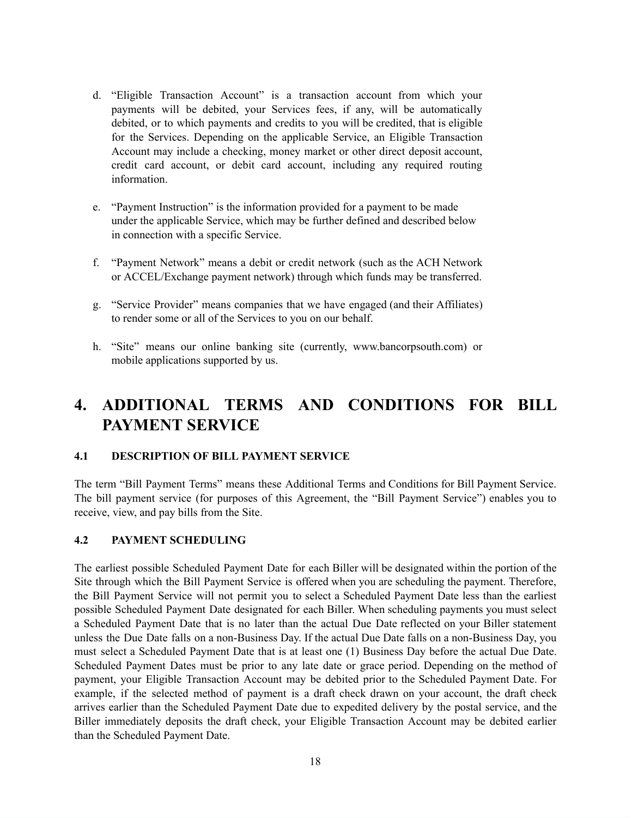- d. "Eligible Transaction Account" is a transaction account from which your payments will be debited, your Services fees, if any, will be automatically debited, or to which payments and credits to you will be credited, that is eligible for the Services. Depending on the applicable Service, an Eligible Transaction Account may include a checking, money market or other direct deposit account, credit card account, or debit card account, including any required routing information.
- e. "Payment Instruction" is the information provided for a payment to be made under the applicable Service, which may be further defined and described below in connection with a specific Service.
- f. "Payment Network" means a debit or credit network (such as the ACH Network or ACCEL/Exchange payment network) through which funds may be transferred.
- g. "Service Provider" means companies that we have engaged (and their Affiliates) to render some or all of the Services to you on our behalf.
- h. "Site" means our online banking site (currently, www.bancorpsouth.com) or mobile applications supported by us.

# **4. ADDITIONAL TERMS AND CONDITIONS FOR BILL PAYMENT SERVICE**

#### **4.1 DESCRIPTION OF BILL PAYMENT SERVICE**

The term "Bill Payment Terms" means these Additional Terms and Conditions for Bill Payment Service. The bill payment service (for purposes of this Agreement, the "Bill Payment Service") enables you to receive, view, and pay bills from the Site.

#### **4.2 PAYMENT SCHEDULING**

The earliest possible Scheduled Payment Date for each Biller will be designated within the portion of the Site through which the Bill Payment Service is offered when you are scheduling the payment. Therefore, the Bill Payment Service will not permit you to select a Scheduled Payment Date less than the earliest possible Scheduled Payment Date designated for each Biller. When scheduling payments you must select a Scheduled Payment Date that is no later than the actual Due Date reflected on your Biller statement unless the Due Date falls on a non-Business Day. If the actual Due Date falls on a non-Business Day, you must select a Scheduled Payment Date that is at least one (1) Business Day before the actual Due Date. Scheduled Payment Dates must be prior to any late date or grace period. Depending on the method of payment, your Eligible Transaction Account may be debited prior to the Scheduled Payment Date. For example, if the selected method of payment is a draft check drawn on your account, the draft check arrives earlier than the Scheduled Payment Date due to expedited delivery by the postal service, and the Biller immediately deposits the draft check, your Eligible Transaction Account may be debited earlier than the Scheduled Payment Date.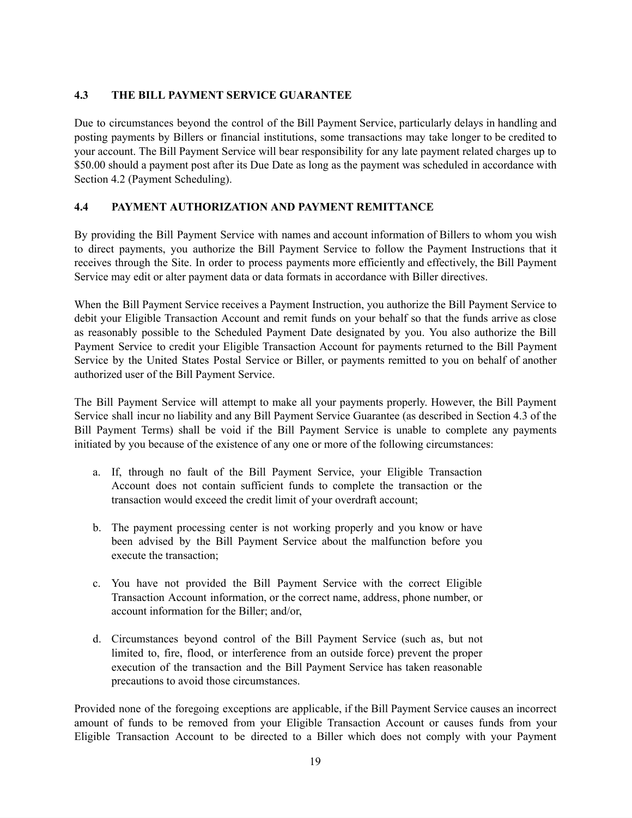### **4.3 THE BILL PAYMENT SERVICE GUARANTEE**

Due to circumstances beyond the control of the Bill Payment Service, particularly delays in handling and posting payments by Billers or financial institutions, some transactions may take longer to be credited to your account. The Bill Payment Service will bear responsibility for any late payment related charges up to \$50.00 should a payment post after its Due Date as long as the payment was scheduled in accordance with Section 4.2 (Payment Scheduling).

## **4.4 PAYMENT AUTHORIZATION AND PAYMENT REMITTANCE**

By providing the Bill Payment Service with names and account information of Billers to whom you wish to direct payments, you authorize the Bill Payment Service to follow the Payment Instructions that it receives through the Site. In order to process payments more efficiently and effectively, the Bill Payment Service may edit or alter payment data or data formats in accordance with Biller directives.

When the Bill Payment Service receives a Payment Instruction, you authorize the Bill Payment Service to debit your Eligible Transaction Account and remit funds on your behalf so that the funds arrive as close as reasonably possible to the Scheduled Payment Date designated by you. You also authorize the Bill Payment Service to credit your Eligible Transaction Account for payments returned to the Bill Payment Service by the United States Postal Service or Biller, or payments remitted to you on behalf of another authorized user of the Bill Payment Service.

The Bill Payment Service will attempt to make all your payments properly. However, the Bill Payment Service shall incur no liability and any Bill Payment Service Guarantee (as described in Section 4.3 of the Bill Payment Terms) shall be void if the Bill Payment Service is unable to complete any payments initiated by you because of the existence of any one or more of the following circumstances:

- a. If, through no fault of the Bill Payment Service, your Eligible Transaction Account does not contain sufficient funds to complete the transaction or the transaction would exceed the credit limit of your overdraft account;
- b. The payment processing center is not working properly and you know or have been advised by the Bill Payment Service about the malfunction before you execute the transaction;
- c. You have not provided the Bill Payment Service with the correct Eligible Transaction Account information, or the correct name, address, phone number, or account information for the Biller; and/or,
- d. Circumstances beyond control of the Bill Payment Service (such as, but not limited to, fire, flood, or interference from an outside force) prevent the proper execution of the transaction and the Bill Payment Service has taken reasonable precautions to avoid those circumstances.

Provided none of the foregoing exceptions are applicable, if the Bill Payment Service causes an incorrect amount of funds to be removed from your Eligible Transaction Account or causes funds from your Eligible Transaction Account to be directed to a Biller which does not comply with your Payment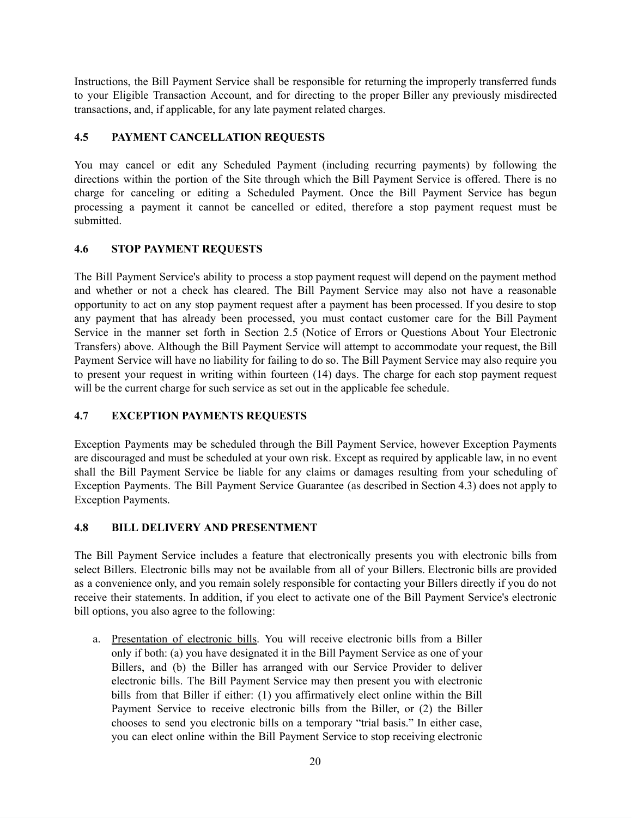Instructions, the Bill Payment Service shall be responsible for returning the improperly transferred funds to your Eligible Transaction Account, and for directing to the proper Biller any previously misdirected transactions, and, if applicable, for any late payment related charges.

## **4.5 PAYMENT CANCELLATION REQUESTS**

You may cancel or edit any Scheduled Payment (including recurring payments) by following the directions within the portion of the Site through which the Bill Payment Service is offered. There is no charge for canceling or editing a Scheduled Payment. Once the Bill Payment Service has begun processing a payment it cannot be cancelled or edited, therefore a stop payment request must be submitted.

## **4.6 STOP PAYMENT REQUESTS**

The Bill Payment Service's ability to process a stop payment request will depend on the payment method and whether or not a check has cleared. The Bill Payment Service may also not have a reasonable opportunity to act on any stop payment request after a payment has been processed. If you desire to stop any payment that has already been processed, you must contact customer care for the Bill Payment Service in the manner set forth in Section 2.5 (Notice of Errors or Questions About Your Electronic Transfers) above. Although the Bill Payment Service will attempt to accommodate your request, the Bill Payment Service will have no liability for failing to do so. The Bill Payment Service may also require you to present your request in writing within fourteen (14) days. The charge for each stop payment request will be the current charge for such service as set out in the applicable fee schedule.

## **4.7 EXCEPTION PAYMENTS REQUESTS**

Exception Payments may be scheduled through the Bill Payment Service, however Exception Payments are discouraged and must be scheduled at your own risk. Except as required by applicable law, in no event shall the Bill Payment Service be liable for any claims or damages resulting from your scheduling of Exception Payments. The Bill Payment Service Guarantee (as described in Section 4.3) does not apply to Exception Payments.

## **4.8 BILL DELIVERY AND PRESENTMENT**

The Bill Payment Service includes a feature that electronically presents you with electronic bills from select Billers. Electronic bills may not be available from all of your Billers. Electronic bills are provided as a convenience only, and you remain solely responsible for contacting your Billers directly if you do not receive their statements. In addition, if you elect to activate one of the Bill Payment Service's electronic bill options, you also agree to the following:

a. Presentation of electronic bills. You will receive electronic bills from a Biller only if both: (a) you have designated it in the Bill Payment Service as one of your Billers, and (b) the Biller has arranged with our Service Provider to deliver electronic bills. The Bill Payment Service may then present you with electronic bills from that Biller if either: (1) you affirmatively elect online within the Bill Payment Service to receive electronic bills from the Biller, or (2) the Biller chooses to send you electronic bills on a temporary "trial basis." In either case, you can elect online within the Bill Payment Service to stop receiving electronic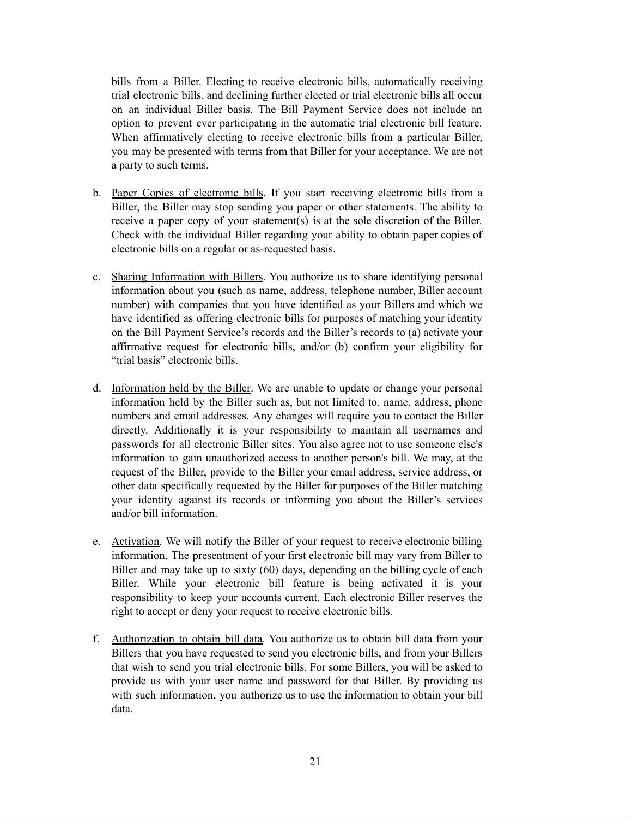bills from a Biller. Electing to receive electronic bills, automatically receiving trial electronic bills, and declining further elected or trial electronic bills all occur on an individual Biller basis. The Bill Payment Service does not include an option to prevent ever participating in the automatic trial electronic bill feature. When affirmatively electing to receive electronic bills from a particular Biller, you may be presented with terms from that Biller for your acceptance. We are not a party to such terms.

- b. Paper Copies of electronic bills. If you start receiving electronic bills from a Biller, the Biller may stop sending you paper or other statements. The ability to receive a paper copy of your statement(s) is at the sole discretion of the Biller. Check with the individual Biller regarding your ability to obtain paper copies of electronic bills on a regular or as-requested basis.
- c. Sharing Information with Billers. You authorize us to share identifying personal information about you (such as name, address, telephone number, Biller account number) with companies that you have identified as your Billers and which we have identified as offering electronic bills for purposes of matching your identity on the Bill Payment Service's records and the Biller's records to (a) activate your affirmative request for electronic bills, and/or (b) confirm your eligibility for "trial basis" electronic bills.
- d. Information held by the Biller. We are unable to update or change your personal information held by the Biller such as, but not limited to, name, address, phone numbers and email addresses. Any changes will require you to contact the Biller directly. Additionally it is your responsibility to maintain all usernames and passwords for all electronic Biller sites. You also agree not to use someone else's information to gain unauthorized access to another person's bill. We may, at the request of the Biller, provide to the Biller your email address, service address, or other data specifically requested by the Biller for purposes of the Biller matching your identity against its records or informing you about the Biller's services and/or bill information.
- e. Activation. We will notify the Biller of your request to receive electronic billing information. The presentment of your first electronic bill may vary from Biller to Biller and may take up to sixty (60) days, depending on the billing cycle of each Biller. While your electronic bill feature is being activated it is your responsibility to keep your accounts current. Each electronic Biller reserves the right to accept or deny your request to receive electronic bills.
- f. Authorization to obtain bill data. You authorize us to obtain bill data from your Billers that you have requested to send you electronic bills, and from your Billers that wish to send you trial electronic bills. For some Billers, you will be asked to provide us with your user name and password for that Biller. By providing us with such information, you authorize us to use the information to obtain your bill data.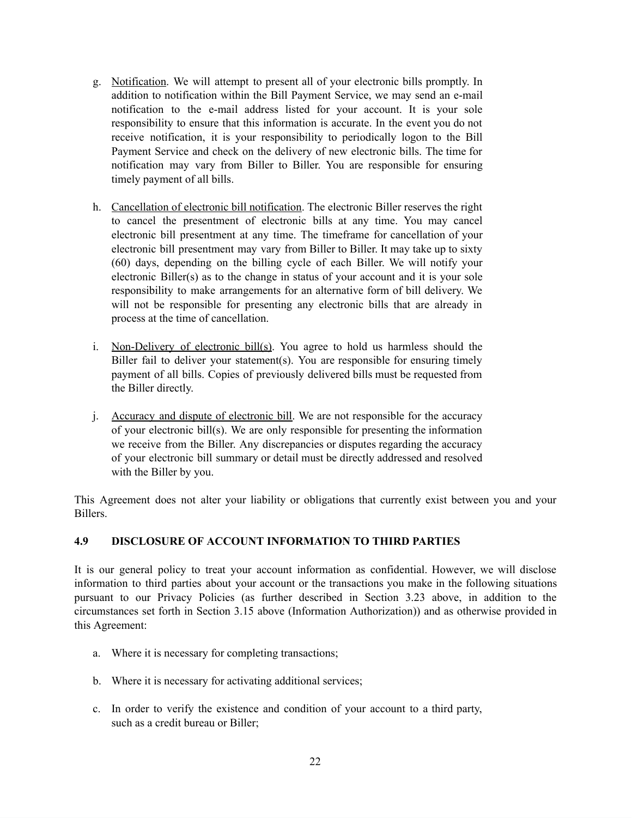- g. Notification. We will attempt to present all of your electronic bills promptly. In addition to notification within the Bill Payment Service, we may send an e-mail notification to the e-mail address listed for your account. It is your sole responsibility to ensure that this information is accurate. In the event you do not receive notification, it is your responsibility to periodically logon to the Bill Payment Service and check on the delivery of new electronic bills. The time for notification may vary from Biller to Biller. You are responsible for ensuring timely payment of all bills.
- h. Cancellation of electronic bill notification. The electronic Biller reserves the right to cancel the presentment of electronic bills at any time. You may cancel electronic bill presentment at any time. The timeframe for cancellation of your electronic bill presentment may vary from Biller to Biller. It may take up to sixty (60) days, depending on the billing cycle of each Biller. We will notify your electronic Biller(s) as to the change in status of your account and it is your sole responsibility to make arrangements for an alternative form of bill delivery. We will not be responsible for presenting any electronic bills that are already in process at the time of cancellation.
- i. Non-Delivery of electronic  $\frac{b_i f(s)}{s_i}$ . You agree to hold us harmless should the Biller fail to deliver your statement(s). You are responsible for ensuring timely payment of all bills. Copies of previously delivered bills must be requested from the Biller directly.
- j. Accuracy and dispute of electronic bill. We are not responsible for the accuracy of your electronic bill(s). We are only responsible for presenting the information we receive from the Biller. Any discrepancies or disputes regarding the accuracy of your electronic bill summary or detail must be directly addressed and resolved with the Biller by you.

This Agreement does not alter your liability or obligations that currently exist between you and your Billers.

#### **4.9 DISCLOSURE OF ACCOUNT INFORMATION TO THIRD PARTIES**

It is our general policy to treat your account information as confidential. However, we will disclose information to third parties about your account or the transactions you make in the following situations pursuant to our Privacy Policies (as further described in Section 3.23 above, in addition to the circumstances set forth in Section 3.15 above (Information Authorization)) and as otherwise provided in this Agreement:

- a. Where it is necessary for completing transactions;
- b. Where it is necessary for activating additional services;
- c. In order to verify the existence and condition of your account to a third party, such as a credit bureau or Biller;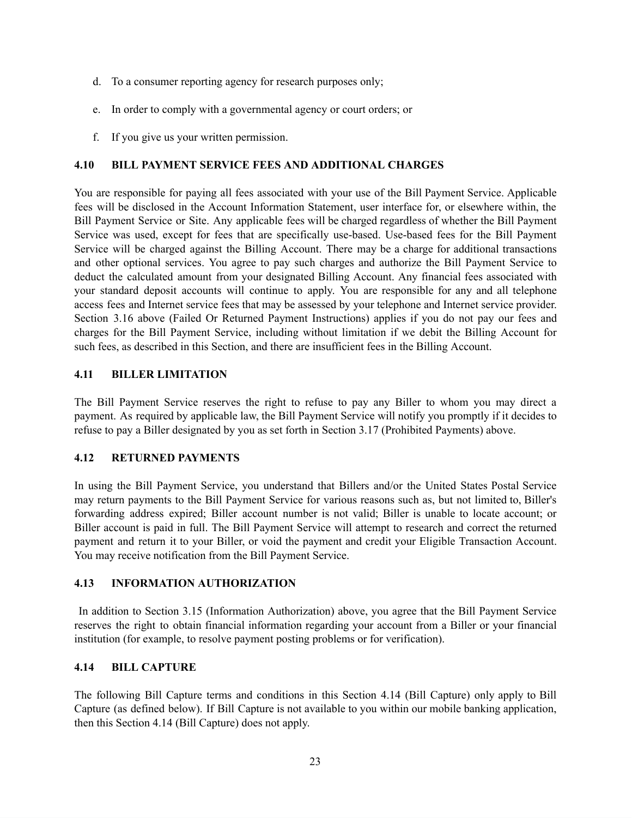- d. To a consumer reporting agency for research purposes only;
- e. In order to comply with a governmental agency or court orders; or
- f. If you give us your written permission.

## **4.10 BILL PAYMENT SERVICE FEES AND ADDITIONAL CHARGES**

You are responsible for paying all fees associated with your use of the Bill Payment Service. Applicable fees will be disclosed in the Account Information Statement, user interface for, or elsewhere within, the Bill Payment Service or Site. Any applicable fees will be charged regardless of whether the Bill Payment Service was used, except for fees that are specifically use-based. Use-based fees for the Bill Payment Service will be charged against the Billing Account. There may be a charge for additional transactions and other optional services. You agree to pay such charges and authorize the Bill Payment Service to deduct the calculated amount from your designated Billing Account. Any financial fees associated with your standard deposit accounts will continue to apply. You are responsible for any and all telephone access fees and Internet service fees that may be assessed by your telephone and Internet service provider. Section 3.16 above (Failed Or Returned Payment Instructions) applies if you do not pay our fees and charges for the Bill Payment Service, including without limitation if we debit the Billing Account for such fees, as described in this Section, and there are insufficient fees in the Billing Account.

### **4.11 BILLER LIMITATION**

The Bill Payment Service reserves the right to refuse to pay any Biller to whom you may direct a payment. As required by applicable law, the Bill Payment Service will notify you promptly if it decides to refuse to pay a Biller designated by you as set forth in Section 3.17 (Prohibited Payments) above.

## **4.12 RETURNED PAYMENTS**

In using the Bill Payment Service, you understand that Billers and/or the United States Postal Service may return payments to the Bill Payment Service for various reasons such as, but not limited to, Biller's forwarding address expired; Biller account number is not valid; Biller is unable to locate account; or Biller account is paid in full. The Bill Payment Service will attempt to research and correct the returned payment and return it to your Biller, or void the payment and credit your Eligible Transaction Account. You may receive notification from the Bill Payment Service.

#### **4.13 INFORMATION AUTHORIZATION**

In addition to Section 3.15 (Information Authorization) above, you agree that the Bill Payment Service reserves the right to obtain financial information regarding your account from a Biller or your financial institution (for example, to resolve payment posting problems or for verification).

#### **4.14 BILL CAPTURE**

The following Bill Capture terms and conditions in this Section 4.14 (Bill Capture) only apply to Bill Capture (as defined below). If Bill Capture is not available to you within our mobile banking application, then this Section 4.14 (Bill Capture) does not apply.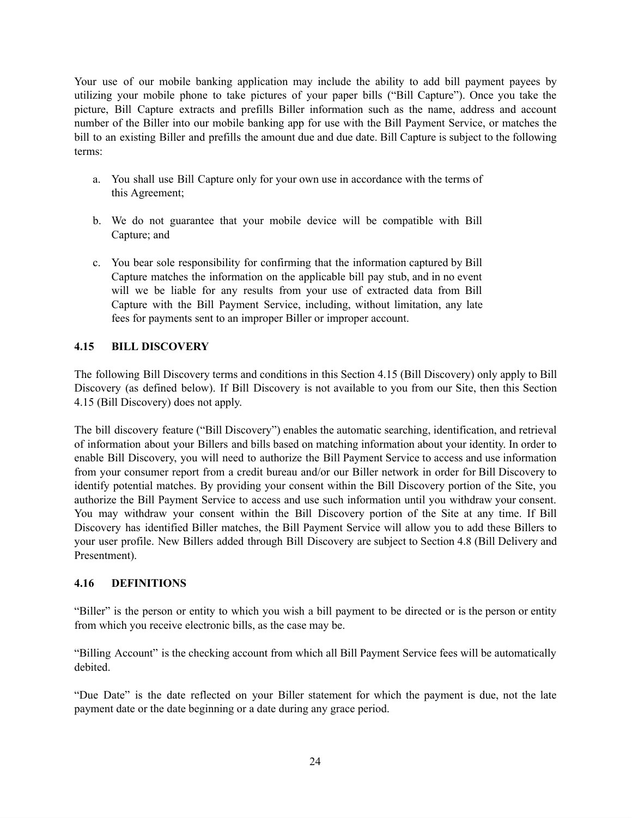Your use of our mobile banking application may include the ability to add bill payment payees by utilizing your mobile phone to take pictures of your paper bills ("Bill Capture"). Once you take the picture, Bill Capture extracts and prefills Biller information such as the name, address and account number of the Biller into our mobile banking app for use with the Bill Payment Service, or matches the bill to an existing Biller and prefills the amount due and due date. Bill Capture is subject to the following terms:

- a. You shall use Bill Capture only for your own use in accordance with the terms of this Agreement;
- b. We do not guarantee that your mobile device will be compatible with Bill Capture; and
- c. You bear sole responsibility for confirming that the information captured by Bill Capture matches the information on the applicable bill pay stub, and in no event will we be liable for any results from your use of extracted data from Bill Capture with the Bill Payment Service, including, without limitation, any late fees for payments sent to an improper Biller or improper account.

## **4.15 BILL DISCOVERY**

The following Bill Discovery terms and conditions in this Section 4.15 (Bill Discovery) only apply to Bill Discovery (as defined below). If Bill Discovery is not available to you from our Site, then this Section 4.15 (Bill Discovery) does not apply.

The bill discovery feature ("Bill Discovery") enables the automatic searching, identification, and retrieval of information about your Billers and bills based on matching information about your identity. In order to enable Bill Discovery, you will need to authorize the Bill Payment Service to access and use information from your consumer report from a credit bureau and/or our Biller network in order for Bill Discovery to identify potential matches. By providing your consent within the Bill Discovery portion of the Site, you authorize the Bill Payment Service to access and use such information until you withdraw your consent. You may withdraw your consent within the Bill Discovery portion of the Site at any time. If Bill Discovery has identified Biller matches, the Bill Payment Service will allow you to add these Billers to your user profile. New Billers added through Bill Discovery are subject to Section 4.8 (Bill Delivery and Presentment).

## **4.16 DEFINITIONS**

"Biller" is the person or entity to which you wish a bill payment to be directed or is the person or entity from which you receive electronic bills, as the case may be.

"Billing Account" is the checking account from which all Bill Payment Service fees will be automatically debited.

"Due Date" is the date reflected on your Biller statement for which the payment is due, not the late payment date or the date beginning or a date during any grace period.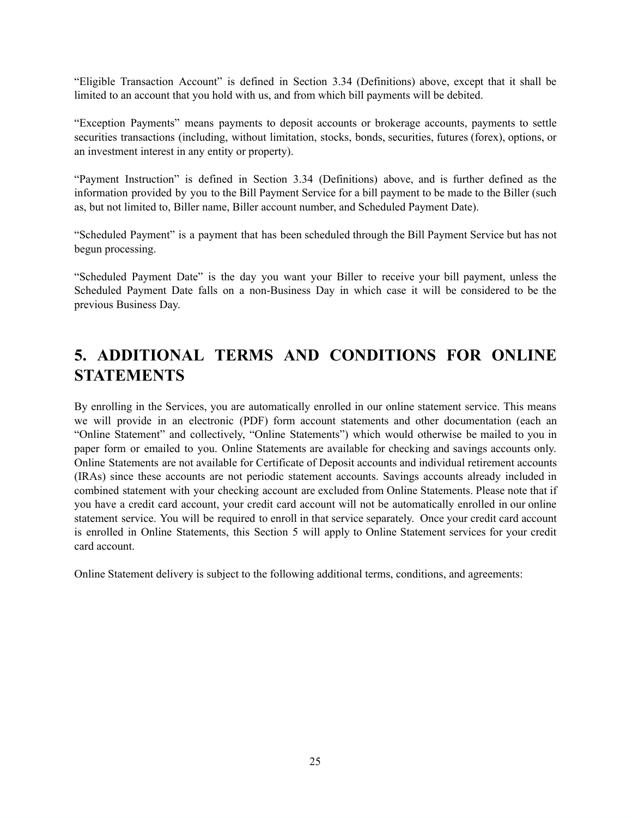"Eligible Transaction Account" is defined in Section 3.34 (Definitions) above, except that it shall be limited to an account that you hold with us, and from which bill payments will be debited.

"Exception Payments" means payments to deposit accounts or brokerage accounts, payments to settle securities transactions (including, without limitation, stocks, bonds, securities, futures (forex), options, or an investment interest in any entity or property).

"Payment Instruction" is defined in Section 3.34 (Definitions) above, and is further defined as the information provided by you to the Bill Payment Service for a bill payment to be made to the Biller (such as, but not limited to, Biller name, Biller account number, and Scheduled Payment Date).

"Scheduled Payment" is a payment that has been scheduled through the Bill Payment Service but has not begun processing.

"Scheduled Payment Date" is the day you want your Biller to receive your bill payment, unless the Scheduled Payment Date falls on a non-Business Day in which case it will be considered to be the previous Business Day.

# **5. ADDITIONAL TERMS AND CONDITIONS FOR ONLINE STATEMENTS**

By enrolling in the Services, you are automatically enrolled in our online statement service. This means we will provide in an electronic (PDF) form account statements and other documentation (each an "Online Statement" and collectively, "Online Statements") which would otherwise be mailed to you in paper form or emailed to you. Online Statements are available for checking and savings accounts only. Online Statements are not available for Certificate of Deposit accounts and individual retirement accounts (IRAs) since these accounts are not periodic statement accounts. Savings accounts already included in combined statement with your checking account are excluded from Online Statements. Please note that if you have a credit card account, your credit card account will not be automatically enrolled in our online statement service. You will be required to enroll in that service separately. Once your credit card account is enrolled in Online Statements, this Section 5 will apply to Online Statement services for your credit card account.

Online Statement delivery is subject to the following additional terms, conditions, and agreements: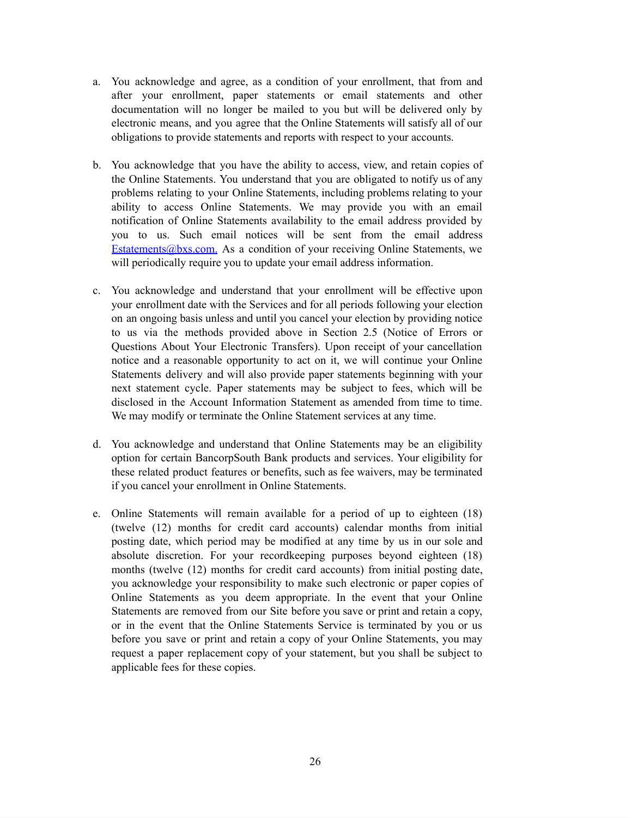- a. You acknowledge and agree, as a condition of your enrollment, that from and after your enrollment, paper statements or email statements and other documentation will no longer be mailed to you but will be delivered only by electronic means, and you agree that the Online Statements will satisfy all of our obligations to provide statements and reports with respect to your accounts.
- b. You acknowledge that you have the ability to access, view, and retain copies of the Online Statements. You understand that you are obligated to notify us of any problems relating to your Online Statements, including problems relating to your ability to access Online Statements. We may provide you with an email notification of Online Statements availability to the email address provided by you to us. Such email notices will be sent from the email address Estatements@bxs.com. As a condition of your receiving Online Statements, we will periodically require you to update your email address information.
- c. You acknowledge and understand that your enrollment will be effective upon your enrollment date with the Services and for all periods following your election on an ongoing basis unless and until you cancel your election by providing notice to us via the methods provided above in Section 2.5 (Notice of Errors or Questions About Your Electronic Transfers). Upon receipt of your cancellation notice and a reasonable opportunity to act on it, we will continue your Online Statements delivery and will also provide paper statements beginning with your next statement cycle. Paper statements may be subject to fees, which will be disclosed in the Account Information Statement as amended from time to time. We may modify or terminate the Online Statement services at any time.
- d. You acknowledge and understand that Online Statements may be an eligibility option for certain BancorpSouth Bank products and services. Your eligibility for these related product features or benefits, such as fee waivers, may be terminated if you cancel your enrollment in Online Statements.
- e. Online Statements will remain available for a period of up to eighteen (18) (twelve (12) months for credit card accounts) calendar months from initial posting date, which period may be modified at any time by us in our sole and absolute discretion. For your recordkeeping purposes beyond eighteen (18) months (twelve (12) months for credit card accounts) from initial posting date, you acknowledge your responsibility to make such electronic or paper copies of Online Statements as you deem appropriate. In the event that your Online Statements are removed from our Site before you save or print and retain a copy, or in the event that the Online Statements Service is terminated by you or us before you save or print and retain a copy of your Online Statements, you may request a paper replacement copy of your statement, but you shall be subject to applicable fees for these copies.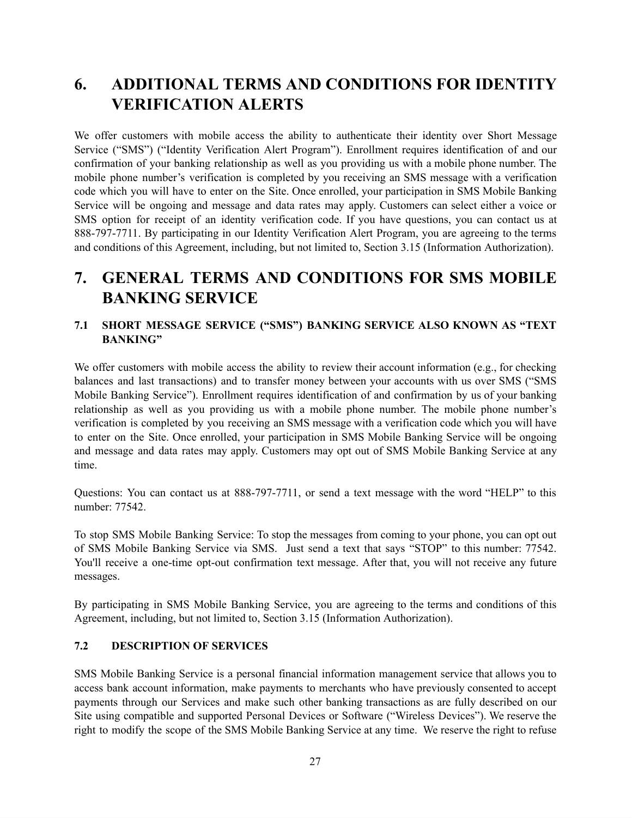# **6. ADDITIONAL TERMS AND CONDITIONS FOR IDENTITY VERIFICATION ALERTS**

We offer customers with mobile access the ability to authenticate their identity over Short Message Service ("SMS") ("Identity Verification Alert Program"). Enrollment requires identification of and our confirmation of your banking relationship as well as you providing us with a mobile phone number. The mobile phone number's verification is completed by you receiving an SMS message with a verification code which you will have to enter on the Site. Once enrolled, your participation in SMS Mobile Banking Service will be ongoing and message and data rates may apply. Customers can select either a voice or SMS option for receipt of an identity verification code. If you have questions, you can contact us at 888-797-7711. By participating in our Identity Verification Alert Program, you are agreeing to the terms and conditions of this Agreement, including, but not limited to, Section 3.15 (Information Authorization).

# **7. GENERAL TERMS AND CONDITIONS FOR SMS MOBILE BANKING SERVICE**

## **7.1 SHORT MESSAGE SERVICE ("SMS") BANKING SERVICE ALSO KNOWN AS "TEXT BANKING"**

We offer customers with mobile access the ability to review their account information (e.g., for checking balances and last transactions) and to transfer money between your accounts with us over SMS ("SMS Mobile Banking Service"). Enrollment requires identification of and confirmation by us of your banking relationship as well as you providing us with a mobile phone number. The mobile phone number's verification is completed by you receiving an SMS message with a verification code which you will have to enter on the Site. Once enrolled, your participation in SMS Mobile Banking Service will be ongoing and message and data rates may apply. Customers may opt out of SMS Mobile Banking Service at any time.

Questions: You can contact us at 888-797-7711, or send a text message with the word "HELP" to this number: 77542.

To stop SMS Mobile Banking Service: To stop the messages from coming to your phone, you can opt out of SMS Mobile Banking Service via SMS. Just send a text that says "STOP" to this number: 77542. You'll receive a one-time opt-out confirmation text message. After that, you will not receive any future messages.

By participating in SMS Mobile Banking Service, you are agreeing to the terms and conditions of this Agreement, including, but not limited to, Section 3.15 (Information Authorization).

## **7.2 DESCRIPTION OF SERVICES**

SMS Mobile Banking Service is a personal financial information management service that allows you to access bank account information, make payments to merchants who have previously consented to accept payments through our Services and make such other banking transactions as are fully described on our Site using compatible and supported Personal Devices or Software ("Wireless Devices"). We reserve the right to modify the scope of the SMS Mobile Banking Service at any time. We reserve the right to refuse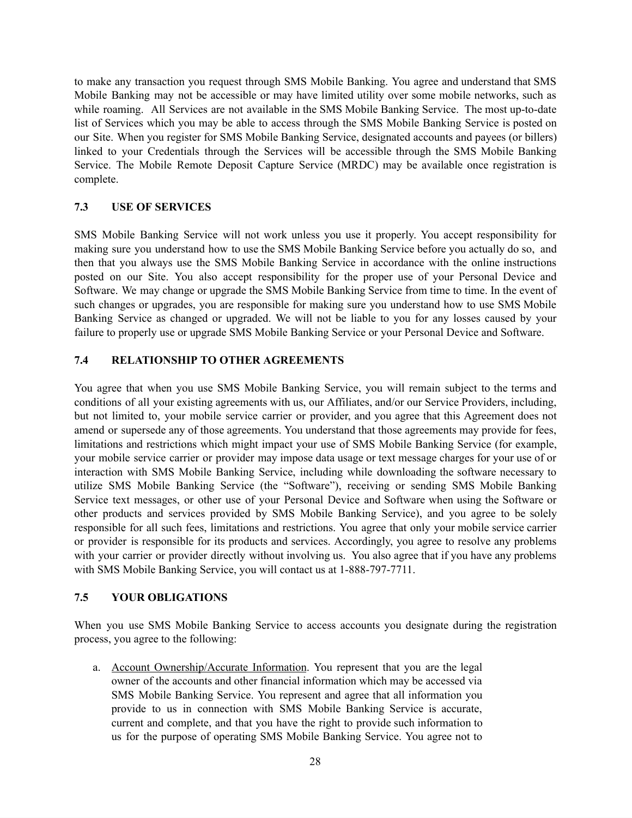to make any transaction you request through SMS Mobile Banking. You agree and understand that SMS Mobile Banking may not be accessible or may have limited utility over some mobile networks, such as while roaming. All Services are not available in the SMS Mobile Banking Service. The most up-to-date list of Services which you may be able to access through the SMS Mobile Banking Service is posted on our Site. When you register for SMS Mobile Banking Service, designated accounts and payees (or billers) linked to your Credentials through the Services will be accessible through the SMS Mobile Banking Service. The Mobile Remote Deposit Capture Service (MRDC) may be available once registration is complete.

## **7.3 USE OF SERVICES**

SMS Mobile Banking Service will not work unless you use it properly. You accept responsibility for making sure you understand how to use the SMS Mobile Banking Service before you actually do so, and then that you always use the SMS Mobile Banking Service in accordance with the online instructions posted on our Site. You also accept responsibility for the proper use of your Personal Device and Software. We may change or upgrade the SMS Mobile Banking Service from time to time. In the event of such changes or upgrades, you are responsible for making sure you understand how to use SMS Mobile Banking Service as changed or upgraded. We will not be liable to you for any losses caused by your failure to properly use or upgrade SMS Mobile Banking Service or your Personal Device and Software.

## **7.4 RELATIONSHIP TO OTHER AGREEMENTS**

You agree that when you use SMS Mobile Banking Service, you will remain subject to the terms and conditions of all your existing agreements with us, our Affiliates, and/or our Service Providers, including, but not limited to, your mobile service carrier or provider, and you agree that this Agreement does not amend or supersede any of those agreements. You understand that those agreements may provide for fees, limitations and restrictions which might impact your use of SMS Mobile Banking Service (for example, your mobile service carrier or provider may impose data usage or text message charges for your use of or interaction with SMS Mobile Banking Service, including while downloading the software necessary to utilize SMS Mobile Banking Service (the "Software"), receiving or sending SMS Mobile Banking Service text messages, or other use of your Personal Device and Software when using the Software or other products and services provided by SMS Mobile Banking Service), and you agree to be solely responsible for all such fees, limitations and restrictions. You agree that only your mobile service carrier or provider is responsible for its products and services. Accordingly, you agree to resolve any problems with your carrier or provider directly without involving us. You also agree that if you have any problems with SMS Mobile Banking Service, you will contact us at 1-888-797-7711.

#### **7.5 YOUR OBLIGATIONS**

When you use SMS Mobile Banking Service to access accounts you designate during the registration process, you agree to the following:

a. Account Ownership/Accurate Information. You represent that you are the legal owner of the accounts and other financial information which may be accessed via SMS Mobile Banking Service. You represent and agree that all information you provide to us in connection with SMS Mobile Banking Service is accurate, current and complete, and that you have the right to provide such information to us for the purpose of operating SMS Mobile Banking Service. You agree not to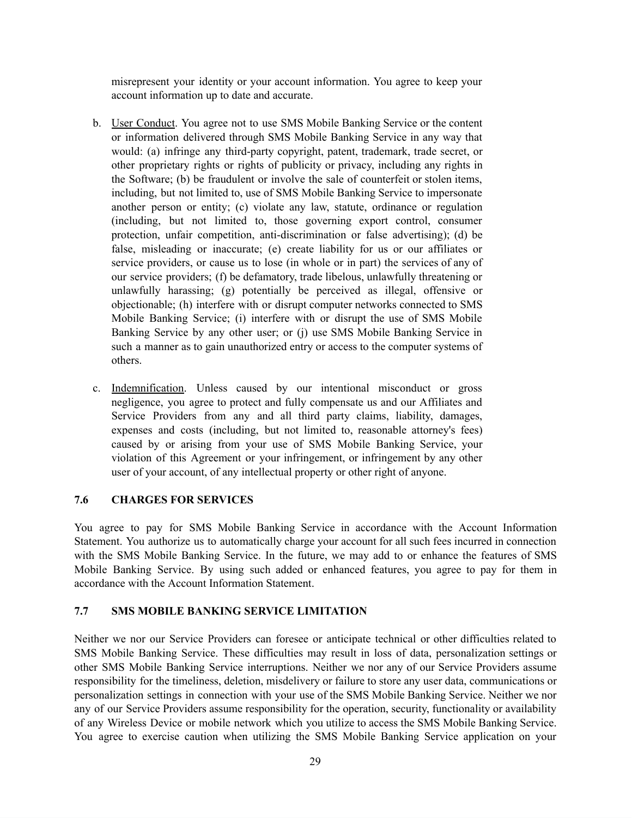misrepresent your identity or your account information. You agree to keep your account information up to date and accurate.

- b. User Conduct. You agree not to use SMS Mobile Banking Service or the content or information delivered through SMS Mobile Banking Service in any way that would: (a) infringe any third-party copyright, patent, trademark, trade secret, or other proprietary rights or rights of publicity or privacy, including any rights in the Software; (b) be fraudulent or involve the sale of counterfeit or stolen items, including, but not limited to, use of SMS Mobile Banking Service to impersonate another person or entity; (c) violate any law, statute, ordinance or regulation (including, but not limited to, those governing export control, consumer protection, unfair competition, anti-discrimination or false advertising); (d) be false, misleading or inaccurate; (e) create liability for us or our affiliates or service providers, or cause us to lose (in whole or in part) the services of any of our service providers; (f) be defamatory, trade libelous, unlawfully threatening or unlawfully harassing; (g) potentially be perceived as illegal, offensive or objectionable; (h) interfere with or disrupt computer networks connected to SMS Mobile Banking Service; (i) interfere with or disrupt the use of SMS Mobile Banking Service by any other user; or (j) use SMS Mobile Banking Service in such a manner as to gain unauthorized entry or access to the computer systems of others.
- c. Indemnification. Unless caused by our intentional misconduct or gross negligence, you agree to protect and fully compensate us and our Affiliates and Service Providers from any and all third party claims, liability, damages, expenses and costs (including, but not limited to, reasonable attorney's fees) caused by or arising from your use of SMS Mobile Banking Service, your violation of this Agreement or your infringement, or infringement by any other user of your account, of any intellectual property or other right of anyone.

## **7.6 CHARGES FOR SERVICES**

You agree to pay for SMS Mobile Banking Service in accordance with the Account Information Statement. You authorize us to automatically charge your account for all such fees incurred in connection with the SMS Mobile Banking Service. In the future, we may add to or enhance the features of SMS Mobile Banking Service. By using such added or enhanced features, you agree to pay for them in accordance with the Account Information Statement.

#### **7.7 SMS MOBILE BANKING SERVICE LIMITATION**

Neither we nor our Service Providers can foresee or anticipate technical or other difficulties related to SMS Mobile Banking Service. These difficulties may result in loss of data, personalization settings or other SMS Mobile Banking Service interruptions. Neither we nor any of our Service Providers assume responsibility for the timeliness, deletion, misdelivery or failure to store any user data, communications or personalization settings in connection with your use of the SMS Mobile Banking Service. Neither we nor any of our Service Providers assume responsibility for the operation, security, functionality or availability of any Wireless Device or mobile network which you utilize to access the SMS Mobile Banking Service. You agree to exercise caution when utilizing the SMS Mobile Banking Service application on your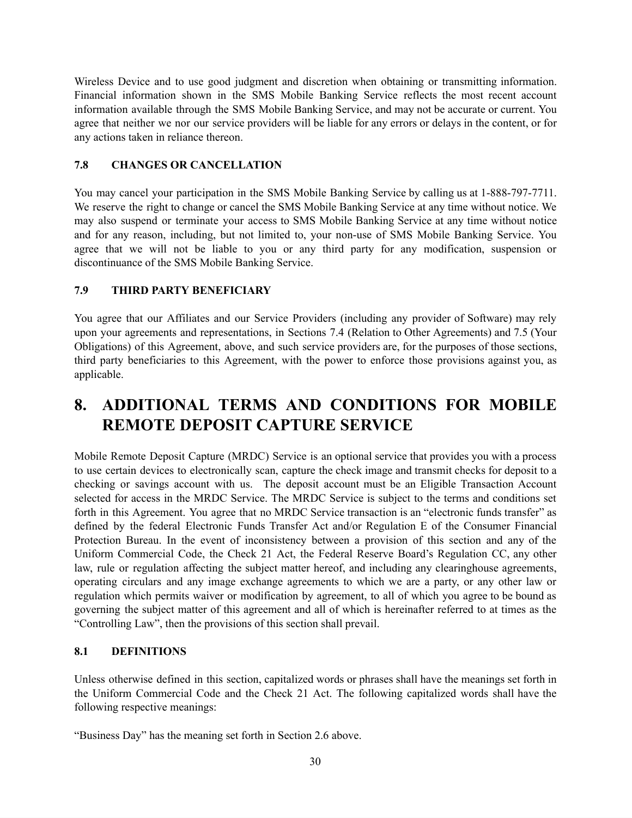Wireless Device and to use good judgment and discretion when obtaining or transmitting information. Financial information shown in the SMS Mobile Banking Service reflects the most recent account information available through the SMS Mobile Banking Service, and may not be accurate or current. You agree that neither we nor our service providers will be liable for any errors or delays in the content, or for any actions taken in reliance thereon.

## **7.8 CHANGES OR CANCELLATION**

You may cancel your participation in the SMS Mobile Banking Service by calling us at 1-888-797-7711. We reserve the right to change or cancel the SMS Mobile Banking Service at any time without notice. We may also suspend or terminate your access to SMS Mobile Banking Service at any time without notice and for any reason, including, but not limited to, your non-use of SMS Mobile Banking Service. You agree that we will not be liable to you or any third party for any modification, suspension or discontinuance of the SMS Mobile Banking Service.

### **7.9 THIRD PARTY BENEFICIARY**

You agree that our Affiliates and our Service Providers (including any provider of Software) may rely upon your agreements and representations, in Sections 7.4 (Relation to Other Agreements) and 7.5 (Your Obligations) of this Agreement, above, and such service providers are, for the purposes of those sections, third party beneficiaries to this Agreement, with the power to enforce those provisions against you, as applicable.

# **8. ADDITIONAL TERMS AND CONDITIONS FOR MOBILE REMOTE DEPOSIT CAPTURE SERVICE**

Mobile Remote Deposit Capture (MRDC) Service is an optional service that provides you with a process to use certain devices to electronically scan, capture the check image and transmit checks for deposit to a checking or savings account with us. The deposit account must be an Eligible Transaction Account selected for access in the MRDC Service. The MRDC Service is subject to the terms and conditions set forth in this Agreement. You agree that no MRDC Service transaction is an "electronic funds transfer" as defined by the federal Electronic Funds Transfer Act and/or Regulation E of the Consumer Financial Protection Bureau. In the event of inconsistency between a provision of this section and any of the Uniform Commercial Code, the Check 21 Act, the Federal Reserve Board's Regulation CC, any other law, rule or regulation affecting the subject matter hereof, and including any clearinghouse agreements, operating circulars and any image exchange agreements to which we are a party, or any other law or regulation which permits waiver or modification by agreement, to all of which you agree to be bound as governing the subject matter of this agreement and all of which is hereinafter referred to at times as the "Controlling Law", then the provisions of this section shall prevail.

#### **8.1 DEFINITIONS**

Unless otherwise defined in this section, capitalized words or phrases shall have the meanings set forth in the Uniform Commercial Code and the Check 21 Act. The following capitalized words shall have the following respective meanings:

"Business Day" has the meaning set forth in Section 2.6 above.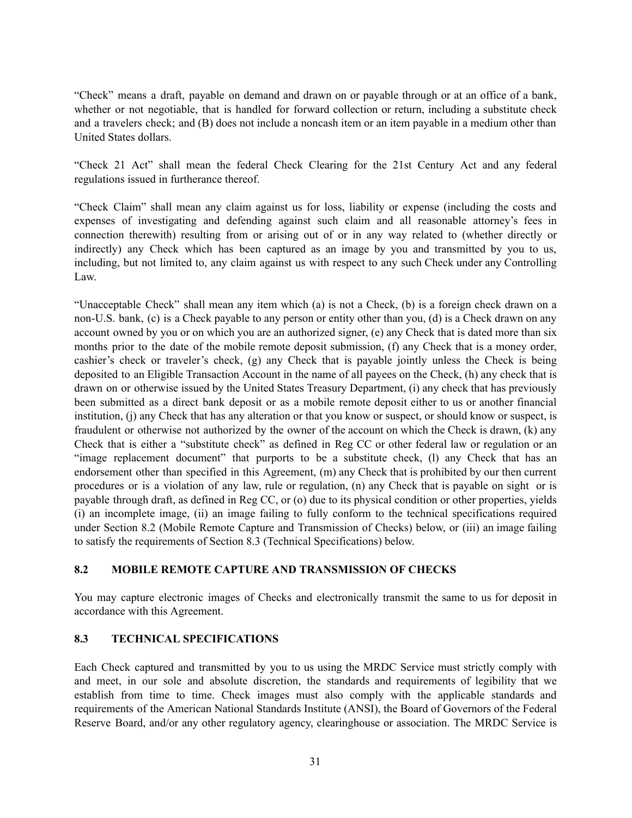"Check" means a draft, payable on demand and drawn on or payable through or at an office of a bank, whether or not negotiable, that is handled for forward collection or return, including a substitute check and a travelers check; and (B) does not include a noncash item or an item payable in a medium other than United States dollars.

"Check 21 Act" shall mean the federal Check Clearing for the 21st Century Act and any federal regulations issued in furtherance thereof.

"Check Claim" shall mean any claim against us for loss, liability or expense (including the costs and expenses of investigating and defending against such claim and all reasonable attorney's fees in connection therewith) resulting from or arising out of or in any way related to (whether directly or indirectly) any Check which has been captured as an image by you and transmitted by you to us, including, but not limited to, any claim against us with respect to any such Check under any Controlling Law.

"Unacceptable Check" shall mean any item which (a) is not a Check, (b) is a foreign check drawn on a non-U.S. bank, (c) is a Check payable to any person or entity other than you, (d) is a Check drawn on any account owned by you or on which you are an authorized signer, (e) any Check that is dated more than six months prior to the date of the mobile remote deposit submission, (f) any Check that is a money order, cashier's check or traveler's check, (g) any Check that is payable jointly unless the Check is being deposited to an Eligible Transaction Account in the name of all payees on the Check, (h) any check that is drawn on or otherwise issued by the United States Treasury Department, (i) any check that has previously been submitted as a direct bank deposit or as a mobile remote deposit either to us or another financial institution, (j) any Check that has any alteration or that you know or suspect, or should know or suspect, is fraudulent or otherwise not authorized by the owner of the account on which the Check is drawn, (k) any Check that is either a "substitute check" as defined in Reg CC or other federal law or regulation or an "image replacement document" that purports to be a substitute check, (I) any Check that has an endorsement other than specified in this Agreement, (m) any Check that is prohibited by our then current procedures or is a violation of any law, rule or regulation, (n) any Check that is payable on sight or is payable through draft, as defined in Reg CC, or (o) due to its physical condition or other properties, yields (i) an incomplete image, (ii) an image failing to fully conform to the technical specifications required under Section 8.2 (Mobile Remote Capture and Transmission of Checks) below, or (iii) an image failing to satisfy the requirements of Section 8.3 (Technical Specifications) below.

#### **8.2 MOBILE REMOTE CAPTURE AND TRANSMISSION OF CHECKS**

You may capture electronic images of Checks and electronically transmit the same to us for deposit in accordance with this Agreement.

## **8.3 TECHNICAL SPECIFICATIONS**

Each Check captured and transmitted by you to us using the MRDC Service must strictly comply with and meet, in our sole and absolute discretion, the standards and requirements of legibility that we establish from time to time. Check images must also comply with the applicable standards and requirements of the American National Standards Institute (ANSI), the Board of Governors of the Federal Reserve Board, and/or any other regulatory agency, clearinghouse or association. The MRDC Service is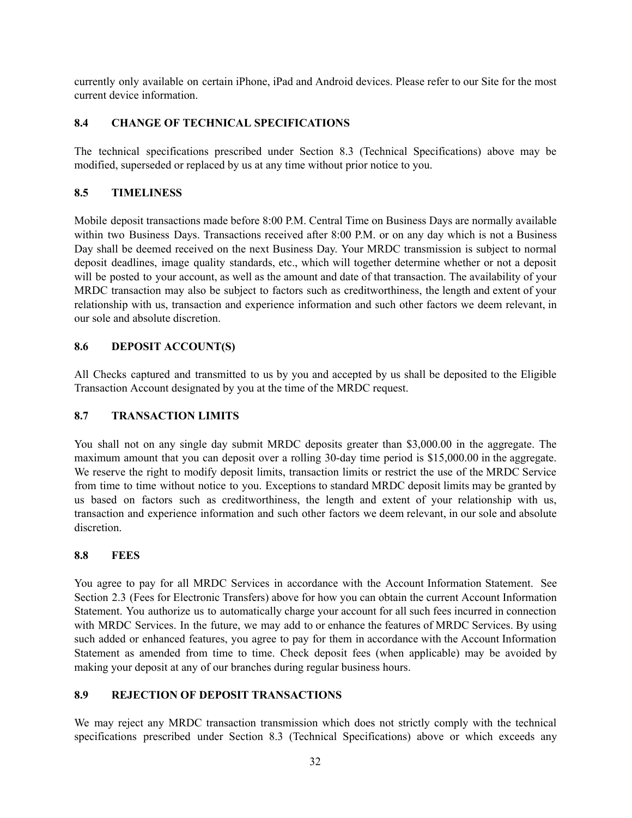currently only available on certain iPhone, iPad and Android devices. Please refer to our Site for the most current device information.

## **8.4 CHANGE OF TECHNICAL SPECIFICATIONS**

The technical specifications prescribed under Section 8.3 (Technical Specifications) above may be modified, superseded or replaced by us at any time without prior notice to you.

## **8.5 TIMELINESS**

Mobile deposit transactions made before 8:00 P.M. Central Time on Business Days are normally available within two Business Days. Transactions received after 8:00 P.M. or on any day which is not a Business Day shall be deemed received on the next Business Day. Your MRDC transmission is subject to normal deposit deadlines, image quality standards, etc., which will together determine whether or not a deposit will be posted to your account, as well as the amount and date of that transaction. The availability of your MRDC transaction may also be subject to factors such as creditworthiness, the length and extent of your relationship with us, transaction and experience information and such other factors we deem relevant, in our sole and absolute discretion.

## **8.6 DEPOSIT ACCOUNT(S)**

All Checks captured and transmitted to us by you and accepted by us shall be deposited to the Eligible Transaction Account designated by you at the time of the MRDC request.

## **8.7 TRANSACTION LIMITS**

You shall not on any single day submit MRDC deposits greater than \$3,000.00 in the aggregate. The maximum amount that you can deposit over a rolling 30-day time period is \$15,000.00 in the aggregate. We reserve the right to modify deposit limits, transaction limits or restrict the use of the MRDC Service from time to time without notice to you. Exceptions to standard MRDC deposit limits may be granted by us based on factors such as creditworthiness, the length and extent of your relationship with us, transaction and experience information and such other factors we deem relevant, in our sole and absolute discretion.

## **8.8 FEES**

You agree to pay for all MRDC Services in accordance with the Account Information Statement. See Section 2.3 (Fees for Electronic Transfers) above for how you can obtain the current Account Information Statement. You authorize us to automatically charge your account for all such fees incurred in connection with MRDC Services. In the future, we may add to or enhance the features of MRDC Services. By using such added or enhanced features, you agree to pay for them in accordance with the Account Information Statement as amended from time to time. Check deposit fees (when applicable) may be avoided by making your deposit at any of our branches during regular business hours.

## **8.9 REJECTION OF DEPOSIT TRANSACTIONS**

We may reject any MRDC transaction transmission which does not strictly comply with the technical specifications prescribed under Section 8.3 (Technical Specifications) above or which exceeds any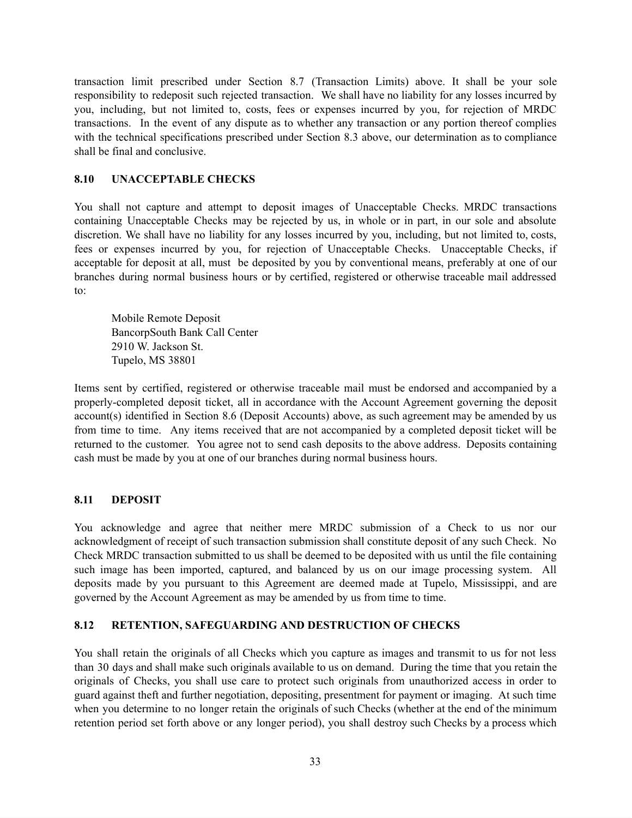transaction limit prescribed under Section 8.7 (Transaction Limits) above. It shall be your sole responsibility to redeposit such rejected transaction. We shall have no liability for any losses incurred by you, including, but not limited to, costs, fees or expenses incurred by you, for rejection of MRDC transactions. In the event of any dispute as to whether any transaction or any portion thereof complies with the technical specifications prescribed under Section 8.3 above, our determination as to compliance shall be final and conclusive.

### **8.10 UNACCEPTABLE CHECKS**

You shall not capture and attempt to deposit images of Unacceptable Checks. MRDC transactions containing Unacceptable Checks may be rejected by us, in whole or in part, in our sole and absolute discretion. We shall have no liability for any losses incurred by you, including, but not limited to, costs, fees or expenses incurred by you, for rejection of Unacceptable Checks. Unacceptable Checks, if acceptable for deposit at all, must be deposited by you by conventional means, preferably at one of our branches during normal business hours or by certified, registered or otherwise traceable mail addressed to:

Mobile Remote Deposit BancorpSouth Bank Call Center 2910 W. Jackson St. Tupelo, MS 38801

Items sent by certified, registered or otherwise traceable mail must be endorsed and accompanied by a properly-completed deposit ticket, all in accordance with the Account Agreement governing the deposit account(s) identified in Section 8.6 (Deposit Accounts) above, as such agreement may be amended by us from time to time. Any items received that are not accompanied by a completed deposit ticket will be returned to the customer. You agree not to send cash deposits to the above address. Deposits containing cash must be made by you at one of our branches during normal business hours.

#### **8.11 DEPOSIT**

You acknowledge and agree that neither mere MRDC submission of a Check to us nor our acknowledgment of receipt of such transaction submission shall constitute deposit of any such Check. No Check MRDC transaction submitted to us shall be deemed to be deposited with us until the file containing such image has been imported, captured, and balanced by us on our image processing system. All deposits made by you pursuant to this Agreement are deemed made at Tupelo, Mississippi, and are governed by the Account Agreement as may be amended by us from time to time.

## **8.12 RETENTION, SAFEGUARDING AND DESTRUCTION OF CHECKS**

You shall retain the originals of all Checks which you capture as images and transmit to us for not less than 30 days and shall make such originals available to us on demand. During the time that you retain the originals of Checks, you shall use care to protect such originals from unauthorized access in order to guard against theft and further negotiation, depositing, presentment for payment or imaging. At such time when you determine to no longer retain the originals of such Checks (whether at the end of the minimum retention period set forth above or any longer period), you shall destroy such Checks by a process which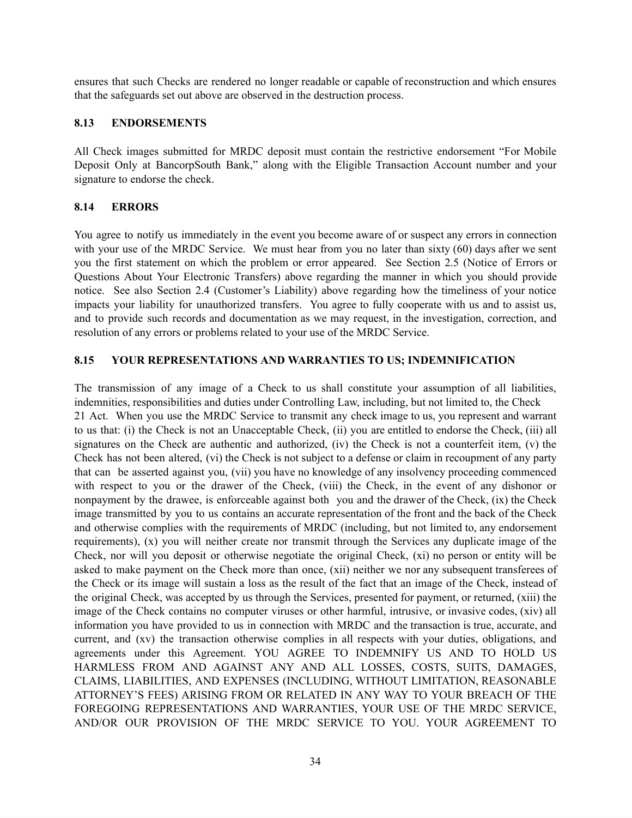ensures that such Checks are rendered no longer readable or capable of reconstruction and which ensures that the safeguards set out above are observed in the destruction process.

#### **8.13 ENDORSEMENTS**

All Check images submitted for MRDC deposit must contain the restrictive endorsement "For Mobile Deposit Only at BancorpSouth Bank," along with the Eligible Transaction Account number and your signature to endorse the check.

#### **8.14 ERRORS**

You agree to notify us immediately in the event you become aware of or suspect any errors in connection with your use of the MRDC Service. We must hear from you no later than sixty (60) days after we sent you the first statement on which the problem or error appeared. See Section 2.5 (Notice of Errors or Questions About Your Electronic Transfers) above regarding the manner in which you should provide notice. See also Section 2.4 (Customer's Liability) above regarding how the timeliness of your notice impacts your liability for unauthorized transfers. You agree to fully cooperate with us and to assist us, and to provide such records and documentation as we may request, in the investigation, correction, and resolution of any errors or problems related to your use of the MRDC Service.

### **8.15 YOUR REPRESENTATIONS AND WARRANTIES TO US; INDEMNIFICATION**

The transmission of any image of a Check to us shall constitute your assumption of all liabilities, indemnities, responsibilities and duties under Controlling Law, including, but not limited to, the Check 21 Act. When you use the MRDC Service to transmit any check image to us, you represent and warrant to us that: (i) the Check is not an Unacceptable Check, (ii) you are entitled to endorse the Check, (iii) all signatures on the Check are authentic and authorized, (iv) the Check is not a counterfeit item, (v) the Check has not been altered, (vi) the Check is not subject to a defense or claim in recoupment of any party that can be asserted against you, (vii) you have no knowledge of any insolvency proceeding commenced with respect to you or the drawer of the Check, (viii) the Check, in the event of any dishonor or nonpayment by the drawee, is enforceable against both you and the drawer of the Check, (ix) the Check image transmitted by you to us contains an accurate representation of the front and the back of the Check and otherwise complies with the requirements of MRDC (including, but not limited to, any endorsement requirements), (x) you will neither create nor transmit through the Services any duplicate image of the Check, nor will you deposit or otherwise negotiate the original Check, (xi) no person or entity will be asked to make payment on the Check more than once, (xii) neither we nor any subsequent transferees of the Check or its image will sustain a loss as the result of the fact that an image of the Check, instead of the original Check, was accepted by us through the Services, presented for payment, or returned, (xiii) the image of the Check contains no computer viruses or other harmful, intrusive, or invasive codes, (xiv) all information you have provided to us in connection with MRDC and the transaction is true, accurate, and current, and (xv) the transaction otherwise complies in all respects with your duties, obligations, and agreements under this Agreement. YOU AGREE TO INDEMNIFY US AND TO HOLD US HARMLESS FROM AND AGAINST ANY AND ALL LOSSES, COSTS, SUITS, DAMAGES, CLAIMS, LIABILITIES, AND EXPENSES (INCLUDING, WITHOUT LIMITATION, REASONABLE ATTORNEY'S FEES) ARISING FROM OR RELATED IN ANY WAY TO YOUR BREACH OF THE FOREGOING REPRESENTATIONS AND WARRANTIES, YOUR USE OF THE MRDC SERVICE, AND/OR OUR PROVISION OF THE MRDC SERVICE TO YOU. YOUR AGREEMENT TO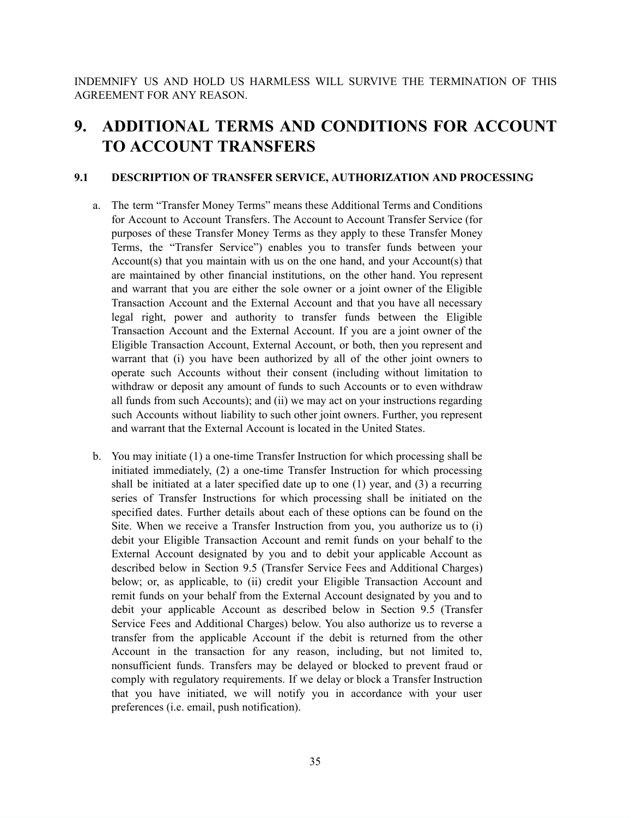INDEMNIFY US AND HOLD US HARMLESS WILL SURVIVE THE TERMINATION OF THIS AGREEMENT FOR ANY REASON.

# **9. ADDITIONAL TERMS AND CONDITIONS FOR ACCOUNT TO ACCOUNT TRANSFERS**

#### **9.1 DESCRIPTION OF TRANSFER SERVICE, AUTHORIZATION AND PROCESSING**

- a. The term "Transfer Money Terms" means these Additional Terms and Conditions for Account to Account Transfers. The Account to Account Transfer Service (for purposes of these Transfer Money Terms as they apply to these Transfer Money Terms, the "Transfer Service") enables you to transfer funds between your Account(s) that you maintain with us on the one hand, and your Account(s) that are maintained by other financial institutions, on the other hand. You represent and warrant that you are either the sole owner or a joint owner of the Eligible Transaction Account and the External Account and that you have all necessary legal right, power and authority to transfer funds between the Eligible Transaction Account and the External Account. If you are a joint owner of the Eligible Transaction Account, External Account, or both, then you represent and warrant that (i) you have been authorized by all of the other joint owners to operate such Accounts without their consent (including without limitation to withdraw or deposit any amount of funds to such Accounts or to even withdraw all funds from such Accounts); and (ii) we may act on your instructions regarding such Accounts without liability to such other joint owners. Further, you represent and warrant that the External Account is located in the United States.
- b. You may initiate (1) a one-time Transfer Instruction for which processing shall be initiated immediately, (2) a one-time Transfer Instruction for which processing shall be initiated at a later specified date up to one (1) year, and (3) a recurring series of Transfer Instructions for which processing shall be initiated on the specified dates. Further details about each of these options can be found on the Site. When we receive a Transfer Instruction from you, you authorize us to (i) debit your Eligible Transaction Account and remit funds on your behalf to the External Account designated by you and to debit your applicable Account as described below in Section 9.5 (Transfer Service Fees and Additional Charges) below; or, as applicable, to (ii) credit your Eligible Transaction Account and remit funds on your behalf from the External Account designated by you and to debit your applicable Account as described below in Section 9.5 (Transfer Service Fees and Additional Charges) below. You also authorize us to reverse a transfer from the applicable Account if the debit is returned from the other Account in the transaction for any reason, including, but not limited to, nonsufficient funds. Transfers may be delayed or blocked to prevent fraud or comply with regulatory requirements. If we delay or block a Transfer Instruction that you have initiated, we will notify you in accordance with your user preferences (i.e. email, push notification).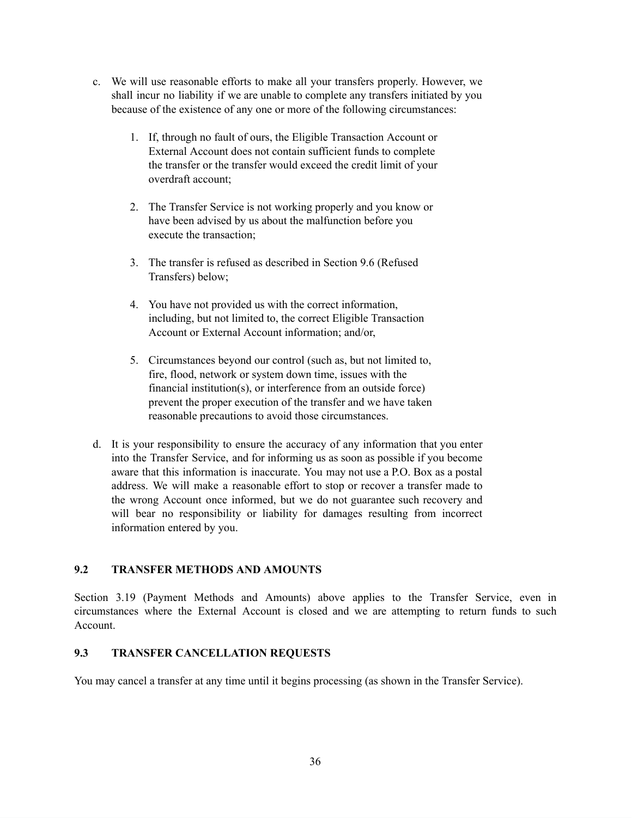- c. We will use reasonable efforts to make all your transfers properly. However, we shall incur no liability if we are unable to complete any transfers initiated by you because of the existence of any one or more of the following circumstances:
	- 1. If, through no fault of ours, the Eligible Transaction Account or External Account does not contain sufficient funds to complete the transfer or the transfer would exceed the credit limit of your overdraft account;
	- 2. The Transfer Service is not working properly and you know or have been advised by us about the malfunction before you execute the transaction;
	- 3. The transfer is refused as described in Section 9.6 (Refused Transfers) below;
	- 4. You have not provided us with the correct information, including, but not limited to, the correct Eligible Transaction Account or External Account information; and/or,
	- 5. Circumstances beyond our control (such as, but not limited to, fire, flood, network or system down time, issues with the financial institution(s), or interference from an outside force) prevent the proper execution of the transfer and we have taken reasonable precautions to avoid those circumstances.
- d. It is your responsibility to ensure the accuracy of any information that you enter into the Transfer Service, and for informing us as soon as possible if you become aware that this information is inaccurate. You may not use a P.O. Box as a postal address. We will make a reasonable effort to stop or recover a transfer made to the wrong Account once informed, but we do not guarantee such recovery and will bear no responsibility or liability for damages resulting from incorrect information entered by you.

#### **9.2 TRANSFER METHODS AND AMOUNTS**

Section 3.19 (Payment Methods and Amounts) above applies to the Transfer Service, even in circumstances where the External Account is closed and we are attempting to return funds to such Account.

#### **9.3 TRANSFER CANCELLATION REQUESTS**

You may cancel a transfer at any time until it begins processing (as shown in the Transfer Service).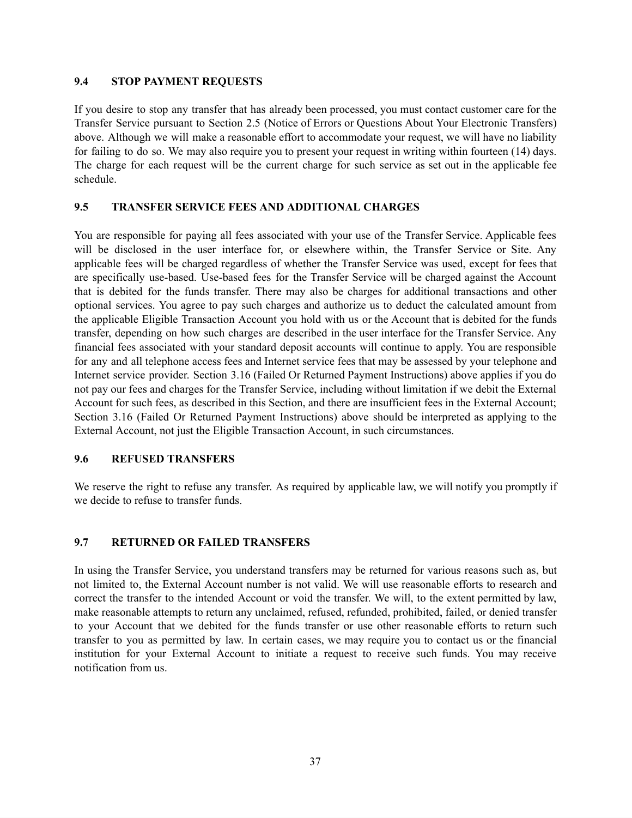#### **9.4 STOP PAYMENT REQUESTS**

If you desire to stop any transfer that has already been processed, you must contact customer care for the Transfer Service pursuant to Section 2.5 (Notice of Errors or Questions About Your Electronic Transfers) above. Although we will make a reasonable effort to accommodate your request, we will have no liability for failing to do so. We may also require you to present your request in writing within fourteen (14) days. The charge for each request will be the current charge for such service as set out in the applicable fee schedule.

#### **9.5 TRANSFER SERVICE FEES AND ADDITIONAL CHARGES**

You are responsible for paying all fees associated with your use of the Transfer Service. Applicable fees will be disclosed in the user interface for, or elsewhere within, the Transfer Service or Site. Any applicable fees will be charged regardless of whether the Transfer Service was used, except for fees that are specifically use-based. Use-based fees for the Transfer Service will be charged against the Account that is debited for the funds transfer. There may also be charges for additional transactions and other optional services. You agree to pay such charges and authorize us to deduct the calculated amount from the applicable Eligible Transaction Account you hold with us or the Account that is debited for the funds transfer, depending on how such charges are described in the user interface for the Transfer Service. Any financial fees associated with your standard deposit accounts will continue to apply. You are responsible for any and all telephone access fees and Internet service fees that may be assessed by your telephone and Internet service provider. Section 3.16 (Failed Or Returned Payment Instructions) above applies if you do not pay our fees and charges for the Transfer Service, including without limitation if we debit the External Account for such fees, as described in this Section, and there are insufficient fees in the External Account; Section 3.16 (Failed Or Returned Payment Instructions) above should be interpreted as applying to the External Account, not just the Eligible Transaction Account, in such circumstances.

#### **9.6 REFUSED TRANSFERS**

We reserve the right to refuse any transfer. As required by applicable law, we will notify you promptly if we decide to refuse to transfer funds.

#### **9.7 RETURNED OR FAILED TRANSFERS**

In using the Transfer Service, you understand transfers may be returned for various reasons such as, but not limited to, the External Account number is not valid. We will use reasonable efforts to research and correct the transfer to the intended Account or void the transfer. We will, to the extent permitted by law, make reasonable attempts to return any unclaimed, refused, refunded, prohibited, failed, or denied transfer to your Account that we debited for the funds transfer or use other reasonable efforts to return such transfer to you as permitted by law. In certain cases, we may require you to contact us or the financial institution for your External Account to initiate a request to receive such funds. You may receive notification from us.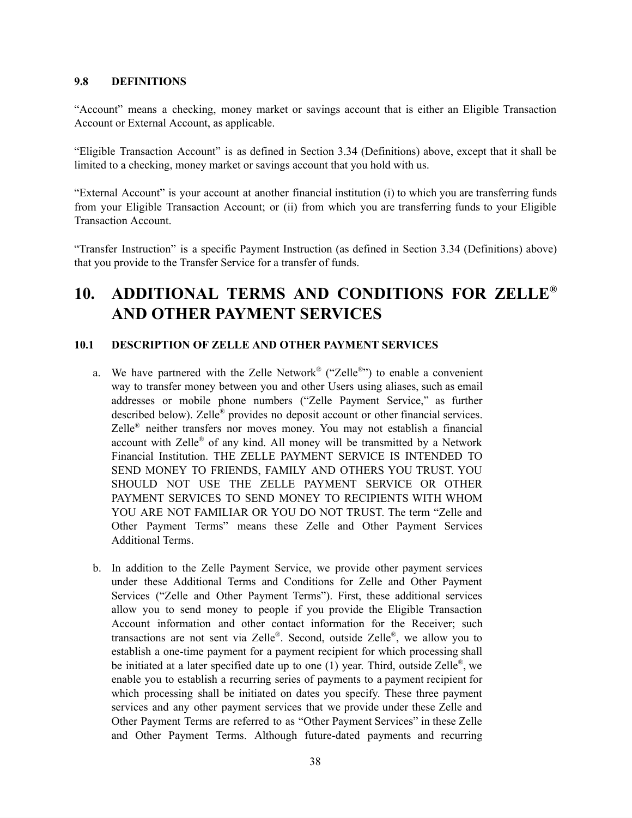#### **9.8 DEFINITIONS**

"Account" means a checking, money market or savings account that is either an Eligible Transaction Account or External Account, as applicable.

"Eligible Transaction Account" is as defined in Section 3.34 (Definitions) above, except that it shall be limited to a checking, money market or savings account that you hold with us.

"External Account" is your account at another financial institution (i) to which you are transferring funds from your Eligible Transaction Account; or (ii) from which you are transferring funds to your Eligible Transaction Account.

"Transfer Instruction" is a specific Payment Instruction (as defined in Section 3.34 (Definitions) above) that you provide to the Transfer Service for a transfer of funds.

# **10. ADDITIONAL TERMS AND CONDITIONS FOR ZELLE** *®* **AND OTHER PAYMENT SERVICES**

#### **10.1 DESCRIPTION OF ZELLE AND OTHER PAYMENT SERVICES**

- a. We have partnered with the Zelle Network<sup>®</sup> ("Zelle®") to enable a convenient way to transfer money between you and other Users using aliases, such as email addresses or mobile phone numbers ("Zelle Payment Service," as further described below). Zelle ® provides no deposit account or other financial services. Zelle ® neither transfers nor moves money. You may not establish a financial account with Zelle ® of any kind. All money will be transmitted by a Network Financial Institution. THE ZELLE PAYMENT SERVICE IS INTENDED TO SEND MONEY TO FRIENDS, FAMILY AND OTHERS YOU TRUST. YOU SHOULD NOT USE THE ZELLE PAYMENT SERVICE OR OTHER PAYMENT SERVICES TO SEND MONEY TO RECIPIENTS WITH WHOM YOU ARE NOT FAMILIAR OR YOU DO NOT TRUST. The term "Zelle and Other Payment Terms" means these Zelle and Other Payment Services Additional Terms.
- b. In addition to the Zelle Payment Service, we provide other payment services under these Additional Terms and Conditions for Zelle and Other Payment Services ("Zelle and Other Payment Terms"). First, these additional services allow you to send money to people if you provide the Eligible Transaction Account information and other contact information for the Receiver; such transactions are not sent via Zelle®. Second, outside Zelle®, we allow you to establish a one-time payment for a payment recipient for which processing shall be initiated at a later specified date up to one  $(1)$  year. Third, outside Zelle®, we enable you to establish a recurring series of payments to a payment recipient for which processing shall be initiated on dates you specify. These three payment services and any other payment services that we provide under these Zelle and Other Payment Terms are referred to as "Other Payment Services" in these Zelle and Other Payment Terms. Although future-dated payments and recurring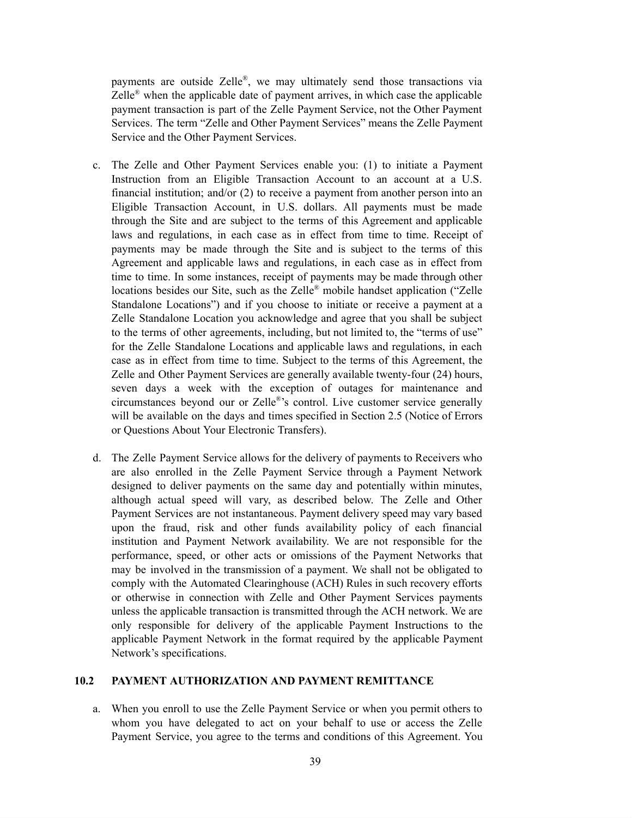payments are outside Zelle®, we may ultimately send those transactions via Zelle<sup>®</sup> when the applicable date of payment arrives, in which case the applicable payment transaction is part of the Zelle Payment Service, not the Other Payment Services. The term "Zelle and Other Payment Services" means the Zelle Payment Service and the Other Payment Services.

- c. The Zelle and Other Payment Services enable you: (1) to initiate a Payment Instruction from an Eligible Transaction Account to an account at a U.S. financial institution; and/or (2) to receive a payment from another person into an Eligible Transaction Account, in U.S. dollars. All payments must be made through the Site and are subject to the terms of this Agreement and applicable laws and regulations, in each case as in effect from time to time. Receipt of payments may be made through the Site and is subject to the terms of this Agreement and applicable laws and regulations, in each case as in effect from time to time. In some instances, receipt of payments may be made through other locations besides our Site, such as the Zelle® mobile handset application ("Zelle Standalone Locations") and if you choose to initiate or receive a payment at a Zelle Standalone Location you acknowledge and agree that you shall be subject to the terms of other agreements, including, but not limited to, the "terms of use" for the Zelle Standalone Locations and applicable laws and regulations, in each case as in effect from time to time. Subject to the terms of this Agreement, the Zelle and Other Payment Services are generally available twenty-four (24) hours, seven days a week with the exception of outages for maintenance and circumstances beyond our or Zelle ® 's control. Live customer service generally will be available on the days and times specified in Section 2.5 (Notice of Errors or Questions About Your Electronic Transfers).
- d. The Zelle Payment Service allows for the delivery of payments to Receivers who are also enrolled in the Zelle Payment Service through a Payment Network designed to deliver payments on the same day and potentially within minutes, although actual speed will vary, as described below. The Zelle and Other Payment Services are not instantaneous. Payment delivery speed may vary based upon the fraud, risk and other funds availability policy of each financial institution and Payment Network availability. We are not responsible for the performance, speed, or other acts or omissions of the Payment Networks that may be involved in the transmission of a payment. We shall not be obligated to comply with the Automated Clearinghouse (ACH) Rules in such recovery efforts or otherwise in connection with Zelle and Other Payment Services payments unless the applicable transaction is transmitted through the ACH network. We are only responsible for delivery of the applicable Payment Instructions to the applicable Payment Network in the format required by the applicable Payment Network's specifications.

### **10.2 PAYMENT AUTHORIZATION AND PAYMENT REMITTANCE**

a. When you enroll to use the Zelle Payment Service or when you permit others to whom you have delegated to act on your behalf to use or access the Zelle Payment Service, you agree to the terms and conditions of this Agreement. You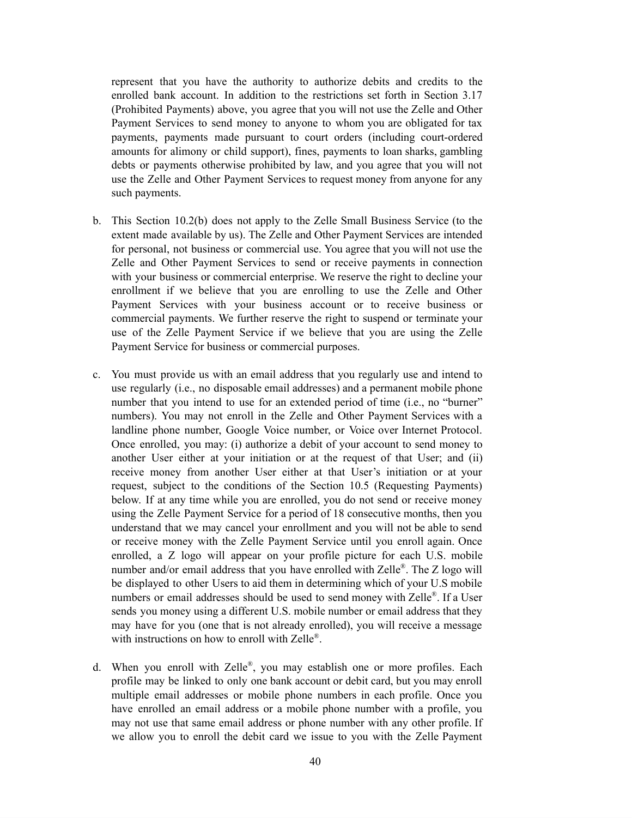represent that you have the authority to authorize debits and credits to the enrolled bank account. In addition to the restrictions set forth in Section 3.17 (Prohibited Payments) above, you agree that you will not use the Zelle and Other Payment Services to send money to anyone to whom you are obligated for tax payments, payments made pursuant to court orders (including court-ordered amounts for alimony or child support), fines, payments to loan sharks, gambling debts or payments otherwise prohibited by law, and you agree that you will not use the Zelle and Other Payment Services to request money from anyone for any such payments.

- b. This Section 10.2(b) does not apply to the Zelle Small Business Service (to the extent made available by us). The Zelle and Other Payment Services are intended for personal, not business or commercial use. You agree that you will not use the Zelle and Other Payment Services to send or receive payments in connection with your business or commercial enterprise. We reserve the right to decline your enrollment if we believe that you are enrolling to use the Zelle and Other Payment Services with your business account or to receive business or commercial payments. We further reserve the right to suspend or terminate your use of the Zelle Payment Service if we believe that you are using the Zelle Payment Service for business or commercial purposes.
- c. You must provide us with an email address that you regularly use and intend to use regularly (i.e., no disposable email addresses) and a permanent mobile phone number that you intend to use for an extended period of time (i.e., no "burner" numbers). You may not enroll in the Zelle and Other Payment Services with a landline phone number, Google Voice number, or Voice over Internet Protocol. Once enrolled, you may: (i) authorize a debit of your account to send money to another User either at your initiation or at the request of that User; and (ii) receive money from another User either at that User's initiation or at your request, subject to the conditions of the Section 10.5 (Requesting Payments) below. If at any time while you are enrolled, you do not send or receive money using the Zelle Payment Service for a period of 18 consecutive months, then you understand that we may cancel your enrollment and you will not be able to send or receive money with the Zelle Payment Service until you enroll again. Once enrolled, a Z logo will appear on your profile picture for each U.S. mobile number and/or email address that you have enrolled with Zelle®. The Z logo will be displayed to other Users to aid them in determining which of your U.S mobile numbers or email addresses should be used to send money with Zelle®. If a User sends you money using a different U.S. mobile number or email address that they may have for you (one that is not already enrolled), you will receive a message with instructions on how to enroll with Zelle®.
- d. When you enroll with Zelle ® , you may establish one or more profiles. Each profile may be linked to only one bank account or debit card, but you may enroll multiple email addresses or mobile phone numbers in each profile. Once you have enrolled an email address or a mobile phone number with a profile, you may not use that same email address or phone number with any other profile. If we allow you to enroll the debit card we issue to you with the Zelle Payment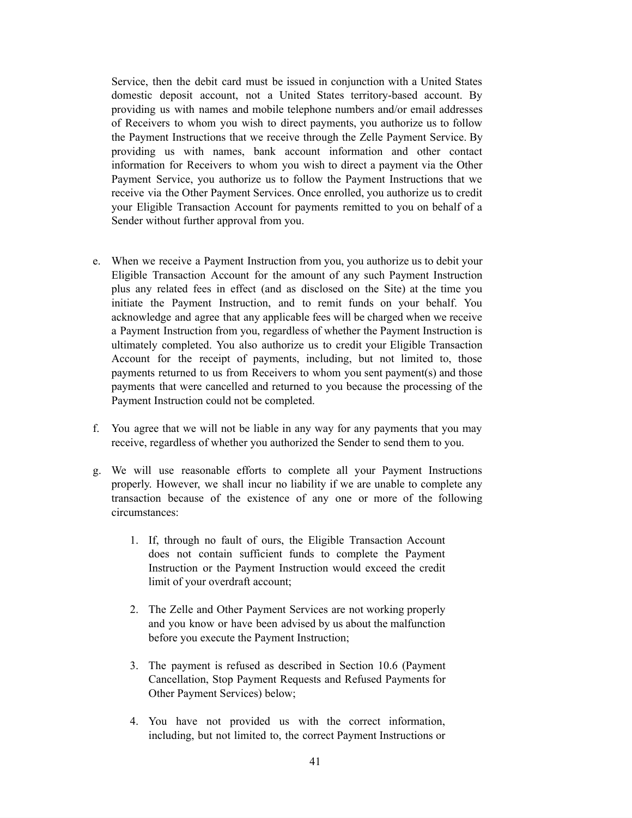Service, then the debit card must be issued in conjunction with a United States domestic deposit account, not a United States territory-based account. By providing us with names and mobile telephone numbers and/or email addresses of Receivers to whom you wish to direct payments, you authorize us to follow the Payment Instructions that we receive through the Zelle Payment Service. By providing us with names, bank account information and other contact information for Receivers to whom you wish to direct a payment via the Other Payment Service, you authorize us to follow the Payment Instructions that we receive via the Other Payment Services. Once enrolled, you authorize us to credit your Eligible Transaction Account for payments remitted to you on behalf of a Sender without further approval from you.

- e. When we receive a Payment Instruction from you, you authorize us to debit your Eligible Transaction Account for the amount of any such Payment Instruction plus any related fees in effect (and as disclosed on the Site) at the time you initiate the Payment Instruction, and to remit funds on your behalf. You acknowledge and agree that any applicable fees will be charged when we receive a Payment Instruction from you, regardless of whether the Payment Instruction is ultimately completed. You also authorize us to credit your Eligible Transaction Account for the receipt of payments, including, but not limited to, those payments returned to us from Receivers to whom you sent payment(s) and those payments that were cancelled and returned to you because the processing of the Payment Instruction could not be completed.
- f. You agree that we will not be liable in any way for any payments that you may receive, regardless of whether you authorized the Sender to send them to you.
- g. We will use reasonable efforts to complete all your Payment Instructions properly. However, we shall incur no liability if we are unable to complete any transaction because of the existence of any one or more of the following circumstances:
	- 1. If, through no fault of ours, the Eligible Transaction Account does not contain sufficient funds to complete the Payment Instruction or the Payment Instruction would exceed the credit limit of your overdraft account;
	- 2. The Zelle and Other Payment Services are not working properly and you know or have been advised by us about the malfunction before you execute the Payment Instruction;
	- 3. The payment is refused as described in Section 10.6 (Payment Cancellation, Stop Payment Requests and Refused Payments for Other Payment Services) below;
	- 4. You have not provided us with the correct information, including, but not limited to, the correct Payment Instructions or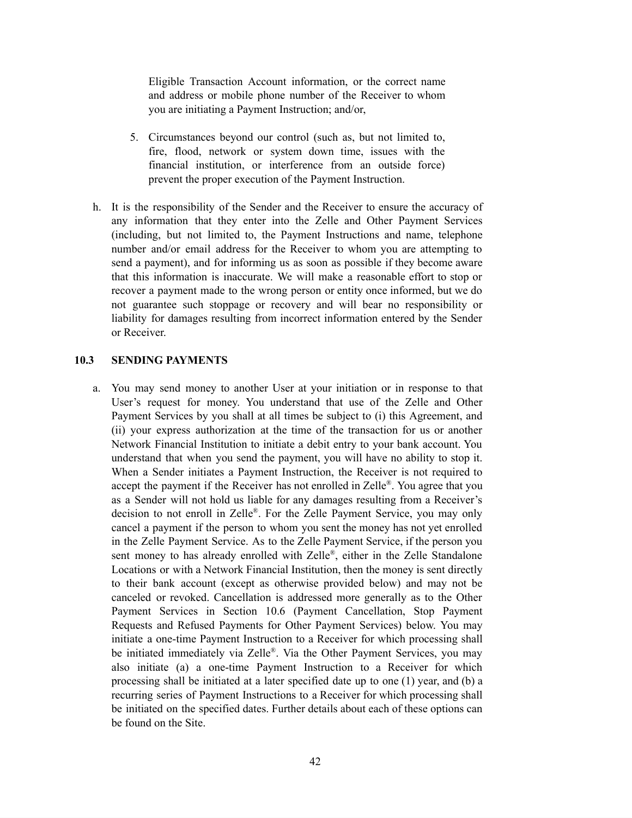Eligible Transaction Account information, or the correct name and address or mobile phone number of the Receiver to whom you are initiating a Payment Instruction; and/or,

- 5. Circumstances beyond our control (such as, but not limited to, fire, flood, network or system down time, issues with the financial institution, or interference from an outside force) prevent the proper execution of the Payment Instruction.
- h. It is the responsibility of the Sender and the Receiver to ensure the accuracy of any information that they enter into the Zelle and Other Payment Services (including, but not limited to, the Payment Instructions and name, telephone number and/or email address for the Receiver to whom you are attempting to send a payment), and for informing us as soon as possible if they become aware that this information is inaccurate. We will make a reasonable effort to stop or recover a payment made to the wrong person or entity once informed, but we do not guarantee such stoppage or recovery and will bear no responsibility or liability for damages resulting from incorrect information entered by the Sender or Receiver.

#### **10.3 SENDING PAYMENTS**

a. You may send money to another User at your initiation or in response to that User's request for money. You understand that use of the Zelle and Other Payment Services by you shall at all times be subject to (i) this Agreement, and (ii) your express authorization at the time of the transaction for us or another Network Financial Institution to initiate a debit entry to your bank account. You understand that when you send the payment, you will have no ability to stop it. When a Sender initiates a Payment Instruction, the Receiver is not required to accept the payment if the Receiver has not enrolled in Zelle<sup>®</sup>. You agree that you as a Sender will not hold us liable for any damages resulting from a Receiver's decision to not enroll in Zelle ® . For the Zelle Payment Service, you may only cancel a payment if the person to whom you sent the money has not yet enrolled in the Zelle Payment Service. As to the Zelle Payment Service, if the person you sent money to has already enrolled with Zelle®, either in the Zelle Standalone Locations or with a Network Financial Institution, then the money is sent directly to their bank account (except as otherwise provided below) and may not be canceled or revoked. Cancellation is addressed more generally as to the Other Payment Services in Section 10.6 (Payment Cancellation, Stop Payment Requests and Refused Payments for Other Payment Services) below. You may initiate a one-time Payment Instruction to a Receiver for which processing shall be initiated immediately via Zelle®. Via the Other Payment Services, you may also initiate (a) a one-time Payment Instruction to a Receiver for which processing shall be initiated at a later specified date up to one (1) year, and (b) a recurring series of Payment Instructions to a Receiver for which processing shall be initiated on the specified dates. Further details about each of these options can be found on the Site.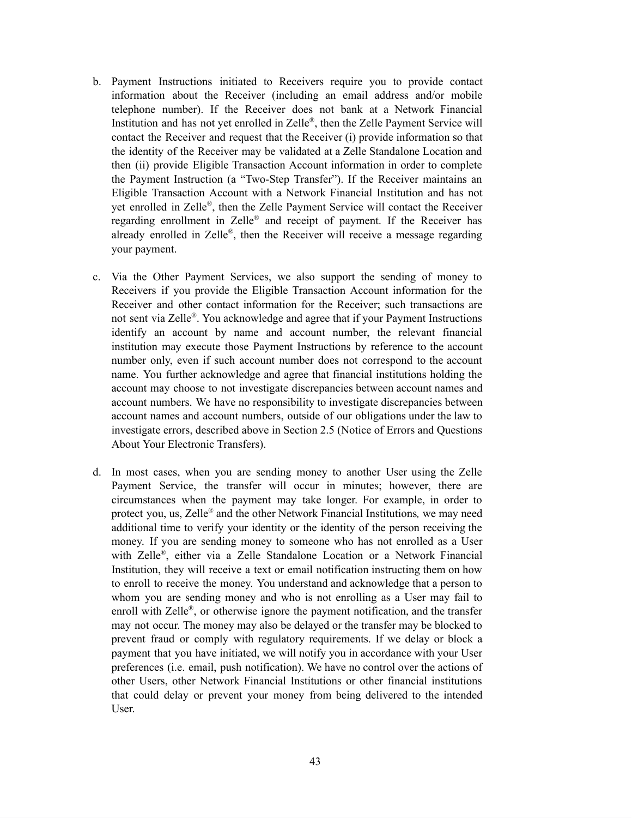- b. Payment Instructions initiated to Receivers require you to provide contact information about the Receiver (including an email address and/or mobile telephone number). If the Receiver does not bank at a Network Financial Institution and has not yet enrolled in Zelle®, then the Zelle Payment Service will contact the Receiver and request that the Receiver (i) provide information so that the identity of the Receiver may be validated at a Zelle Standalone Location and then (ii) provide Eligible Transaction Account information in order to complete the Payment Instruction (a "Two-Step Transfer"). If the Receiver maintains an Eligible Transaction Account with a Network Financial Institution and has not yet enrolled in Zelle ® , then the Zelle Payment Service will contact the Receiver regarding enrollment in Zelle® and receipt of payment. If the Receiver has already enrolled in Zelle®, then the Receiver will receive a message regarding your payment.
- c. Via the Other Payment Services, we also support the sending of money to Receivers if you provide the Eligible Transaction Account information for the Receiver and other contact information for the Receiver; such transactions are not sent via Zelle ® . You acknowledge and agree that if your Payment Instructions identify an account by name and account number, the relevant financial institution may execute those Payment Instructions by reference to the account number only, even if such account number does not correspond to the account name. You further acknowledge and agree that financial institutions holding the account may choose to not investigate discrepancies between account names and account numbers. We have no responsibility to investigate discrepancies between account names and account numbers, outside of our obligations under the law to investigate errors, described above in Section 2.5 (Notice of Errors and Questions About Your Electronic Transfers).
- d. In most cases, when you are sending money to another User using the Zelle Payment Service, the transfer will occur in minutes; however, there are circumstances when the payment may take longer. For example, in order to protect you, us, Zelle ® and the other Network Financial Institutions*,* we may need additional time to verify your identity or the identity of the person receiving the money. If you are sending money to someone who has not enrolled as a User with Zelle ® , either via a Zelle Standalone Location or a Network Financial Institution, they will receive a text or email notification instructing them on how to enroll to receive the money. You understand and acknowledge that a person to whom you are sending money and who is not enrolling as a User may fail to enroll with Zelle<sup>®</sup>, or otherwise ignore the payment notification, and the transfer may not occur. The money may also be delayed or the transfer may be blocked to prevent fraud or comply with regulatory requirements. If we delay or block a payment that you have initiated, we will notify you in accordance with your User preferences (i.e. email, push notification). We have no control over the actions of other Users, other Network Financial Institutions or other financial institutions that could delay or prevent your money from being delivered to the intended User.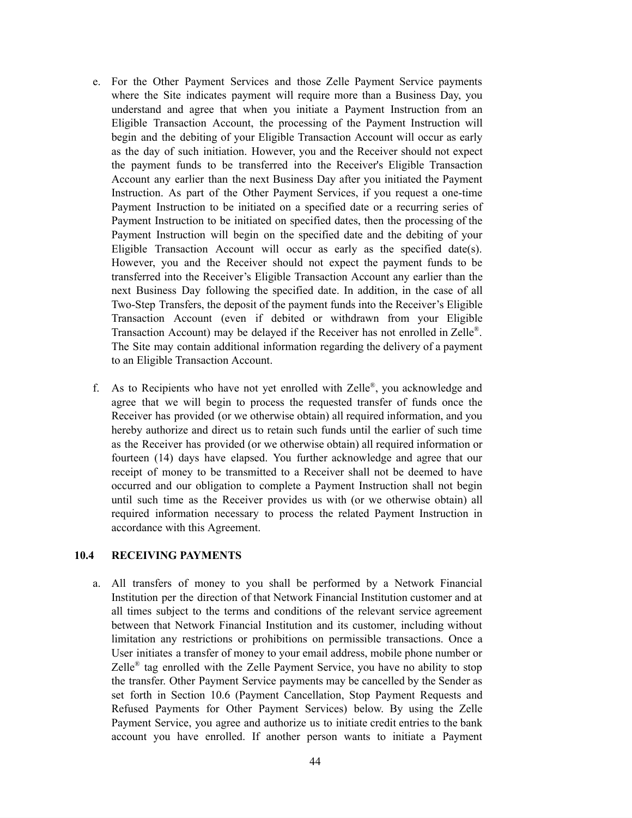- e. For the Other Payment Services and those Zelle Payment Service payments where the Site indicates payment will require more than a Business Day, you understand and agree that when you initiate a Payment Instruction from an Eligible Transaction Account, the processing of the Payment Instruction will begin and the debiting of your Eligible Transaction Account will occur as early as the day of such initiation. However, you and the Receiver should not expect the payment funds to be transferred into the Receiver's Eligible Transaction Account any earlier than the next Business Day after you initiated the Payment Instruction. As part of the Other Payment Services, if you request a one-time Payment Instruction to be initiated on a specified date or a recurring series of Payment Instruction to be initiated on specified dates, then the processing of the Payment Instruction will begin on the specified date and the debiting of your Eligible Transaction Account will occur as early as the specified date(s). However, you and the Receiver should not expect the payment funds to be transferred into the Receiver's Eligible Transaction Account any earlier than the next Business Day following the specified date. In addition, in the case of all Two-Step Transfers, the deposit of the payment funds into the Receiver's Eligible Transaction Account (even if debited or withdrawn from your Eligible Transaction Account) may be delayed if the Receiver has not enrolled in Zelle<sup>®</sup>. The Site may contain additional information regarding the delivery of a payment to an Eligible Transaction Account.
- f. As to Recipients who have not yet enrolled with Zelle®, you acknowledge and agree that we will begin to process the requested transfer of funds once the Receiver has provided (or we otherwise obtain) all required information, and you hereby authorize and direct us to retain such funds until the earlier of such time as the Receiver has provided (or we otherwise obtain) all required information or fourteen (14) days have elapsed. You further acknowledge and agree that our receipt of money to be transmitted to a Receiver shall not be deemed to have occurred and our obligation to complete a Payment Instruction shall not begin until such time as the Receiver provides us with (or we otherwise obtain) all required information necessary to process the related Payment Instruction in accordance with this Agreement.

#### **10.4 RECEIVING PAYMENTS**

a. All transfers of money to you shall be performed by a Network Financial Institution per the direction of that Network Financial Institution customer and at all times subject to the terms and conditions of the relevant service agreement between that Network Financial Institution and its customer, including without limitation any restrictions or prohibitions on permissible transactions. Once a User initiates a transfer of money to your email address, mobile phone number or Zelle<sup>®</sup> tag enrolled with the Zelle Payment Service, you have no ability to stop the transfer. Other Payment Service payments may be cancelled by the Sender as set forth in Section 10.6 (Payment Cancellation, Stop Payment Requests and Refused Payments for Other Payment Services) below. By using the Zelle Payment Service, you agree and authorize us to initiate credit entries to the bank account you have enrolled. If another person wants to initiate a Payment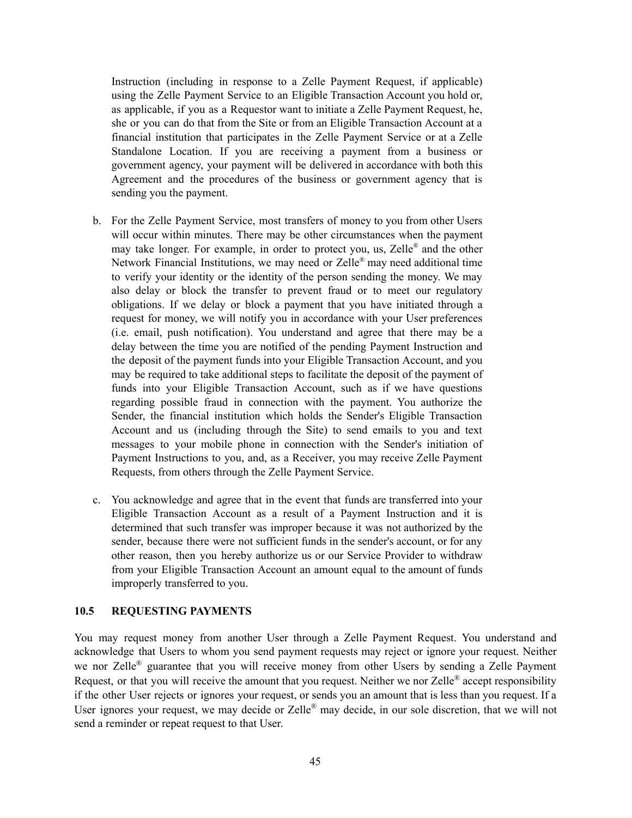Instruction (including in response to a Zelle Payment Request, if applicable) using the Zelle Payment Service to an Eligible Transaction Account you hold or, as applicable, if you as a Requestor want to initiate a Zelle Payment Request, he, she or you can do that from the Site or from an Eligible Transaction Account at a financial institution that participates in the Zelle Payment Service or at a Zelle Standalone Location. If you are receiving a payment from a business or government agency, your payment will be delivered in accordance with both this Agreement and the procedures of the business or government agency that is sending you the payment.

- b. For the Zelle Payment Service, most transfers of money to you from other Users will occur within minutes. There may be other circumstances when the payment may take longer. For example, in order to protect you, us, Zelle® and the other Network Financial Institutions, we may need or Zelle® may need additional time to verify your identity or the identity of the person sending the money. We may also delay or block the transfer to prevent fraud or to meet our regulatory obligations. If we delay or block a payment that you have initiated through a request for money, we will notify you in accordance with your User preferences (i.e. email, push notification). You understand and agree that there may be a delay between the time you are notified of the pending Payment Instruction and the deposit of the payment funds into your Eligible Transaction Account, and you may be required to take additional steps to facilitate the deposit of the payment of funds into your Eligible Transaction Account, such as if we have questions regarding possible fraud in connection with the payment. You authorize the Sender, the financial institution which holds the Sender's Eligible Transaction Account and us (including through the Site) to send emails to you and text messages to your mobile phone in connection with the Sender's initiation of Payment Instructions to you, and, as a Receiver, you may receive Zelle Payment Requests, from others through the Zelle Payment Service.
- c. You acknowledge and agree that in the event that funds are transferred into your Eligible Transaction Account as a result of a Payment Instruction and it is determined that such transfer was improper because it was not authorized by the sender, because there were not sufficient funds in the sender's account, or for any other reason, then you hereby authorize us or our Service Provider to withdraw from your Eligible Transaction Account an amount equal to the amount of funds improperly transferred to you.

#### **10.5 REQUESTING PAYMENTS**

You may request money from another User through a Zelle Payment Request. You understand and acknowledge that Users to whom you send payment requests may reject or ignore your request. Neither we nor Zelle<sup>®</sup> guarantee that you will receive money from other Users by sending a Zelle Payment Request, or that you will receive the amount that you request. Neither we nor Zelle<sup>®</sup> accept responsibility if the other User rejects or ignores your request, or sends you an amount that is less than you request. If a User ignores your request, we may decide or Zelle® may decide, in our sole discretion, that we will not send a reminder or repeat request to that User.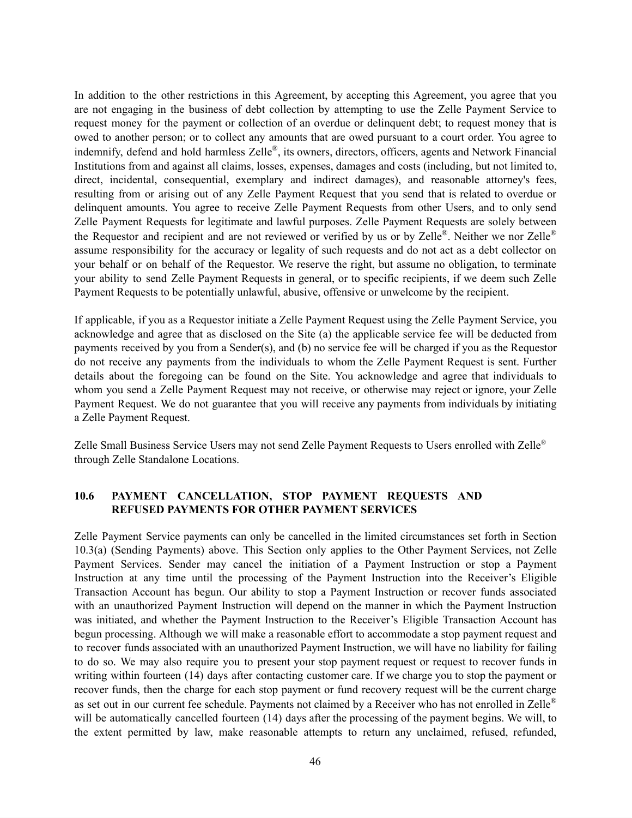In addition to the other restrictions in this Agreement, by accepting this Agreement, you agree that you are not engaging in the business of debt collection by attempting to use the Zelle Payment Service to request money for the payment or collection of an overdue or delinquent debt; to request money that is owed to another person; or to collect any amounts that are owed pursuant to a court order. You agree to indemnify, defend and hold harmless Zelle®, its owners, directors, officers, agents and Network Financial Institutions from and against all claims, losses, expenses, damages and costs (including, but not limited to, direct, incidental, consequential, exemplary and indirect damages), and reasonable attorney's fees, resulting from or arising out of any Zelle Payment Request that you send that is related to overdue or delinquent amounts. You agree to receive Zelle Payment Requests from other Users, and to only send Zelle Payment Requests for legitimate and lawful purposes. Zelle Payment Requests are solely between the Requestor and recipient and are not reviewed or verified by us or by Zelle®. Neither we nor Zelle® assume responsibility for the accuracy or legality of such requests and do not act as a debt collector on your behalf or on behalf of the Requestor. We reserve the right, but assume no obligation, to terminate your ability to send Zelle Payment Requests in general, or to specific recipients, if we deem such Zelle Payment Requests to be potentially unlawful, abusive, offensive or unwelcome by the recipient.

If applicable, if you as a Requestor initiate a Zelle Payment Request using the Zelle Payment Service, you acknowledge and agree that as disclosed on the Site (a) the applicable service fee will be deducted from payments received by you from a Sender(s), and (b) no service fee will be charged if you as the Requestor do not receive any payments from the individuals to whom the Zelle Payment Request is sent. Further details about the foregoing can be found on the Site. You acknowledge and agree that individuals to whom you send a Zelle Payment Request may not receive, or otherwise may reject or ignore, your Zelle Payment Request. We do not guarantee that you will receive any payments from individuals by initiating a Zelle Payment Request.

Zelle Small Business Service Users may not send Zelle Payment Requests to Users enrolled with Zelle® through Zelle Standalone Locations.

### **10.6 PAYMENT CANCELLATION, STOP PAYMENT REQUESTS AND REFUSED PAYMENTS FOR OTHER PAYMENT SERVICES**

Zelle Payment Service payments can only be cancelled in the limited circumstances set forth in Section 10.3(a) (Sending Payments) above. This Section only applies to the Other Payment Services, not Zelle Payment Services. Sender may cancel the initiation of a Payment Instruction or stop a Payment Instruction at any time until the processing of the Payment Instruction into the Receiver's Eligible Transaction Account has begun. Our ability to stop a Payment Instruction or recover funds associated with an unauthorized Payment Instruction will depend on the manner in which the Payment Instruction was initiated, and whether the Payment Instruction to the Receiver's Eligible Transaction Account has begun processing. Although we will make a reasonable effort to accommodate a stop payment request and to recover funds associated with an unauthorized Payment Instruction, we will have no liability for failing to do so. We may also require you to present your stop payment request or request to recover funds in writing within fourteen (14) days after contacting customer care. If we charge you to stop the payment or recover funds, then the charge for each stop payment or fund recovery request will be the current charge as set out in our current fee schedule. Payments not claimed by a Receiver who has not enrolled in Zelle<sup>®</sup> will be automatically cancelled fourteen (14) days after the processing of the payment begins. We will, to the extent permitted by law, make reasonable attempts to return any unclaimed, refused, refunded,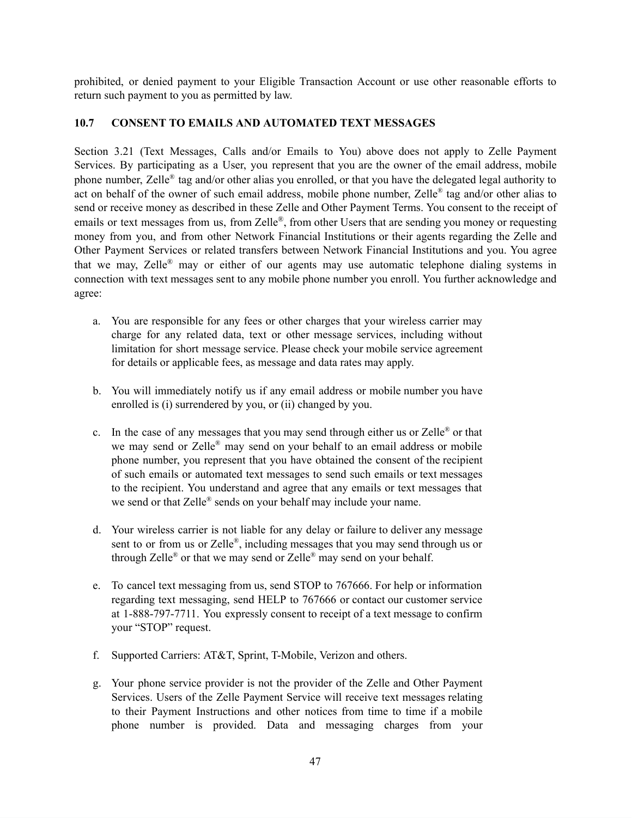prohibited, or denied payment to your Eligible Transaction Account or use other reasonable efforts to return such payment to you as permitted by law.

### **10.7 CONSENT TO EMAILS AND AUTOMATED TEXT MESSAGES**

Section 3.21 (Text Messages, Calls and/or Emails to You) above does not apply to Zelle Payment Services. By participating as a User, you represent that you are the owner of the email address, mobile phone number, Zelle® tag and/or other alias you enrolled, or that you have the delegated legal authority to act on behalf of the owner of such email address, mobile phone number, Zelle® tag and/or other alias to send or receive money as described in these Zelle and Other Payment Terms. You consent to the receipt of emails or text messages from us, from Zelle®, from other Users that are sending you money or requesting money from you, and from other Network Financial Institutions or their agents regarding the Zelle and Other Payment Services or related transfers between Network Financial Institutions and you. You agree that we may, Zelle® may or either of our agents may use automatic telephone dialing systems in connection with text messages sent to any mobile phone number you enroll. You further acknowledge and agree:

- a. You are responsible for any fees or other charges that your wireless carrier may charge for any related data, text or other message services, including without limitation for short message service. Please check your mobile service agreement for details or applicable fees, as message and data rates may apply.
- b. You will immediately notify us if any email address or mobile number you have enrolled is (i) surrendered by you, or (ii) changed by you.
- c. In the case of any messages that you may send through either us or Zelle<sup>®</sup> or that we may send or Zelle® may send on your behalf to an email address or mobile phone number, you represent that you have obtained the consent of the recipient of such emails or automated text messages to send such emails or text messages to the recipient. You understand and agree that any emails or text messages that we send or that Zelle<sup>®</sup> sends on your behalf may include your name.
- d. Your wireless carrier is not liable for any delay or failure to deliver any message sent to or from us or Zelle®, including messages that you may send through us or through Zelle<sup>®</sup> or that we may send or Zelle<sup>®</sup> may send on your behalf.
- e. To cancel text messaging from us, send STOP to 767666. For help or information regarding text messaging, send HELP to 767666 or contact our customer service at 1-888-797-7711. You expressly consent to receipt of a text message to confirm your "STOP" request.
- f. Supported Carriers: AT&T, Sprint, T-Mobile, Verizon and others.
- g. Your phone service provider is not the provider of the Zelle and Other Payment Services. Users of the Zelle Payment Service will receive text messages relating to their Payment Instructions and other notices from time to time if a mobile phone number is provided. Data and messaging charges from your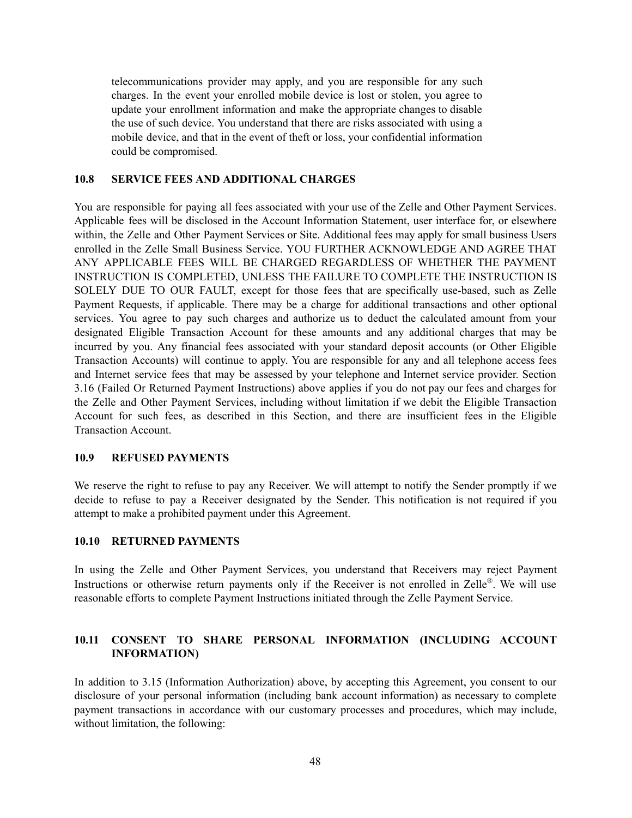telecommunications provider may apply, and you are responsible for any such charges. In the event your enrolled mobile device is lost or stolen, you agree to update your enrollment information and make the appropriate changes to disable the use of such device. You understand that there are risks associated with using a mobile device, and that in the event of theft or loss, your confidential information could be compromised.

#### **10.8 SERVICE FEES AND ADDITIONAL CHARGES**

You are responsible for paying all fees associated with your use of the Zelle and Other Payment Services. Applicable fees will be disclosed in the Account Information Statement, user interface for, or elsewhere within, the Zelle and Other Payment Services or Site. Additional fees may apply for small business Users enrolled in the Zelle Small Business Service. YOU FURTHER ACKNOWLEDGE AND AGREE THAT ANY APPLICABLE FEES WILL BE CHARGED REGARDLESS OF WHETHER THE PAYMENT INSTRUCTION IS COMPLETED, UNLESS THE FAILURE TO COMPLETE THE INSTRUCTION IS SOLELY DUE TO OUR FAULT, except for those fees that are specifically use-based, such as Zelle Payment Requests, if applicable. There may be a charge for additional transactions and other optional services. You agree to pay such charges and authorize us to deduct the calculated amount from your designated Eligible Transaction Account for these amounts and any additional charges that may be incurred by you. Any financial fees associated with your standard deposit accounts (or Other Eligible Transaction Accounts) will continue to apply. You are responsible for any and all telephone access fees and Internet service fees that may be assessed by your telephone and Internet service provider. Section 3.16 (Failed Or Returned Payment Instructions) above applies if you do not pay our fees and charges for the Zelle and Other Payment Services, including without limitation if we debit the Eligible Transaction Account for such fees, as described in this Section, and there are insufficient fees in the Eligible Transaction Account.

#### **10.9 REFUSED PAYMENTS**

We reserve the right to refuse to pay any Receiver. We will attempt to notify the Sender promptly if we decide to refuse to pay a Receiver designated by the Sender. This notification is not required if you attempt to make a prohibited payment under this Agreement.

#### **10.10 RETURNED PAYMENTS**

In using the Zelle and Other Payment Services, you understand that Receivers may reject Payment Instructions or otherwise return payments only if the Receiver is not enrolled in Zelle®. We will use reasonable efforts to complete Payment Instructions initiated through the Zelle Payment Service.

### **10.11 CONSENT TO SHARE PERSONAL INFORMATION (INCLUDING ACCOUNT INFORMATION)**

In addition to 3.15 (Information Authorization) above, by accepting this Agreement, you consent to our disclosure of your personal information (including bank account information) as necessary to complete payment transactions in accordance with our customary processes and procedures, which may include, without limitation, the following: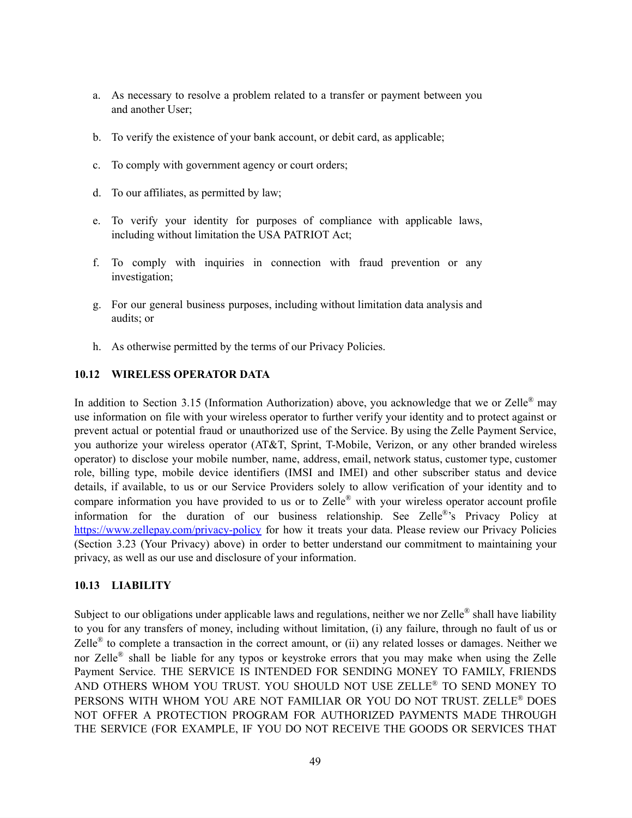- a. As necessary to resolve a problem related to a transfer or payment between you and another User;
- b. To verify the existence of your bank account, or debit card, as applicable;
- c. To comply with government agency or court orders;
- d. To our affiliates, as permitted by law;
- e. To verify your identity for purposes of compliance with applicable laws, including without limitation the USA PATRIOT Act;
- f. To comply with inquiries in connection with fraud prevention or any investigation;
- g. For our general business purposes, including without limitation data analysis and audits; or
- h. As otherwise permitted by the terms of our Privacy Policies.

#### **10.12 WIRELESS OPERATOR DATA**

In addition to Section 3.15 (Information Authorization) above, you acknowledge that we or Zelle® may use information on file with your wireless operator to further verify your identity and to protect against or prevent actual or potential fraud or unauthorized use of the Service. By using the Zelle Payment Service, you authorize your wireless operator (AT&T, Sprint, T-Mobile, Verizon, or any other branded wireless operator) to disclose your mobile number, name, address, email, network status, customer type, customer role, billing type, mobile device identifiers (IMSI and IMEI) and other subscriber status and device details, if available, to us or our Service Providers solely to allow verification of your identity and to compare information you have provided to us or to Zelle® with your wireless operator account profile information for the duration of our business relationship. See Zelle<sup>®</sup>'s Privacy Policy at <https://www.zellepay.com/privacy-policy> for how it treats your data. Please review our Privacy Policies (Section 3.23 (Your Privacy) above) in order to better understand our commitment to maintaining your privacy, as well as our use and disclosure of your information.

#### **10.13 LIABILITY**

Subject to our obligations under applicable laws and regulations, neither we nor Zelle® shall have liability to you for any transfers of money, including without limitation, (i) any failure, through no fault of us or Zelle<sup>®</sup> to complete a transaction in the correct amount, or (ii) any related losses or damages. Neither we nor Zelle<sup>®</sup> shall be liable for any typos or keystroke errors that you may make when using the Zelle Payment Service. THE SERVICE IS INTENDED FOR SENDING MONEY TO FAMILY, FRIENDS AND OTHERS WHOM YOU TRUST. YOU SHOULD NOT USE ZELLE ® TO SEND MONEY TO PERSONS WITH WHOM YOU ARE NOT FAMILIAR OR YOU DO NOT TRUST. ZELLE ® DOES NOT OFFER A PROTECTION PROGRAM FOR AUTHORIZED PAYMENTS MADE THROUGH THE SERVICE (FOR EXAMPLE, IF YOU DO NOT RECEIVE THE GOODS OR SERVICES THAT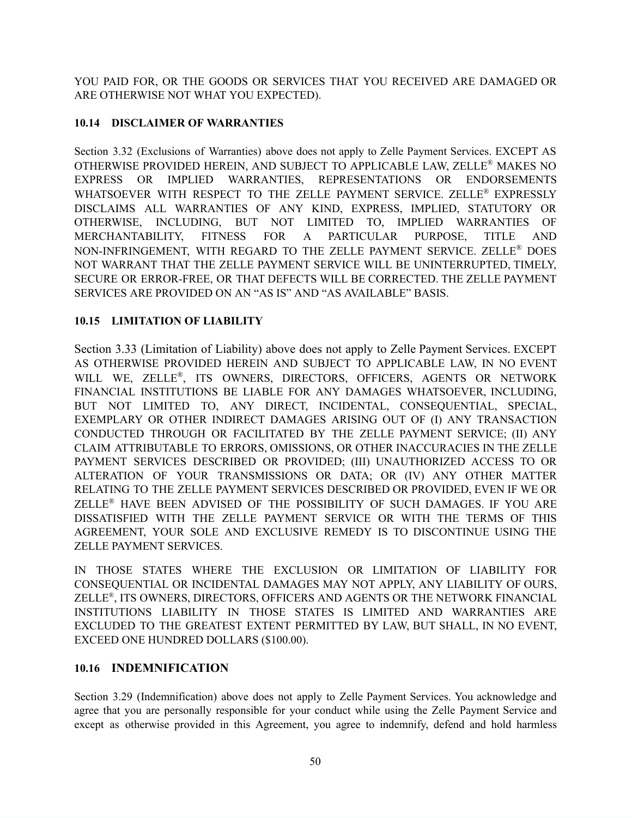YOU PAID FOR, OR THE GOODS OR SERVICES THAT YOU RECEIVED ARE DAMAGED OR ARE OTHERWISE NOT WHAT YOU EXPECTED).

## **10.14 DISCLAIMER OF WARRANTIES**

Section 3.32 (Exclusions of Warranties) above does not apply to Zelle Payment Services. EXCEPT AS OTHERWISE PROVIDED HEREIN, AND SUBJECT TO APPLICABLE LAW, ZELLE ® MAKES NO EXPRESS OR IMPLIED WARRANTIES, REPRESENTATIONS OR ENDORSEMENTS WHATSOEVER WITH RESPECT TO THE ZELLE PAYMENT SERVICE. ZELLE<sup>®</sup> EXPRESSLY DISCLAIMS ALL WARRANTIES OF ANY KIND, EXPRESS, IMPLIED, STATUTORY OR OTHERWISE, INCLUDING, BUT NOT LIMITED TO, IMPLIED WARRANTIES OF MERCHANTABILITY, FITNESS FOR A PARTICULAR PURPOSE, TITLE AND NON-INFRINGEMENT, WITH REGARD TO THE ZELLE PAYMENT SERVICE. ZELLE ® DOES NOT WARRANT THAT THE ZELLE PAYMENT SERVICE WILL BE UNINTERRUPTED, TIMELY, SECURE OR ERROR-FREE, OR THAT DEFECTS WILL BE CORRECTED. THE ZELLE PAYMENT SERVICES ARE PROVIDED ON AN "AS IS" AND "AS AVAILABLE" BASIS.

# **10.15 LIMITATION OF LIABILITY**

Section 3.33 (Limitation of Liability) above does not apply to Zelle Payment Services. EXCEPT AS OTHERWISE PROVIDED HEREIN AND SUBJECT TO APPLICABLE LAW, IN NO EVENT WILL WE, ZELLE®, ITS OWNERS, DIRECTORS, OFFICERS, AGENTS OR NETWORK FINANCIAL INSTITUTIONS BE LIABLE FOR ANY DAMAGES WHATSOEVER, INCLUDING, BUT NOT LIMITED TO, ANY DIRECT, INCIDENTAL, CONSEQUENTIAL, SPECIAL, EXEMPLARY OR OTHER INDIRECT DAMAGES ARISING OUT OF (I) ANY TRANSACTION CONDUCTED THROUGH OR FACILITATED BY THE ZELLE PAYMENT SERVICE; (II) ANY CLAIM ATTRIBUTABLE TO ERRORS, OMISSIONS, OR OTHER INACCURACIES IN THE ZELLE PAYMENT SERVICES DESCRIBED OR PROVIDED; (III) UNAUTHORIZED ACCESS TO OR ALTERATION OF YOUR TRANSMISSIONS OR DATA; OR (IV) ANY OTHER MATTER RELATING TO THE ZELLE PAYMENT SERVICES DESCRIBED OR PROVIDED, EVEN IF WE OR ZELLE ® HAVE BEEN ADVISED OF THE POSSIBILITY OF SUCH DAMAGES. IF YOU ARE DISSATISFIED WITH THE ZELLE PAYMENT SERVICE OR WITH THE TERMS OF THIS AGREEMENT, YOUR SOLE AND EXCLUSIVE REMEDY IS TO DISCONTINUE USING THE ZELLE PAYMENT SERVICES.

IN THOSE STATES WHERE THE EXCLUSION OR LIMITATION OF LIABILITY FOR CONSEQUENTIAL OR INCIDENTAL DAMAGES MAY NOT APPLY, ANY LIABILITY OF OURS, ZELLE ® , ITS OWNERS, DIRECTORS, OFFICERS AND AGENTS OR THE NETWORK FINANCIAL INSTITUTIONS LIABILITY IN THOSE STATES IS LIMITED AND WARRANTIES ARE EXCLUDED TO THE GREATEST EXTENT PERMITTED BY LAW, BUT SHALL, IN NO EVENT, EXCEED ONE HUNDRED DOLLARS (\$100.00).

## **10.16 INDEMNIFICATION**

Section 3.29 (Indemnification) above does not apply to Zelle Payment Services. You acknowledge and agree that you are personally responsible for your conduct while using the Zelle Payment Service and except as otherwise provided in this Agreement, you agree to indemnify, defend and hold harmless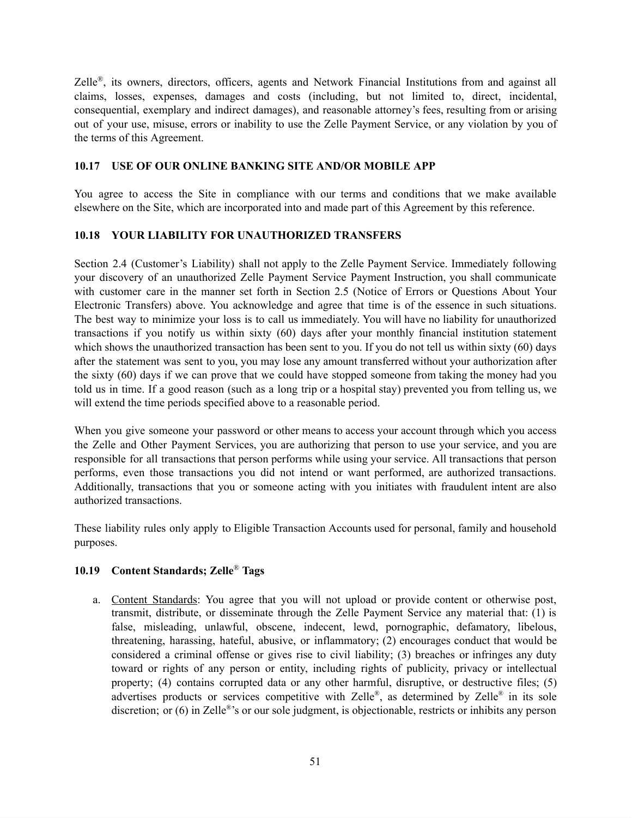Zelle<sup>®</sup>, its owners, directors, officers, agents and Network Financial Institutions from and against all claims, losses, expenses, damages and costs (including, but not limited to, direct, incidental, consequential, exemplary and indirect damages), and reasonable attorney's fees, resulting from or arising out of your use, misuse, errors or inability to use the Zelle Payment Service, or any violation by you of the terms of this Agreement.

#### **10.17 USE OF OUR ONLINE BANKING SITE AND/OR MOBILE APP**

You agree to access the Site in compliance with our terms and conditions that we make available elsewhere on the Site, which are incorporated into and made part of this Agreement by this reference.

#### **10.18 YOUR LIABILITY FOR UNAUTHORIZED TRANSFERS**

Section 2.4 (Customer's Liability) shall not apply to the Zelle Payment Service. Immediately following your discovery of an unauthorized Zelle Payment Service Payment Instruction, you shall communicate with customer care in the manner set forth in Section 2.5 (Notice of Errors or Questions About Your Electronic Transfers) above. You acknowledge and agree that time is of the essence in such situations. The best way to minimize your loss is to call us immediately. You will have no liability for unauthorized transactions if you notify us within sixty (60) days after your monthly financial institution statement which shows the unauthorized transaction has been sent to you. If you do not tell us within sixty (60) days after the statement was sent to you, you may lose any amount transferred without your authorization after the sixty (60) days if we can prove that we could have stopped someone from taking the money had you told us in time. If a good reason (such as a long trip or a hospital stay) prevented you from telling us, we will extend the time periods specified above to a reasonable period.

When you give someone your password or other means to access your account through which you access the Zelle and Other Payment Services, you are authorizing that person to use your service, and you are responsible for all transactions that person performs while using your service. All transactions that person performs, even those transactions you did not intend or want performed, are authorized transactions. Additionally, transactions that you or someone acting with you initiates with fraudulent intent are also authorized transactions.

These liability rules only apply to Eligible Transaction Accounts used for personal, family and household purposes.

### **10.19 Content Standards; Zelle** ® **Tags**

a. Content Standards: You agree that you will not upload or provide content or otherwise post, transmit, distribute, or disseminate through the Zelle Payment Service any material that: (1) is false, misleading, unlawful, obscene, indecent, lewd, pornographic, defamatory, libelous, threatening, harassing, hateful, abusive, or inflammatory; (2) encourages conduct that would be considered a criminal offense or gives rise to civil liability; (3) breaches or infringes any duty toward or rights of any person or entity, including rights of publicity, privacy or intellectual property; (4) contains corrupted data or any other harmful, disruptive, or destructive files; (5) advertises products or services competitive with Zelle®, as determined by Zelle® in its sole discretion; or (6) in Zelle<sup>®</sup>'s or our sole judgment, is objectionable, restricts or inhibits any person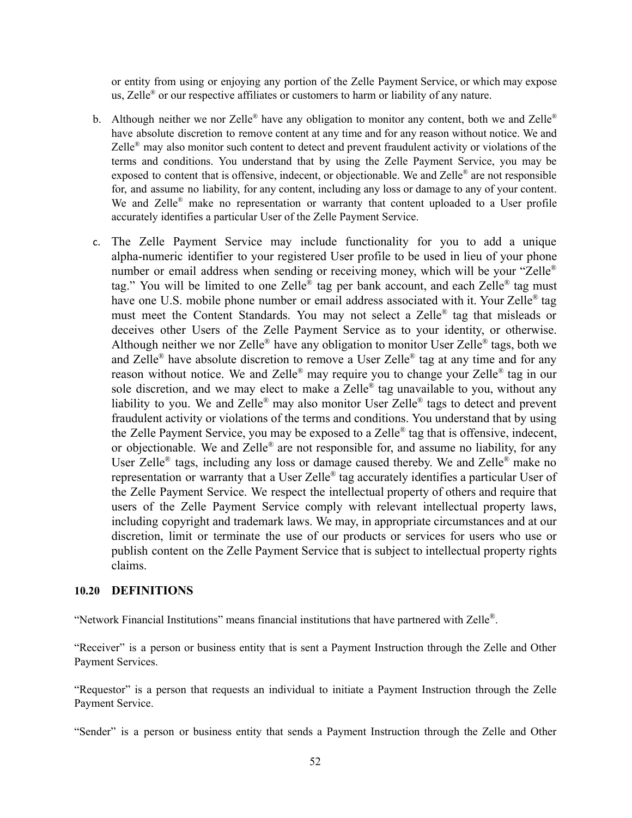or entity from using or enjoying any portion of the Zelle Payment Service, or which may expose us, Zelle<sup>®</sup> or our respective affiliates or customers to harm or liability of any nature.

- b. Although neither we nor Zelle<sup>®</sup> have any obligation to monitor any content, both we and Zelle<sup>®</sup> have absolute discretion to remove content at any time and for any reason without notice. We and Zelle<sup>®</sup> may also monitor such content to detect and prevent fraudulent activity or violations of the terms and conditions. You understand that by using the Zelle Payment Service, you may be exposed to content that is offensive, indecent, or objectionable. We and Zelle® are not responsible for, and assume no liability, for any content, including any loss or damage to any of your content. We and Zelle® make no representation or warranty that content uploaded to a User profile accurately identifies a particular User of the Zelle Payment Service.
- c. The Zelle Payment Service may include functionality for you to add a unique alpha-numeric identifier to your registered User profile to be used in lieu of your phone number or email address when sending or receiving money, which will be your "Zelle<sup>®</sup> tag." You will be limited to one Zelle® tag per bank account, and each Zelle® tag must have one U.S. mobile phone number or email address associated with it. Your Zelle® tag must meet the Content Standards. You may not select a Zelle® tag that misleads or deceives other Users of the Zelle Payment Service as to your identity, or otherwise. Although neither we nor Zelle® have any obligation to monitor User Zelle® tags, both we and Zelle® have absolute discretion to remove a User Zelle® tag at any time and for any reason without notice. We and Zelle® may require you to change your Zelle® tag in our sole discretion, and we may elect to make a Zelle® tag unavailable to you, without any liability to you. We and Zelle® may also monitor User Zelle® tags to detect and prevent fraudulent activity or violations of the terms and conditions. You understand that by using the Zelle Payment Service, you may be exposed to a Zelle® tag that is offensive, indecent, or objectionable. We and Zelle® are not responsible for, and assume no liability, for any User Zelle<sup>®</sup> tags, including any loss or damage caused thereby. We and Zelle<sup>®</sup> make no representation or warranty that a User Zelle® tag accurately identifies a particular User of the Zelle Payment Service. We respect the intellectual property of others and require that users of the Zelle Payment Service comply with relevant intellectual property laws, including copyright and trademark laws. We may, in appropriate circumstances and at our discretion, limit or terminate the use of our products or services for users who use or publish content on the Zelle Payment Service that is subject to intellectual property rights claims.

#### **10.20 DEFINITIONS**

"Network Financial Institutions" means financial institutions that have partnered with Zelle ® .

"Receiver" is a person or business entity that is sent a Payment Instruction through the Zelle and Other Payment Services.

"Requestor" is a person that requests an individual to initiate a Payment Instruction through the Zelle Payment Service.

"Sender" is a person or business entity that sends a Payment Instruction through the Zelle and Other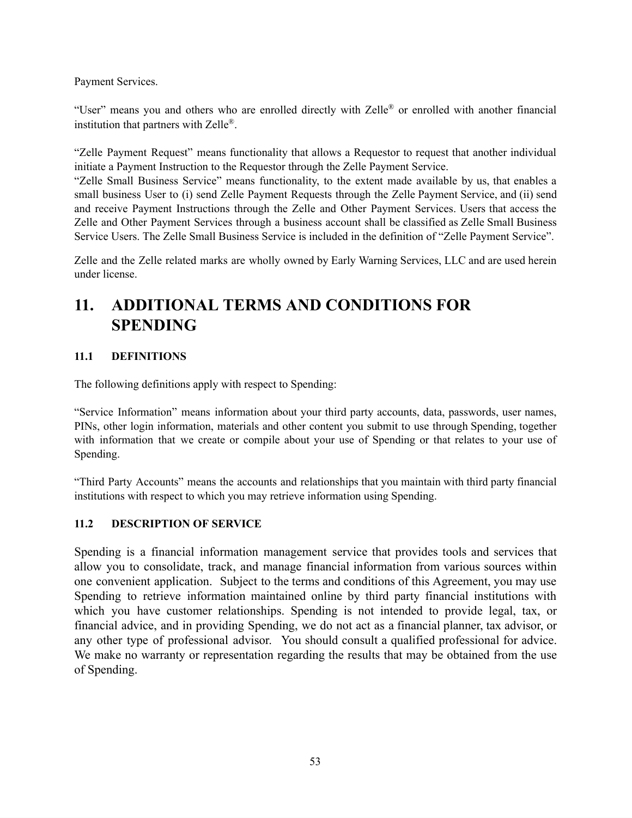Payment Services.

"User" means you and others who are enrolled directly with Zelle® or enrolled with another financial institution that partners with Zelle<sup>®</sup>.

"Zelle Payment Request" means functionality that allows a Requestor to request that another individual initiate a Payment Instruction to the Requestor through the Zelle Payment Service.

"Zelle Small Business Service" means functionality, to the extent made available by us, that enables a small business User to (i) send Zelle Payment Requests through the Zelle Payment Service, and (ii) send and receive Payment Instructions through the Zelle and Other Payment Services. Users that access the Zelle and Other Payment Services through a business account shall be classified as Zelle Small Business Service Users. The Zelle Small Business Service is included in the definition of "Zelle Payment Service".

Zelle and the Zelle related marks are wholly owned by Early Warning Services, LLC and are used herein under license.

# **11. ADDITIONAL TERMS AND CONDITIONS FOR SPENDING**

## **11.1 DEFINITIONS**

The following definitions apply with respect to Spending:

"Service Information" means information about your third party accounts, data, passwords, user names, PINs, other login information, materials and other content you submit to use through Spending, together with information that we create or compile about your use of Spending or that relates to your use of Spending.

"Third Party Accounts" means the accounts and relationships that you maintain with third party financial institutions with respect to which you may retrieve information using Spending.

## **11.2 DESCRIPTION OF SERVICE**

Spending is a financial information management service that provides tools and services that allow you to consolidate, track, and manage financial information from various sources within one convenient application. Subject to the terms and conditions of this Agreement, you may use Spending to retrieve information maintained online by third party financial institutions with which you have customer relationships. Spending is not intended to provide legal, tax, or financial advice, and in providing Spending, we do not act as a financial planner, tax advisor, or any other type of professional advisor. You should consult a qualified professional for advice. We make no warranty or representation regarding the results that may be obtained from the use of Spending.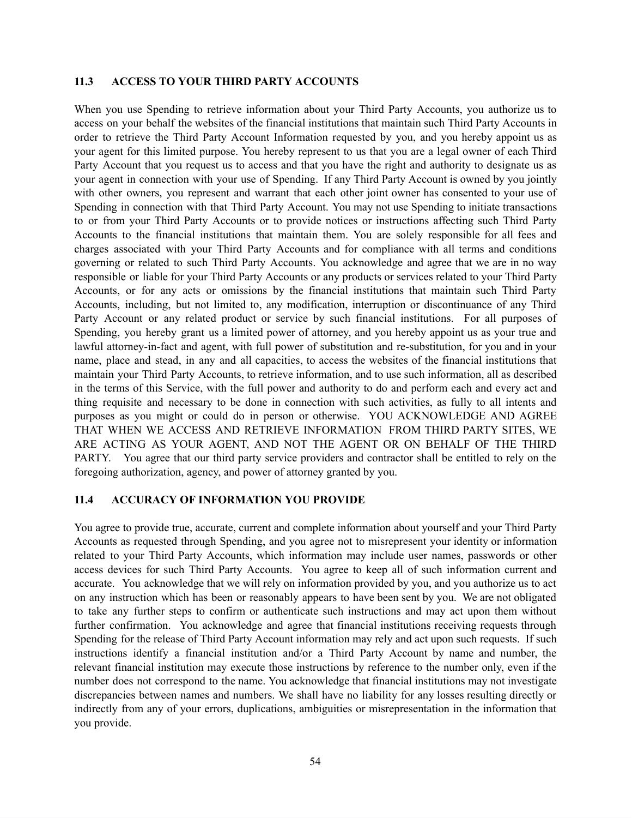#### **11.3 ACCESS TO YOUR THIRD PARTY ACCOUNTS**

When you use Spending to retrieve information about your Third Party Accounts, you authorize us to access on your behalf the websites of the financial institutions that maintain such Third Party Accounts in order to retrieve the Third Party Account Information requested by you, and you hereby appoint us as your agent for this limited purpose. You hereby represent to us that you are a legal owner of each Third Party Account that you request us to access and that you have the right and authority to designate us as your agent in connection with your use of Spending. If any Third Party Account is owned by you jointly with other owners, you represent and warrant that each other joint owner has consented to your use of Spending in connection with that Third Party Account. You may not use Spending to initiate transactions to or from your Third Party Accounts or to provide notices or instructions affecting such Third Party Accounts to the financial institutions that maintain them. You are solely responsible for all fees and charges associated with your Third Party Accounts and for compliance with all terms and conditions governing or related to such Third Party Accounts. You acknowledge and agree that we are in no way responsible or liable for your Third Party Accounts or any products or services related to your Third Party Accounts, or for any acts or omissions by the financial institutions that maintain such Third Party Accounts, including, but not limited to, any modification, interruption or discontinuance of any Third Party Account or any related product or service by such financial institutions. For all purposes of Spending, you hereby grant us a limited power of attorney, and you hereby appoint us as your true and lawful attorney-in-fact and agent, with full power of substitution and re-substitution, for you and in your name, place and stead, in any and all capacities, to access the websites of the financial institutions that maintain your Third Party Accounts, to retrieve information, and to use such information, all as described in the terms of this Service, with the full power and authority to do and perform each and every act and thing requisite and necessary to be done in connection with such activities, as fully to all intents and purposes as you might or could do in person or otherwise. YOU ACKNOWLEDGE AND AGREE THAT WHEN WE ACCESS AND RETRIEVE INFORMATION FROM THIRD PARTY SITES, WE ARE ACTING AS YOUR AGENT, AND NOT THE AGENT OR ON BEHALF OF THE THIRD PARTY. You agree that our third party service providers and contractor shall be entitled to rely on the foregoing authorization, agency, and power of attorney granted by you.

#### **11.4 ACCURACY OF INFORMATION YOU PROVIDE**

You agree to provide true, accurate, current and complete information about yourself and your Third Party Accounts as requested through Spending, and you agree not to misrepresent your identity or information related to your Third Party Accounts, which information may include user names, passwords or other access devices for such Third Party Accounts. You agree to keep all of such information current and accurate. You acknowledge that we will rely on information provided by you, and you authorize us to act on any instruction which has been or reasonably appears to have been sent by you. We are not obligated to take any further steps to confirm or authenticate such instructions and may act upon them without further confirmation. You acknowledge and agree that financial institutions receiving requests through Spending for the release of Third Party Account information may rely and act upon such requests. If such instructions identify a financial institution and/or a Third Party Account by name and number, the relevant financial institution may execute those instructions by reference to the number only, even if the number does not correspond to the name. You acknowledge that financial institutions may not investigate discrepancies between names and numbers. We shall have no liability for any losses resulting directly or indirectly from any of your errors, duplications, ambiguities or misrepresentation in the information that you provide.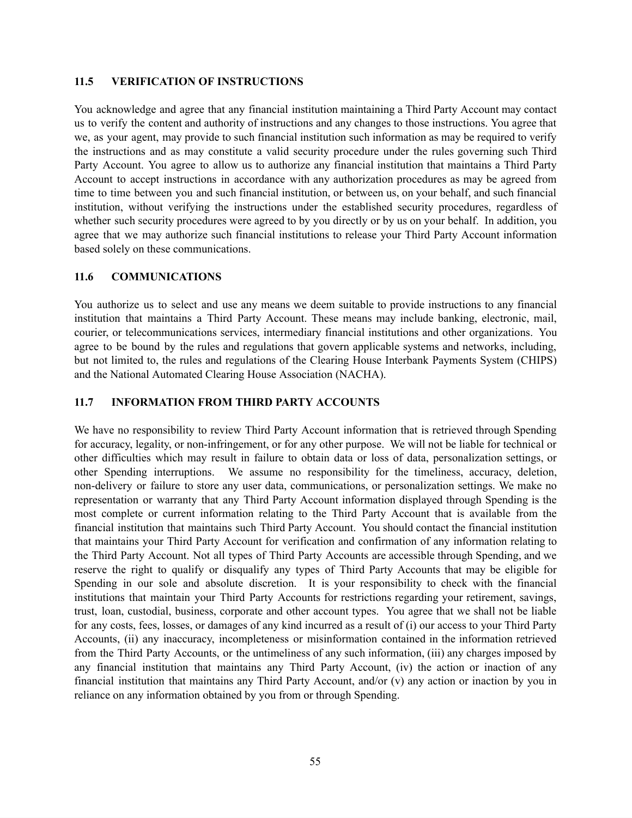#### **11.5 VERIFICATION OF INSTRUCTIONS**

You acknowledge and agree that any financial institution maintaining a Third Party Account may contact us to verify the content and authority of instructions and any changes to those instructions. You agree that we, as your agent, may provide to such financial institution such information as may be required to verify the instructions and as may constitute a valid security procedure under the rules governing such Third Party Account. You agree to allow us to authorize any financial institution that maintains a Third Party Account to accept instructions in accordance with any authorization procedures as may be agreed from time to time between you and such financial institution, or between us, on your behalf, and such financial institution, without verifying the instructions under the established security procedures, regardless of whether such security procedures were agreed to by you directly or by us on your behalf. In addition, you agree that we may authorize such financial institutions to release your Third Party Account information based solely on these communications.

#### **11.6 COMMUNICATIONS**

You authorize us to select and use any means we deem suitable to provide instructions to any financial institution that maintains a Third Party Account. These means may include banking, electronic, mail, courier, or telecommunications services, intermediary financial institutions and other organizations. You agree to be bound by the rules and regulations that govern applicable systems and networks, including, but not limited to, the rules and regulations of the Clearing House Interbank Payments System (CHIPS) and the National Automated Clearing House Association (NACHA).

#### **11.7 INFORMATION FROM THIRD PARTY ACCOUNTS**

We have no responsibility to review Third Party Account information that is retrieved through Spending for accuracy, legality, or non-infringement, or for any other purpose. We will not be liable for technical or other difficulties which may result in failure to obtain data or loss of data, personalization settings, or other Spending interruptions. We assume no responsibility for the timeliness, accuracy, deletion, non-delivery or failure to store any user data, communications, or personalization settings. We make no representation or warranty that any Third Party Account information displayed through Spending is the most complete or current information relating to the Third Party Account that is available from the financial institution that maintains such Third Party Account. You should contact the financial institution that maintains your Third Party Account for verification and confirmation of any information relating to the Third Party Account. Not all types of Third Party Accounts are accessible through Spending, and we reserve the right to qualify or disqualify any types of Third Party Accounts that may be eligible for Spending in our sole and absolute discretion. It is your responsibility to check with the financial institutions that maintain your Third Party Accounts for restrictions regarding your retirement, savings, trust, loan, custodial, business, corporate and other account types. You agree that we shall not be liable for any costs, fees, losses, or damages of any kind incurred as a result of (i) our access to your Third Party Accounts, (ii) any inaccuracy, incompleteness or misinformation contained in the information retrieved from the Third Party Accounts, or the untimeliness of any such information, (iii) any charges imposed by any financial institution that maintains any Third Party Account, (iv) the action or inaction of any financial institution that maintains any Third Party Account, and/or (v) any action or inaction by you in reliance on any information obtained by you from or through Spending.